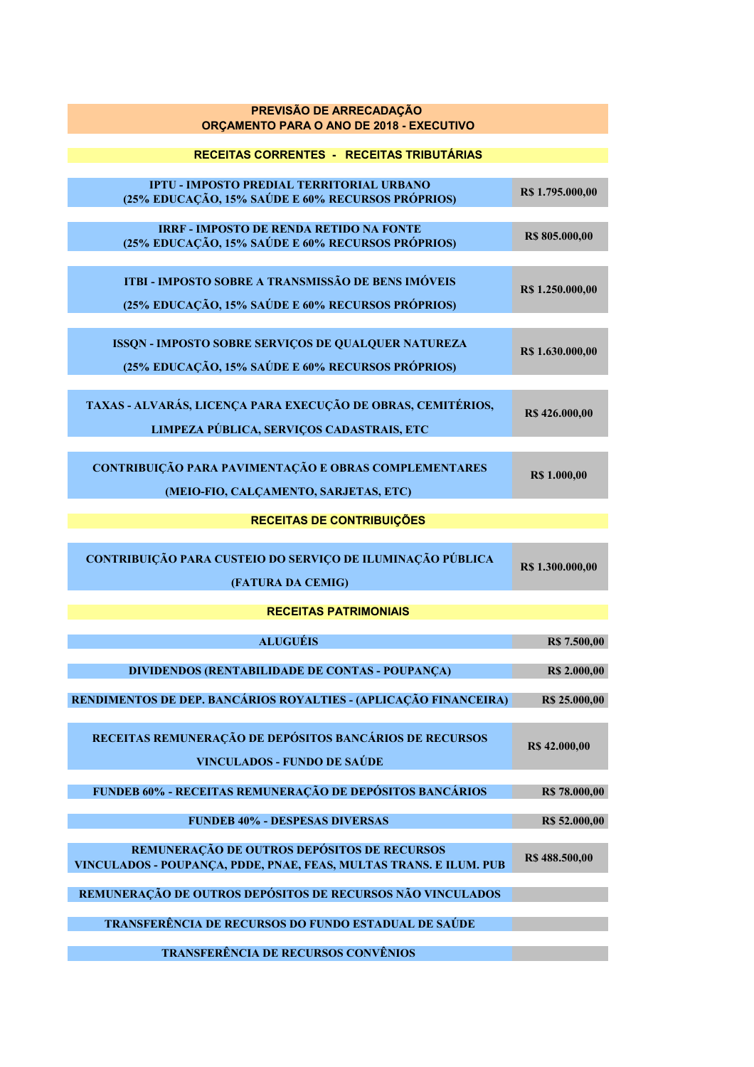| PREVISÃO DE ARRECADAÇÃO<br>ORÇAMENTO PARA O ANO DE 2018 - EXECUTIVO                                               |                     |
|-------------------------------------------------------------------------------------------------------------------|---------------------|
| RECEITAS CORRENTES - RECEITAS TRIBUTÁRIAS                                                                         |                     |
| <b>IPTU - IMPOSTO PREDIAL TERRITORIAL URBANO</b><br>(25% EDUCAÇÃO, 15% SAÚDE E 60% RECURSOS PRÓPRIOS)             | R\$ 1.795.000,00    |
| <b>IRRF - IMPOSTO DE RENDA RETIDO NA FONTE</b><br>(25% EDUCAÇÃO, 15% SAÚDE E 60% RECURSOS PRÓPRIOS)               | R\$ 805.000,00      |
| ITBI - IMPOSTO SOBRE A TRANSMISSÃO DE BENS IMÓVEIS<br>(25% EDUCAÇÃO, 15% SAÚDE E 60% RECURSOS PRÓPRIOS)           | R\$ 1.250.000,00    |
| ISSQN - IMPOSTO SOBRE SERVIÇOS DE QUALQUER NATUREZA<br>(25% EDUCAÇÃO, 15% SAÚDE E 60% RECURSOS PRÓPRIOS)          | R\$ 1.630.000,00    |
| TAXAS - ALVARÁS, LICENÇA PARA EXECUÇÃO DE OBRAS, CEMITÉRIOS,<br>LIMPEZA PÚBLICA, SERVIÇOS CADASTRAIS, ETC         | R\$ 426.000,00      |
| CONTRIBUIÇÃO PARA PAVIMENTAÇÃO E OBRAS COMPLEMENTARES<br>(MEIO-FIO, CALÇAMENTO, SARJETAS, ETC)                    | <b>R\$</b> 1.000,00 |
| <b>RECEITAS DE CONTRIBUIÇÕES</b>                                                                                  |                     |
| CONTRIBUIÇÃO PARA CUSTEIO DO SERVIÇO DE ILUMINAÇÃO PÚBLICA<br>(FATURA DA CEMIG)                                   | R\$ 1.300.000,00    |
| <b>RECEITAS PATRIMONIAIS</b>                                                                                      |                     |
| <b>ALUGUÉIS</b>                                                                                                   | R\$ 7.500,00        |
| <b>DIVIDENDOS (RENTABILIDADE DE CONTAS - POUPANÇA)</b>                                                            | R\$ 2.000,00        |
| RENDIMENTOS DE DEP. BANCÁRIOS ROYALTIES - (APLICAÇÃO FINANCEIRA)                                                  | R\$ 25.000,00       |
| RECEITAS REMUNERAÇÃO DE DEPÓSITOS BANCÁRIOS DE RECURSOS<br><b>VINCULADOS - FUNDO DE SAÚDE</b>                     | R\$ 42.000,00       |
| FUNDEB 60% - RECEITAS REMUNERAÇÃO DE DEPÓSITOS BANCÁRIOS                                                          | R\$ 78.000,00       |
| <b>FUNDEB 40% - DESPESAS DIVERSAS</b>                                                                             | R\$ 52.000,00       |
| REMUNERAÇÃO DE OUTROS DEPÓSITOS DE RECURSOS<br>VINCULADOS - POUPANÇA, PDDE, PNAE, FEAS, MULTAS TRANS. E ILUM. PUB | R\$ 488.500,00      |
| REMUNERAÇÃO DE OUTROS DEPÓSITOS DE RECURSOS NÃO VINCULADOS                                                        |                     |
| TRANSFERÊNCIA DE RECURSOS DO FUNDO ESTADUAL DE SAÚDE                                                              |                     |
|                                                                                                                   |                     |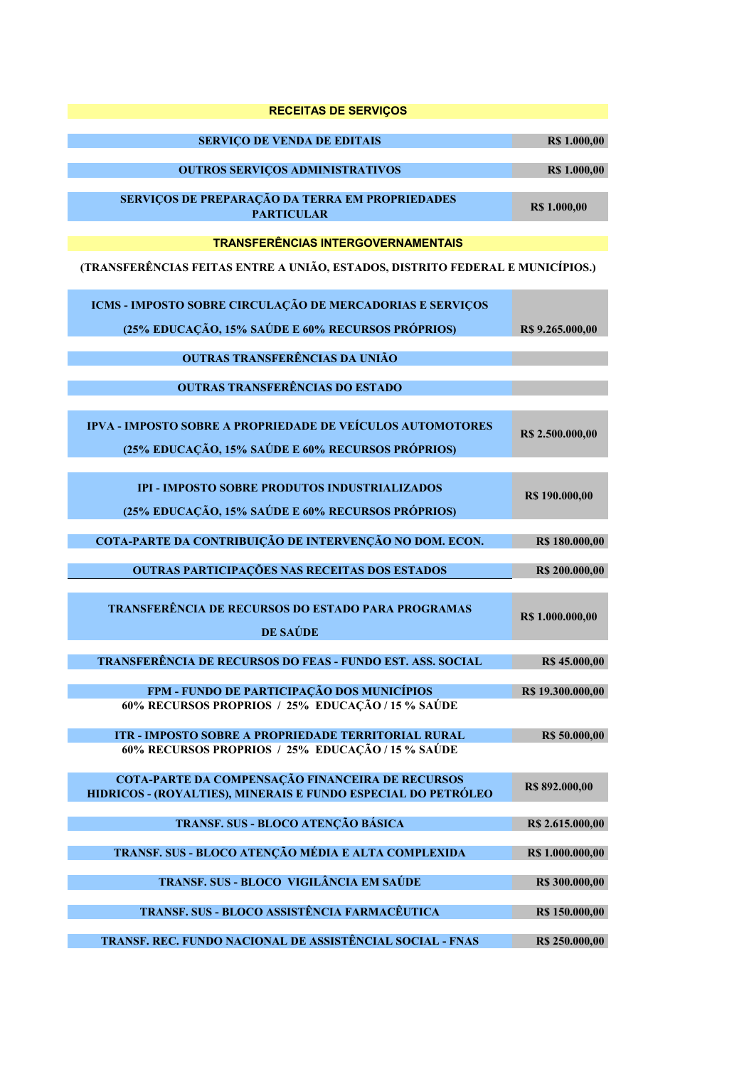| <b>RECEITAS DE SERVIÇOS</b>                                                                                       |                     |
|-------------------------------------------------------------------------------------------------------------------|---------------------|
| <b>SERVIÇO DE VENDA DE EDITAIS</b>                                                                                | R\$ 1.000,00        |
| <b>OUTROS SERVIÇOS ADMINISTRATIVOS</b>                                                                            | <b>R\$ 1.000,00</b> |
| SERVIÇOS DE PREPARAÇÃO DA TERRA EM PROPRIEDADES<br><b>PARTICULAR</b>                                              | R\$ 1.000,00        |
| <b>TRANSFERÊNCIAS INTERGOVERNAMENTAIS</b>                                                                         |                     |
| (TRANSFERÊNCIAS FEITAS ENTRE A UNIÃO, ESTADOS, DISTRITO FEDERAL E MUNICÍPIOS.)                                    |                     |
| ICMS - IMPOSTO SOBRE CIRCULAÇÃO DE MERCADORIAS E SERVIÇOS                                                         |                     |
| (25% EDUCAÇÃO, 15% SAÚDE E 60% RECURSOS PRÓPRIOS)                                                                 | R\$ 9.265.000,00    |
| OUTRAS TRANSFERÊNCIAS DA UNIÃO                                                                                    |                     |
| <b>OUTRAS TRANSFERÊNCIAS DO ESTADO</b>                                                                            |                     |
| IPVA - IMPOSTO SOBRE A PROPRIEDADE DE VEÍCULOS AUTOMOTORES<br>(25% EDUCAÇÃO, 15% SAÚDE E 60% RECURSOS PRÓPRIOS)   | R\$ 2.500.000,00    |
| <b>IPI - IMPOSTO SOBRE PRODUTOS INDUSTRIALIZADOS</b><br>(25% EDUCAÇÃO, 15% SAÚDE E 60% RECURSOS PRÓPRIOS)         | R\$ 190.000,00      |
|                                                                                                                   |                     |
| COTA-PARTE DA CONTRIBUIÇÃO DE INTERVENÇÃO NO DOM. ECON.                                                           | R\$ 180.000,00      |
| OUTRAS PARTICIPAÇÕES NAS RECEITAS DOS ESTADOS                                                                     | R\$ 200.000,00      |
| TRANSFERÊNCIA DE RECURSOS DO ESTADO PARA PROGRAMAS<br>DE SAÚDE                                                    | R\$ 1.000.000,00    |
| <b>TRANSFERÊNCIA DE RECURSOS DO FEAS - FUNDO EST. ASS. SOCIAL</b>                                                 | R\$ 45.000,00       |
| FPM - FUNDO DE PARTICIPAÇÃO DOS MUNICÍPIOS<br>60% RECURSOS PROPRIOS / 25% EDUCAÇÃO / 15 % SAÚDE                   | R\$ 19.300.000,00   |
| ITR - IMPOSTO SOBRE A PROPRIEDADE TERRITORIAL RURAL                                                               | R\$ 50.000,00       |
| 60% RECURSOS PROPRIOS / 25% EDUCAÇÃO / 15 % SAÚDE                                                                 |                     |
| COTA-PARTE DA COMPENSAÇÃO FINANCEIRA DE RECURSOS<br>HIDRICOS - (ROYALTIES), MINERAIS E FUNDO ESPECIAL DO PETRÓLEO | R\$ 892,000,00      |
| TRANSF. SUS - BLOCO ATENÇÃO BÁSICA                                                                                | R\$ 2.615.000,00    |
| TRANSF. SUS - BLOCO ATENÇÃO MÉDIA E ALTA COMPLEXIDA                                                               | R\$ 1.000.000,00    |
| TRANSF. SUS - BLOCO VIGILÂNCIA EM SAÚDE                                                                           | R\$ 300.000,00      |
| TRANSF. SUS - BLOCO ASSISTÊNCIA FARMACÊUTICA                                                                      | R\$ 150.000,00      |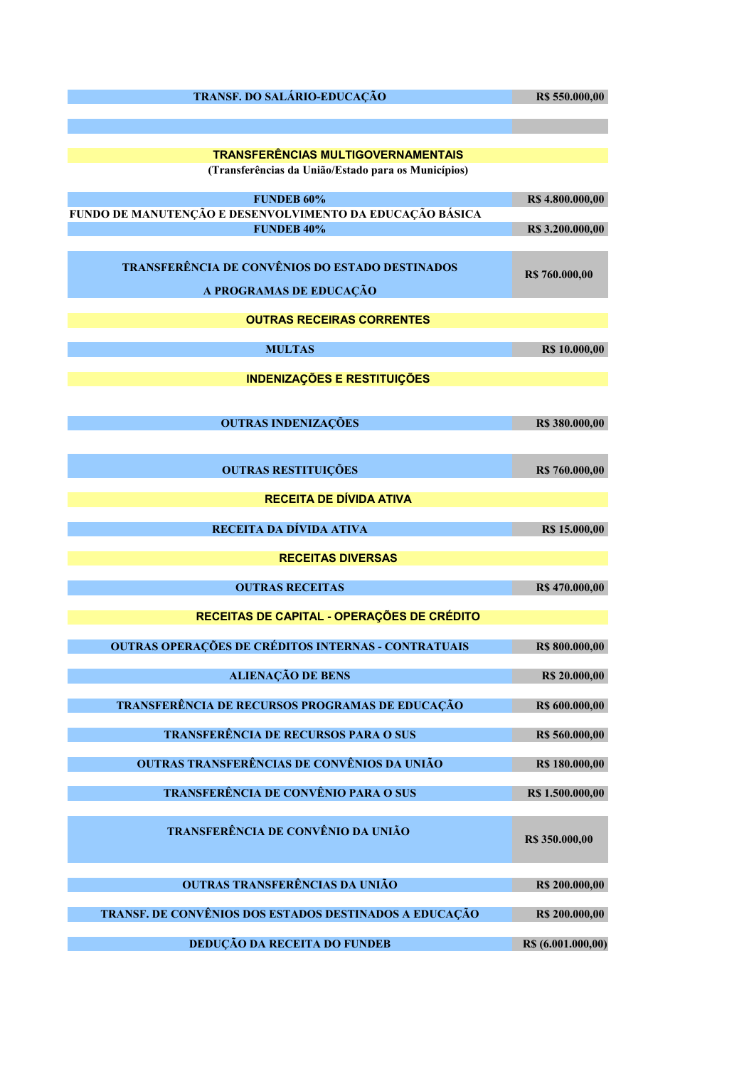| TRANSF. DO SALÁRIO-EDUCAÇÃO                                                   | R\$ 550.000,00       |
|-------------------------------------------------------------------------------|----------------------|
|                                                                               |                      |
| <b>TRANSFERÊNCIAS MULTIGOVERNAMENTAIS</b>                                     |                      |
| (Transferências da União/Estado para os Municípios)                           |                      |
| <b>FUNDEB 60%</b>                                                             | R\$4.800.000,00      |
| FUNDO DE MANUTENÇÃO E DESENVOLVIMENTO DA EDUCAÇÃO BÁSICA<br><b>FUNDEB 40%</b> | R\$3.200.000,00      |
|                                                                               |                      |
| TRANSFERÊNCIA DE CONVÊNIOS DO ESTADO DESTINADOS                               | R\$ 760.000,00       |
| A PROGRAMAS DE EDUCAÇÃO                                                       |                      |
| <b>OUTRAS RECEIRAS CORRENTES</b>                                              |                      |
| <b>MULTAS</b>                                                                 | <b>R\$ 10.000,00</b> |
| <b>INDENIZAÇÕES E RESTITUIÇÕES</b>                                            |                      |
|                                                                               |                      |
| <b>OUTRAS INDENIZAÇÕES</b>                                                    | R\$ 380.000,00       |
|                                                                               |                      |
| <b>OUTRAS RESTITUIÇÕES</b>                                                    | R\$ 760.000,00       |
| <b>RECEITA DE DÍVIDA ATIVA</b>                                                |                      |
| RECEITA DA DÍVIDA ATIVA                                                       |                      |
|                                                                               | R\$ 15.000,00        |
| <b>RECEITAS DIVERSAS</b>                                                      |                      |
| <b>OUTRAS RECEITAS</b>                                                        | R\$ 470.000,00       |
| RECEITAS DE CAPITAL - OPERAÇÕES DE CRÉDITO                                    |                      |
| <b>OUTRAS OPERAÇÕES DE CRÉDITOS INTERNAS - CONTRATUAIS</b>                    | R\$ 800.000,00       |
| <b>ALIENAÇÃO DE BENS</b>                                                      | R\$ 20.000,00        |
|                                                                               |                      |
| TRANSFERÊNCIA DE RECURSOS PROGRAMAS DE EDUCAÇÃO                               | R\$ 600.000,00       |
| TRANSFERÊNCIA DE RECURSOS PARA O SUS                                          | R\$ 560.000,00       |
| OUTRAS TRANSFERÊNCIAS DE CONVÊNIOS DA UNIÃO                                   | R\$ 180.000,00       |
| TRANSFERÊNCIA DE CONVÊNIO PARA O SUS                                          | R\$ 1.500.000,00     |
| TRANSFERÊNCIA DE CONVÊNIO DA UNIÃO                                            |                      |
|                                                                               | R\$ 350.000,00       |
|                                                                               |                      |
| OUTRAS TRANSFERÊNCIAS DA UNIÃO                                                | R\$ 200.000,00       |
| TRANSF. DE CONVÊNIOS DOS ESTADOS DESTINADOS A EDUCAÇÃO                        | R\$ 200.000,00       |
| DEDUÇÃO DA RECEITA DO FUNDEB                                                  | R\$ (6.001.000,00)   |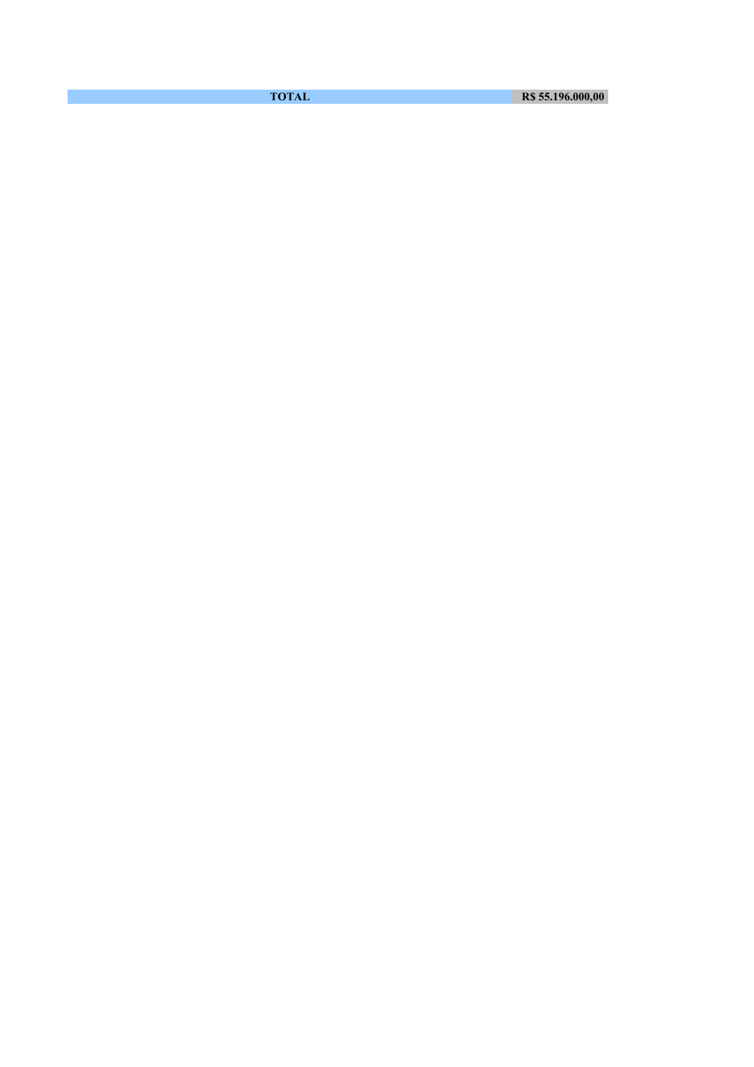**TOTAL R\$ 55.196.000,00**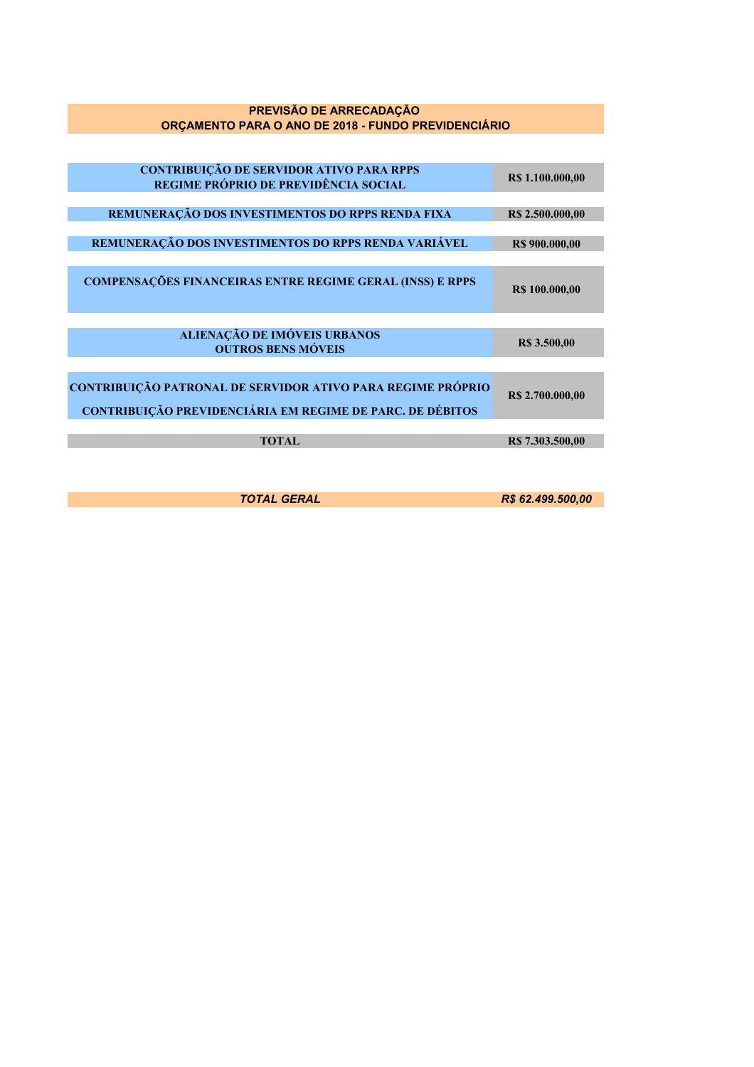## **PREVISÃO DE ARRECADAÇÃO ORÇAMENTO PARA O ANO DE 2018 - FUNDO PREVIDENCIÁRIO**

| <b>CONTRIBUIÇÃO DE SERVIDOR ATIVO PARA RPPS</b><br>REGIME PRÓPRIO DE PREVIDÊNCIA SOCIAL                                  | R\$ 1.100.000,00    |
|--------------------------------------------------------------------------------------------------------------------------|---------------------|
|                                                                                                                          |                     |
| REMUNERAÇÃO DOS INVESTIMENTOS DO RPPS RENDA FIXA                                                                         | R\$ 2.500.000,00    |
|                                                                                                                          |                     |
| REMUNERAÇÃO DOS INVESTIMENTOS DO RPPS RENDA VARIÁVEL                                                                     | R\$ 900.000,00      |
|                                                                                                                          |                     |
| <b>COMPENSAÇÕES FINANCEIRAS ENTRE REGIME GERAL (INSS) E RPPS</b>                                                         | R\$ 100.000,00      |
|                                                                                                                          |                     |
| ALIENAÇÃO DE IMÓVEIS URBANOS<br><b>OUTROS BENS MÓVEIS</b>                                                                | <b>R\$</b> 3.500,00 |
|                                                                                                                          |                     |
| CONTRIBUIÇÃO PATRONAL DE SERVIDOR ATIVO PARA REGIME PRÓPRIO<br>CONTRIBUIÇÃO PREVIDENCIÁRIA EM REGIME DE PARC. DE DÉBITOS | R\$ 2.700.000,00    |
|                                                                                                                          |                     |
| <b>TOTAL</b>                                                                                                             | R\$ 7.303.500,00    |
|                                                                                                                          |                     |

*TOTAL GERAL R\$ 62.499.500,00*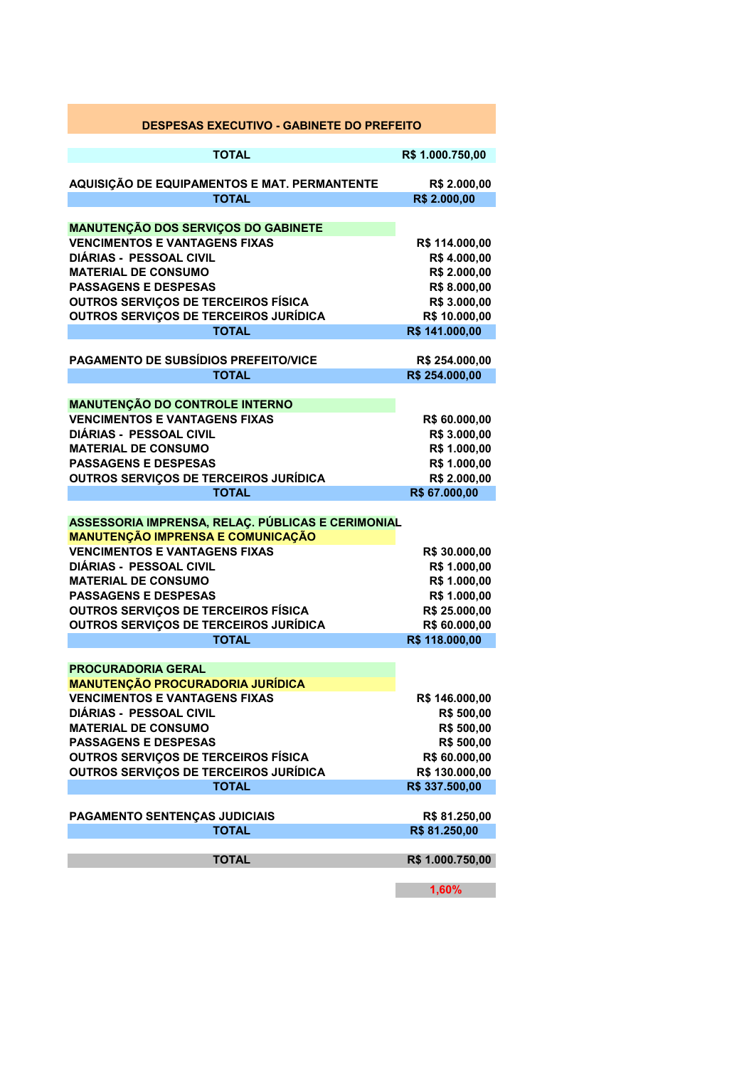| <b>DESPESAS EXECUTIVO - GABINETE DO PREFEITO</b>                                 |                               |
|----------------------------------------------------------------------------------|-------------------------------|
| <b>TOTAL</b>                                                                     | R\$ 1.000.750,00              |
|                                                                                  |                               |
| AQUISIÇÃO DE EQUIPAMENTOS E MAT. PERMANTENTE                                     | R\$ 2.000,00                  |
| <b>TOTAL</b>                                                                     | R\$ 2.000,00                  |
| <b>MANUTENÇÃO DOS SERVIÇOS DO GABINETE</b>                                       |                               |
| <b>VENCIMENTOS E VANTAGENS FIXAS</b>                                             | R\$ 114.000,00                |
| <b>DIÁRIAS - PESSOAL CIVIL</b>                                                   | R\$4.000,00                   |
| <b>MATERIAL DE CONSUMO</b>                                                       | R\$ 2.000,00                  |
| <b>PASSAGENS E DESPESAS</b>                                                      | R\$ 8.000,00                  |
| <b>OUTROS SERVICOS DE TERCEIROS FÍSICA</b>                                       | R\$ 3.000,00                  |
| <b>OUTROS SERVIÇOS DE TERCEIROS JURÍDICA</b>                                     | R\$ 10.000,00                 |
| <b>TOTAL</b>                                                                     | R\$ 141.000,00                |
| PAGAMENTO DE SUBSÍDIOS PREFEITO/VICE                                             | R\$ 254.000,00                |
| <b>TOTAL</b>                                                                     | R\$ 254.000,00                |
|                                                                                  |                               |
| <b>MANUTENÇÃO DO CONTROLE INTERNO</b>                                            |                               |
| <b>VENCIMENTOS E VANTAGENS FIXAS</b><br>DIÁRIAS - PESSOAL CIVIL                  | R\$ 60.000,00                 |
| <b>MATERIAL DE CONSUMO</b>                                                       | R\$ 3.000,00<br>R\$ 1.000,00  |
| <b>PASSAGENS E DESPESAS</b>                                                      | R\$ 1.000,00                  |
| OUTROS SERVIÇOS DE TERCEIROS JURÍDICA                                            | R\$ 2.000,00                  |
| <b>TOTAL</b>                                                                     | R\$ 67.000,00                 |
|                                                                                  |                               |
| ASSESSORIA IMPRENSA, RELAÇ. PÚBLICAS E CERIMONIAL                                |                               |
| <b>MANUTENÇÃO IMPRENSA E COMUNICAÇÃO</b><br><b>VENCIMENTOS E VANTAGENS FIXAS</b> |                               |
| <b>DIÁRIAS - PESSOAL CIVIL</b>                                                   | R\$ 30.000,00<br>R\$ 1.000,00 |
| <b>MATERIAL DE CONSUMO</b>                                                       | R\$ 1.000,00                  |
| <b>PASSAGENS E DESPESAS</b>                                                      | R\$ 1.000,00                  |
| <b>OUTROS SERVIÇOS DE TERCEIROS FÍSICA</b>                                       | R\$ 25.000,00                 |
| OUTROS SERVIÇOS DE TERCEIROS JURÍDICA                                            | R\$ 60.000,00                 |
| <b>TOTAL</b>                                                                     | R\$ 118.000,00                |
| <b>PROCURADORIA GERAL</b>                                                        |                               |
| <b>MANUTENÇÃO PROCURADORIA JURÍDICA</b>                                          |                               |
| <b>VENCIMENTOS E VANTAGENS FIXAS</b>                                             | R\$ 146.000,00                |
| <b>DIÁRIAS - PESSOAL CIVIL</b>                                                   | R\$ 500,00                    |
| <b>MATERIAL DE CONSUMO</b>                                                       | R\$ 500,00                    |
| <b>PASSAGENS E DESPESAS</b>                                                      | R\$ 500,00                    |
| <b>OUTROS SERVIÇOS DE TERCEIROS FÍSICA</b>                                       | R\$ 60.000,00                 |
| <b>OUTROS SERVIÇOS DE TERCEIROS JURÍDICA</b>                                     | R\$ 130.000,00                |
| <b>TOTAL</b>                                                                     | R\$ 337.500,00                |
| PAGAMENTO SENTENÇAS JUDICIAIS                                                    | R\$ 81.250,00                 |
| <b>TOTAL</b>                                                                     | R\$ 81.250,00                 |
|                                                                                  |                               |
| <b>TOTAL</b>                                                                     | R\$ 1.000.750,00              |
|                                                                                  | 1,60%                         |

 $\sim 100$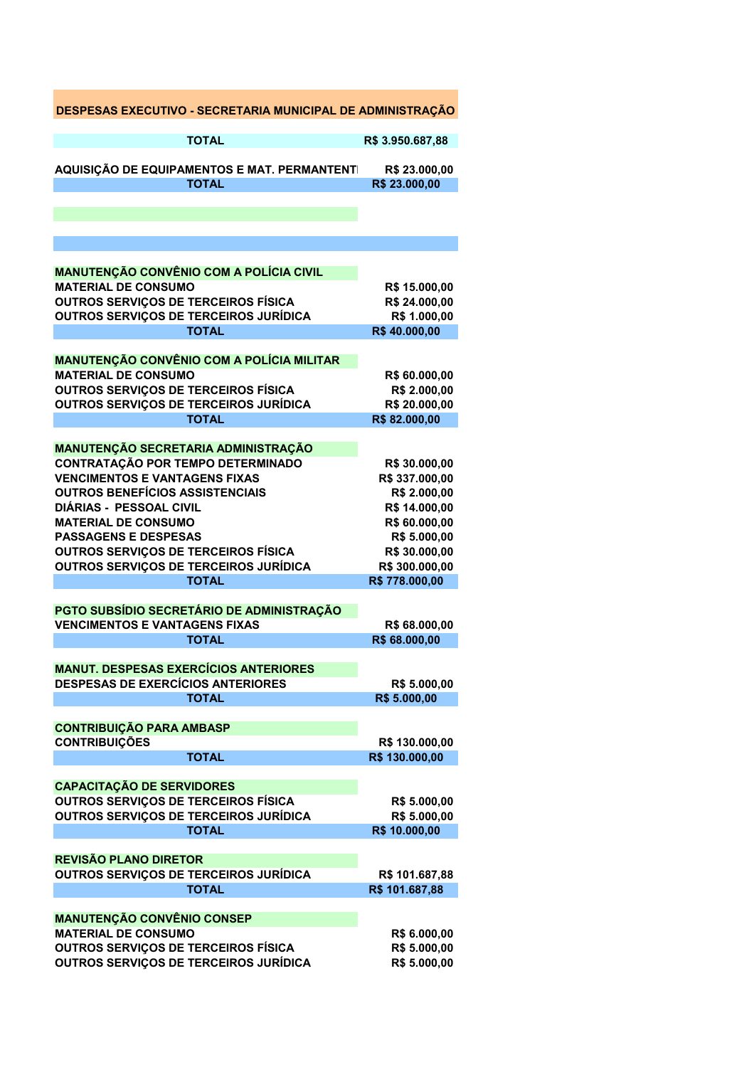| DESPESAS EXECUTIVO - SECRETARIA MUNICIPAL DE ADMINISTRAÇÃO                        |                                 |
|-----------------------------------------------------------------------------------|---------------------------------|
| <b>TOTAL</b>                                                                      | R\$ 3.950.687,88                |
| AQUISIÇÃO DE EQUIPAMENTOS E MAT. PERMANTENTI                                      | R\$ 23.000,00                   |
| <b>TOTAL</b>                                                                      | R\$ 23.000,00                   |
|                                                                                   |                                 |
|                                                                                   |                                 |
| <b>MANUTENÇÃO CONVÊNIO COM A POLÍCIA CIVIL</b>                                    |                                 |
| <b>MATERIAL DE CONSUMO</b>                                                        | R\$ 15.000,00                   |
| OUTROS SERVIÇOS DE TERCEIROS FÍSICA                                               | R\$ 24.000,00                   |
| <b>OUTROS SERVIÇOS DE TERCEIROS JURÍDICA</b>                                      | R\$ 1.000,00                    |
| <b>TOTAL</b>                                                                      | R\$40.000,00                    |
| <b>MANUTENÇÃO CONVÊNIO COM A POLÍCIA MILITAR</b>                                  |                                 |
| <b>MATERIAL DE CONSUMO</b>                                                        | R\$ 60.000,00                   |
| <b>OUTROS SERVIÇOS DE TERCEIROS FÍSICA</b>                                        | R\$ 2.000,00                    |
| <b>OUTROS SERVIÇOS DE TERCEIROS JURÍDICA</b>                                      | R\$ 20.000,00                   |
| <b>TOTAL</b>                                                                      | R\$82.000,00                    |
| MANUTENÇÃO SECRETARIA ADMINISTRAÇÃO                                               |                                 |
| CONTRATAÇÃO POR TEMPO DETERMINADO                                                 | R\$ 30.000,00                   |
| <b>VENCIMENTOS E VANTAGENS FIXAS</b>                                              | R\$ 337.000,00                  |
| <b>OUTROS BENEFÍCIOS ASSISTENCIAIS</b>                                            | R\$ 2.000,00                    |
| DIÁRIAS - PESSOAL CIVIL                                                           | R\$ 14.000,00                   |
| <b>MATERIAL DE CONSUMO</b>                                                        | R\$ 60.000,00                   |
| <b>PASSAGENS E DESPESAS</b>                                                       | R\$ 5.000,00                    |
| <b>OUTROS SERVIÇOS DE TERCEIROS FÍSICA</b>                                        | R\$ 30.000,00                   |
| OUTROS SERVIÇOS DE TERCEIROS JURÍDICA<br><b>TOTAL</b>                             | R\$ 300.000,00<br>R\$778.000,00 |
|                                                                                   |                                 |
| PGTO SUBSÍDIO SECRETÁRIO DE ADMINISTRAÇÃO<br><b>VENCIMENTOS E VANTAGENS FIXAS</b> | R\$ 68.000,00                   |
| <b>TOTAL</b>                                                                      | R\$ 68.000,00                   |
|                                                                                   |                                 |
| <b>MANUT. DESPESAS EXERCÍCIOS ANTERIORES</b>                                      |                                 |
| <b>DESPESAS DE EXERCÍCIOS ANTERIORES</b>                                          | R\$ 5.000,00                    |
| <b>TOTAL</b>                                                                      | R\$ 5.000,00                    |
|                                                                                   |                                 |
| <b>CONTRIBUIÇÃO PARA AMBASP</b>                                                   | R\$ 130.000,00                  |
| <b>CONTRIBUIÇÕES</b><br><b>TOTAL</b>                                              | R\$ 130.000,00                  |
|                                                                                   |                                 |
| <b>CAPACITAÇÃO DE SERVIDORES</b>                                                  |                                 |
| <b>OUTROS SERVICOS DE TERCEIROS FÍSICA</b>                                        | R\$ 5.000,00                    |
| OUTROS SERVIÇOS DE TERCEIROS JURÍDICA                                             | R\$ 5.000,00                    |
| <b>TOTAL</b>                                                                      | R\$ 10.000,00                   |
|                                                                                   |                                 |
| <b>REVISÃO PLANO DIRETOR</b><br>OUTROS SERVIÇOS DE TERCEIROS JURÍDICA             | R\$ 101.687,88                  |
| <b>TOTAL</b>                                                                      | R\$ 101.687,88                  |
| <b>MANUTENÇÃO CONVÊNIO CONSEP</b>                                                 |                                 |
| <b>MATERIAL DE CONSUMO</b>                                                        | R\$ 6.000,00                    |
| <b>OUTROS SERVIÇOS DE TERCEIROS FÍSICA</b>                                        | R\$ 5.000,00                    |
| OUTROS SERVIÇOS DE TERCEIROS JURÍDICA                                             | R\$ 5.000,00                    |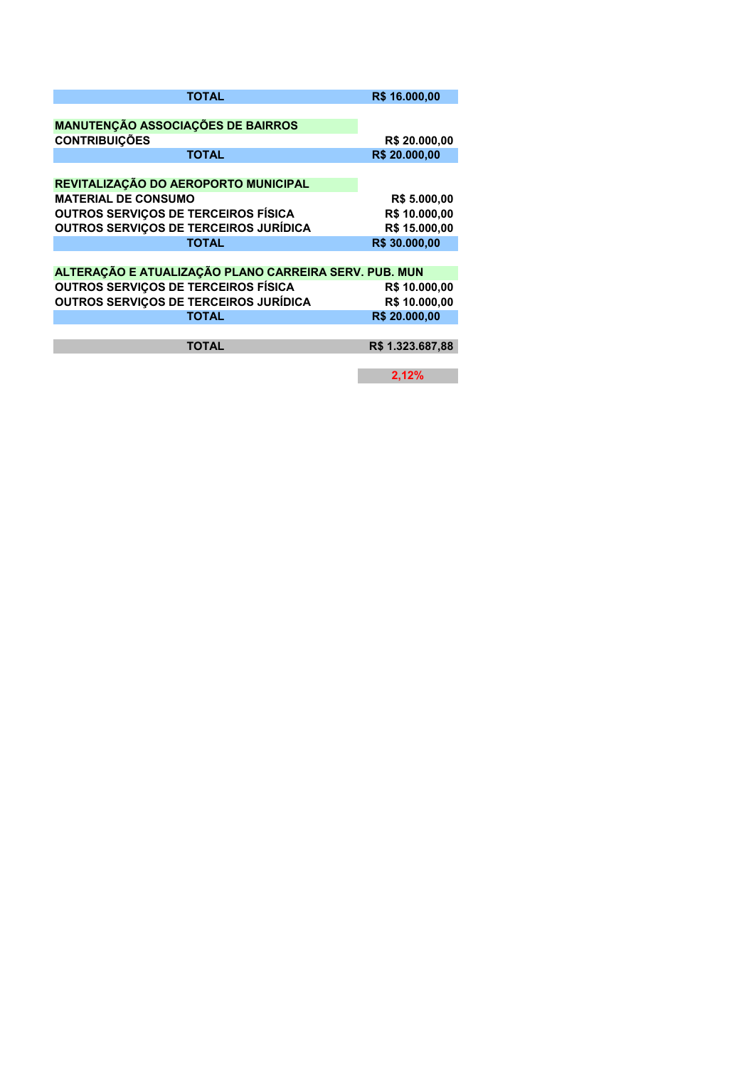| <b>TOTAL</b>                                          | R\$ 16.000,00    |
|-------------------------------------------------------|------------------|
|                                                       |                  |
| <b>MANUTENÇÃO ASSOCIAÇÕES DE BAIRROS</b>              |                  |
| <b>CONTRIBUICÕES</b>                                  | R\$ 20.000,00    |
| <b>TOTAL</b>                                          | R\$ 20.000,00    |
|                                                       |                  |
| REVITALIZAÇÃO DO AEROPORTO MUNICIPAL                  |                  |
| <b>MATERIAL DE CONSUMO</b>                            | R\$ 5.000,00     |
| <b>OUTROS SERVIÇOS DE TERCEIROS FÍSICA</b>            | R\$ 10.000,00    |
| <b>OUTROS SERVIÇOS DE TERCEIROS JURÍDICA</b>          | R\$ 15.000,00    |
| <b>TOTAL</b>                                          | R\$ 30.000,00    |
|                                                       |                  |
| ALTERAÇÃO E ATUALIZAÇÃO PLANO CARREIRA SERV. PUB. MUN |                  |
| <b>OUTROS SERVIÇOS DE TERCEIROS FÍSICA</b>            | R\$ 10.000,00    |
| <b>OUTROS SERVIÇOS DE TERCEIROS JURÍDICA</b>          | R\$ 10.000,00    |
| <b>TOTAL</b>                                          | R\$ 20,000,00    |
|                                                       |                  |
| <b>TOTAL</b>                                          | R\$ 1.323,687,88 |
|                                                       |                  |
|                                                       | 2,12%            |
|                                                       |                  |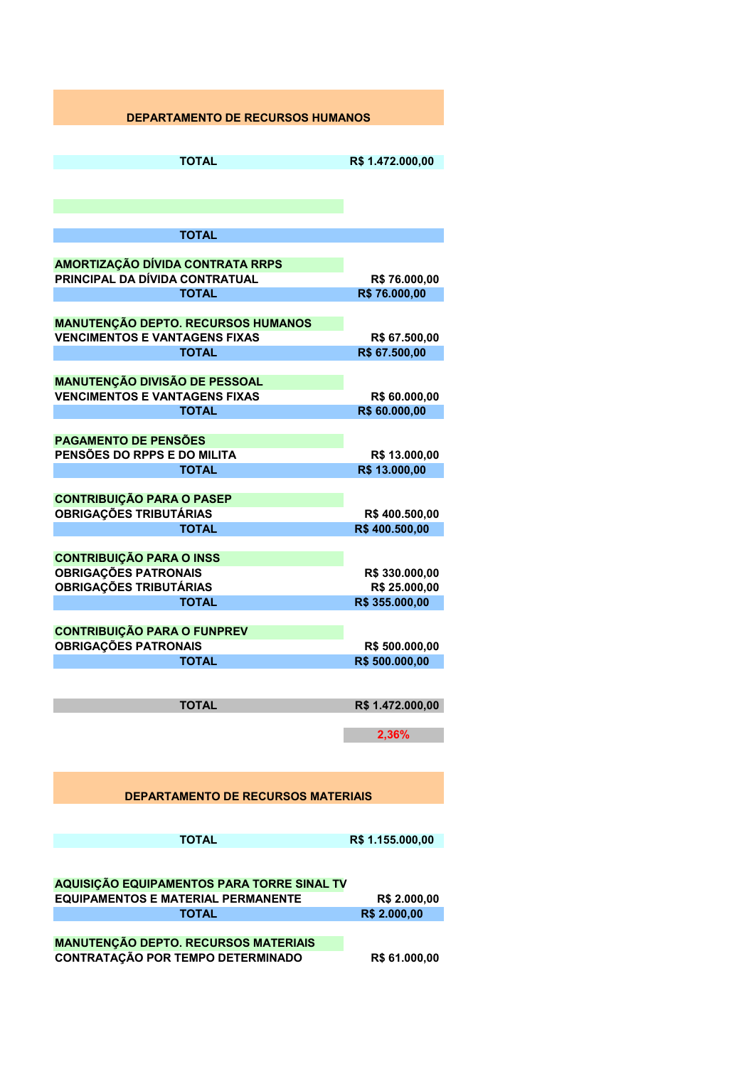## **DEPARTAMENTO DE RECURSOS HUMANOS TOTAL R\$ 1.472.000,00 TOTAL AMORTIZAÇÃO DÍVIDA CONTRATA RRPS PRINCIPAL DA DÍVIDA CONTRATUAL R\$ 76.000,00 TOTAL R\$ 76.000,00 MANUTENÇÃO DEPTO. RECURSOS HUMANOS VENCIMENTOS E VANTAGENS FIXAS R\$ 67.500,00 TOTAL R\$ 67.500,00 MANUTENÇÃO DIVISÃO DE PESSOAL VENCIMENTOS E VANTAGENS FIXAS R\$ 60.000,00 TOTAL R\$ 60.000,00 PAGAMENTO DE PENSÕES PENSÕES DO RPPS E DO MILITA FR\$ 13.000.00 TOTAL R\$ 13.000,00 CONTRIBUIÇÃO PARA O PASEP OBRIGAÇÕES TRIBUTÁRIAS R\$ 400.500,00 TOTAL R\$ 400.500,00 CONTRIBUIÇÃO PARA O INSS OBRIGAÇÕES PATRONAIS R\$ 330.000,00 OBRIGAÇÕES TRIBUTÁRIAS R\$ 25.000,00 TOTAL R\$ 355.000,00 CONTRIBUIÇÃO PARA O FUNPREV OBRIGAÇÕES PATRONAIS R\$ 500.000,00 TOTAL R\$ 500.000,00 TOTAL R\$ 1.472.000,00 2,36% DEPARTAMENTO DE RECURSOS MATERIAIS TOTAL R\$ 1.155.000,00 AQUISIÇÃO EQUIPAMENTOS PARA TORRE SINAL TV EQUIPAMENTOS E MATERIAL PERMANENTE R\$ 2.000,00 TOTAL R\$ 2.000,00 MANUTENÇÃO DEPTO. RECURSOS MATERIAIS CONTRATAÇÃO POR TEMPO DETERMINADO R\$ 61.000,00**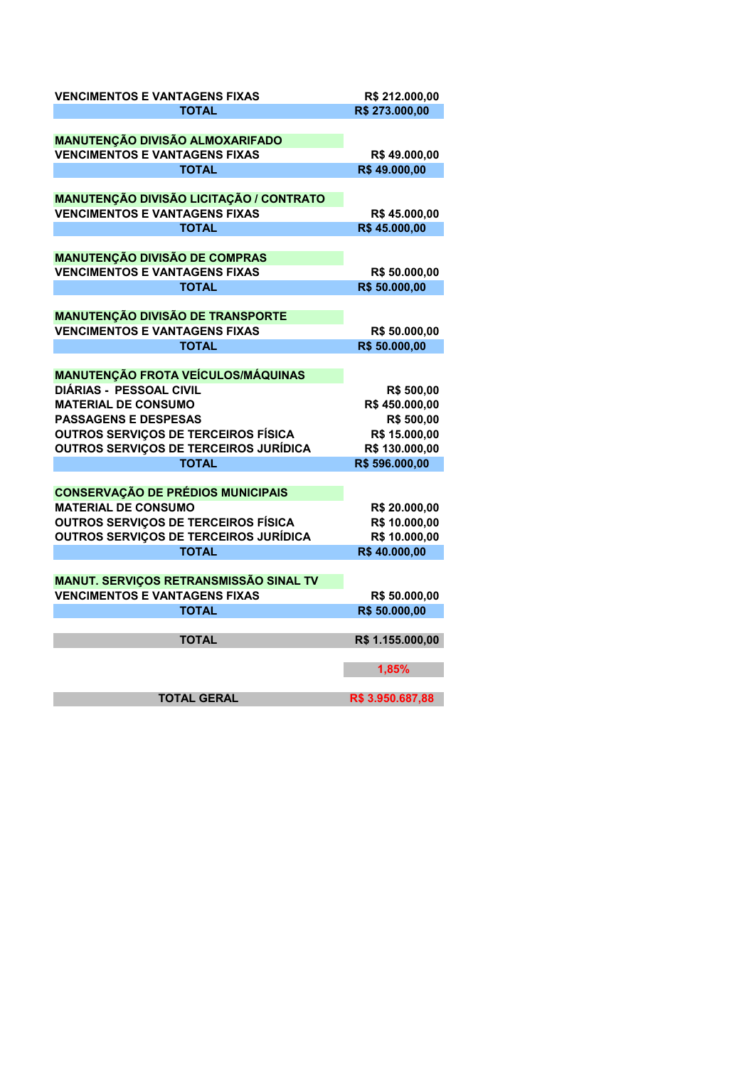| <b>VENCIMENTOS E VANTAGENS FIXAS</b>                                                       | R\$ 212.000,00                 |
|--------------------------------------------------------------------------------------------|--------------------------------|
| <b>TOTAL</b>                                                                               | R\$ 273.000,00                 |
|                                                                                            |                                |
| <b>MANUTENÇÃO DIVISÃO ALMOXARIFADO</b>                                                     |                                |
| <b>VENCIMENTOS E VANTAGENS FIXAS</b>                                                       | R\$49.000,00                   |
| <b>TOTAL</b>                                                                               | R\$49.000,00                   |
|                                                                                            |                                |
| <b>MANUTENÇÃO DIVISÃO LICITAÇÃO / CONTRATO</b>                                             |                                |
| <b>VENCIMENTOS E VANTAGENS FIXAS</b>                                                       | R\$45.000,00                   |
| TOTAL                                                                                      | R\$45.000,00                   |
| <b>MANUTENÇÃO DIVISÃO DE COMPRAS</b>                                                       |                                |
| <b>VENCIMENTOS E VANTAGENS FIXAS</b>                                                       | R\$ 50.000,00                  |
| <b>TOTAL</b>                                                                               | R\$ 50.000,00                  |
|                                                                                            |                                |
| <b>MANUTENÇÃO DIVISÃO DE TRANSPORTE</b>                                                    |                                |
| <b>VENCIMENTOS E VANTAGENS FIXAS</b>                                                       | R\$ 50.000,00                  |
| <b>TOTAL</b>                                                                               | R\$ 50.000,00                  |
|                                                                                            |                                |
| <b>MANUTENÇÃO FROTA VEÍCULOS/MÁQUINAS</b>                                                  |                                |
| <b>DIÁRIAS - PESSOAL CIVIL</b>                                                             | R\$ 500,00                     |
| <b>MATERIAL DE CONSUMO</b>                                                                 | R\$450.000,00                  |
| <b>PASSAGENS E DESPESAS</b>                                                                | R\$ 500,00                     |
| OUTROS SERVIÇOS DE TERCEIROS FÍSICA                                                        | R\$ 15.000,00                  |
| OUTROS SERVIÇOS DE TERCEIROS JURÍDICA                                                      | R\$ 130.000,00                 |
| <b>TOTAL</b>                                                                               | R\$ 596.000,00                 |
|                                                                                            |                                |
| <b>CONSERVAÇÃO DE PRÉDIOS MUNICIPAIS</b>                                                   |                                |
| <b>MATERIAL DE CONSUMO</b>                                                                 | R\$ 20.000,00                  |
| <b>OUTROS SERVIÇOS DE TERCEIROS FÍSICA</b><br><b>OUTROS SERVIÇOS DE TERCEIROS JURÍDICA</b> | R\$ 10.000,00<br>R\$ 10.000,00 |
| <b>TOTAL</b>                                                                               | R\$40.000,00                   |
|                                                                                            |                                |
| MANUT. SERVIÇOS RETRANSMISSÃO SINAL TV                                                     |                                |
| <b>VENCIMENTOS E VANTAGENS FIXAS</b>                                                       | R\$ 50.000,00                  |
| <b>TOTAL</b>                                                                               | R\$ 50.000,00                  |
|                                                                                            |                                |
| <b>TOTAL</b>                                                                               | R\$ 1.155.000,00               |
|                                                                                            | 1,85%                          |
|                                                                                            |                                |
| <b>TOTAL GERAL</b>                                                                         | R\$ 3.950.687,88               |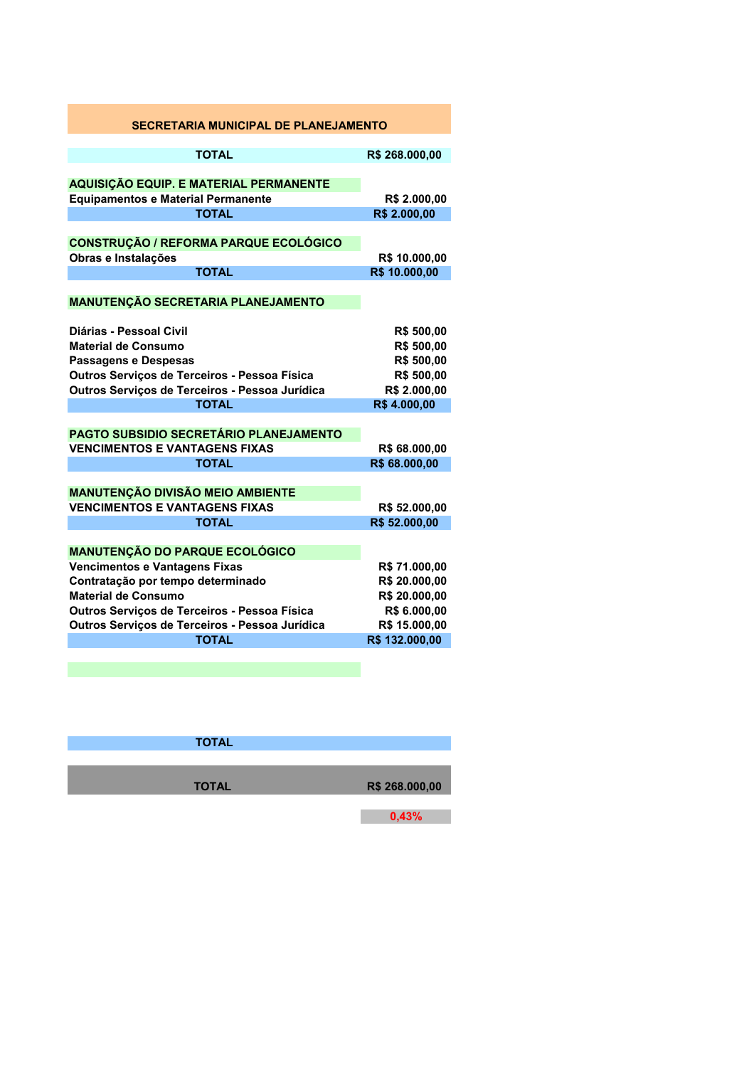| <b>SECRETARIA MUNICIPAL DE PLANEJAMENTO</b>                                                                                                                                              |                                                                                     |
|------------------------------------------------------------------------------------------------------------------------------------------------------------------------------------------|-------------------------------------------------------------------------------------|
| <b>TOTAL</b>                                                                                                                                                                             | R\$ 268.000,00                                                                      |
| <b>AQUISIÇÃO EQUIP. E MATERIAL PERMANENTE</b>                                                                                                                                            |                                                                                     |
| <b>Equipamentos e Material Permanente</b>                                                                                                                                                | R\$ 2.000,00                                                                        |
| <b>TOTAL</b>                                                                                                                                                                             | R\$ 2.000,00                                                                        |
| <b>CONSTRUÇÃO / REFORMA PARQUE ECOLÓGICO</b><br>Obras e Instalações<br><b>TOTAL</b>                                                                                                      | R\$ 10.000,00<br>R\$ 10.000,00                                                      |
|                                                                                                                                                                                          |                                                                                     |
| <b>MANUTENÇÃO SECRETARIA PLANEJAMENTO</b>                                                                                                                                                |                                                                                     |
| Diárias - Pessoal Civil<br>Material de Consumo<br>Passagens e Despesas<br>Outros Serviços de Terceiros - Pessoa Física<br>Outros Serviços de Terceiros - Pessoa Jurídica<br><b>TOTAL</b> | R\$ 500,00<br>R\$ 500,00<br>R\$ 500,00<br>R\$ 500,00<br>R\$ 2.000,00<br>R\$4.000,00 |
| <b>PAGTO SUBSIDIO SECRETÁRIO PLANEJAMENTO</b><br><b>VENCIMENTOS E VANTAGENS FIXAS</b>                                                                                                    | R\$ 68.000,00                                                                       |
| <b>TOTAL</b>                                                                                                                                                                             | R\$ 68.000,00                                                                       |
| <b>MANUTENÇÃO DIVISÃO MEIO AMBIENTE</b><br><b>VENCIMENTOS E VANTAGENS FIXAS</b><br><b>TOTAL</b>                                                                                          | R\$ 52.000,00<br>R\$ 52.000,00                                                      |
| <b>MANUTENÇÃO DO PARQUE ECOLÓGICO</b>                                                                                                                                                    |                                                                                     |
| Vencimentos e Vantagens Fixas<br>Contratação por tempo determinado<br><b>Material de Consumo</b><br>Outros Serviços de Terceiros - Pessoa Física                                         | R\$ 71.000,00<br>R\$ 20.000,00<br>R\$ 20.000,00<br>R\$ 6.000,00                     |
| Outros Serviços de Terceiros - Pessoa Jurídica                                                                                                                                           | R\$ 15.000,00                                                                       |
| <b>TOTAL</b>                                                                                                                                                                             | R\$ 132.000,00                                                                      |
|                                                                                                                                                                                          |                                                                                     |

| <b>TOTAL</b> |                |
|--------------|----------------|
| <b>TOTAL</b> | R\$ 268.000,00 |
|              | 0,43%          |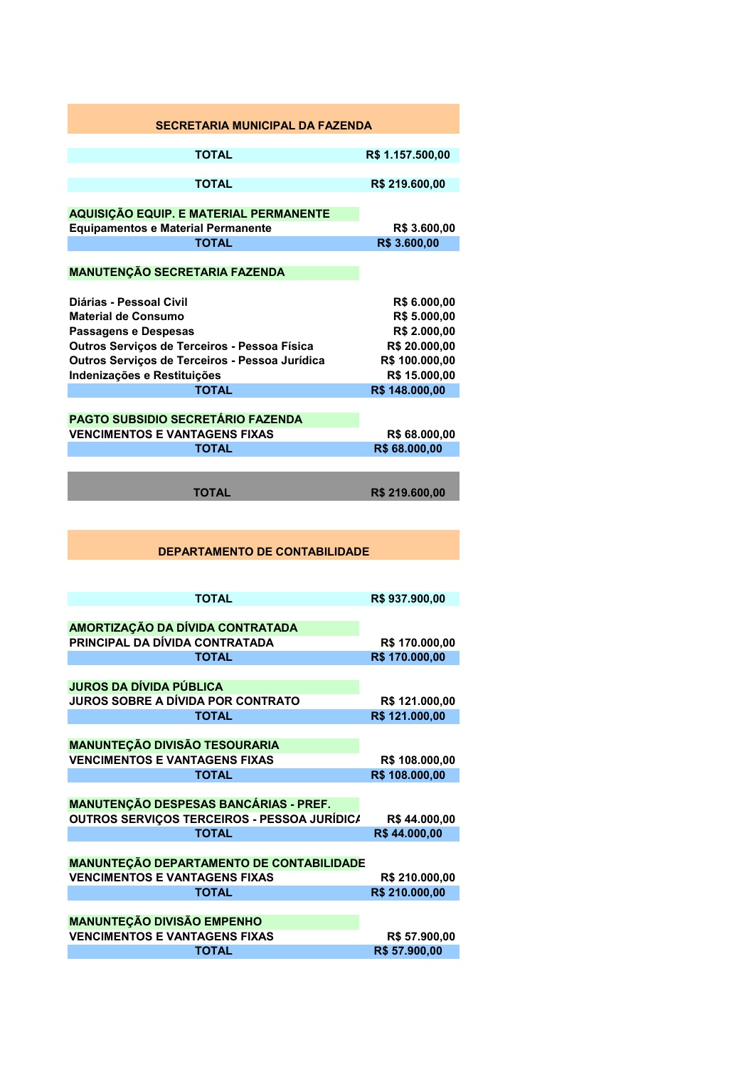| <b>SECRETARIA MUNICIPAL DA FAZENDA</b>                                                     |                                  |
|--------------------------------------------------------------------------------------------|----------------------------------|
| TOTAL                                                                                      | R\$ 1.157.500,00                 |
| <b>TOTAL</b>                                                                               | R\$ 219.600,00                   |
| <b>AQUISIÇÃO EQUIP. E MATERIAL PERMANENTE</b><br><b>Equipamentos e Material Permanente</b> | R\$ 3.600,00                     |
| <b>TOTAL</b>                                                                               | R\$ 3.600,00                     |
| <b>MANUTENÇÃO SECRETARIA FAZENDA</b>                                                       |                                  |
| Diárias - Pessoal Civil<br><b>Material de Consumo</b>                                      | R\$ 6.000,00<br>R\$ 5.000,00     |
| Passagens e Despesas                                                                       | R\$ 2.000,00                     |
| Outros Serviços de Terceiros - Pessoa Física                                               | R\$ 20.000,00                    |
| Outros Serviços de Terceiros - Pessoa Jurídica                                             | R\$ 100.000,00                   |
| Indenizações e Restituições                                                                | R\$ 15.000,00                    |
| TOTAL                                                                                      | R\$ 148.000,00                   |
|                                                                                            |                                  |
| <b>PAGTO SUBSIDIO SECRETÁRIO FAZENDA</b>                                                   |                                  |
| <b>VENCIMENTOS E VANTAGENS FIXAS</b>                                                       | R\$ 68.000,00                    |
| <b>TOTAL</b>                                                                               | R\$ 68.000,00                    |
| TOTAL                                                                                      | R\$ 219.600,00                   |
| <b>DEPARTAMENTO DE CONTABILIDADE</b>                                                       |                                  |
| <b>TOTAL</b>                                                                               | R\$937.900,00                    |
| AMORTIZAÇÃO DA DÍVIDA CONTRATADA                                                           |                                  |
| PRINCIPAL DA DÍVIDA CONTRATADA                                                             | R\$ 170.000,00                   |
| <b>TOTAL</b>                                                                               | R\$ 170.000,00                   |
| <b>JUROS DA DÍVIDA PÚBLICA</b>                                                             |                                  |
| <b>JUROS SOBRE A DÍVIDA POR CONTRATO</b>                                                   | R\$ 121.000,00                   |
| <b>TOTAL</b>                                                                               | R\$ 121.000,00                   |
|                                                                                            |                                  |
| <b>MANUNTEÇÃO DIVISÃO TESOURARIA</b><br><b>VENCIMENTOS E VANTAGENS FIXAS</b>               |                                  |
| <b>TOTAL</b>                                                                               | R\$ 108.000,00<br>R\$ 108.000,00 |
|                                                                                            |                                  |
| MANUTENÇÃO DESPESAS BANCÁRIAS - PREF.                                                      |                                  |
| OUTROS SERVIÇOS TERCEIROS - PESSOA JURÍDIC/                                                | R\$44.000,00                     |
| <b>TOTAL</b>                                                                               | R\$44.000,00                     |
| MANUNTEÇÃO DEPARTAMENTO DE CONTABILIDADE                                                   |                                  |
| <b>VENCIMENTOS E VANTAGENS FIXAS</b>                                                       | R\$ 210.000,00                   |
| <b>TOTAL</b>                                                                               | R\$ 210.000,00                   |
| <b>MANUNTEÇÃO DIVISÃO EMPENHO</b>                                                          |                                  |
| <b>VENCIMENTOS E VANTAGENS FIXAS</b>                                                       | R\$ 57.900,00                    |
| <b>TOTAL</b>                                                                               | R\$ 57.900,00                    |
|                                                                                            |                                  |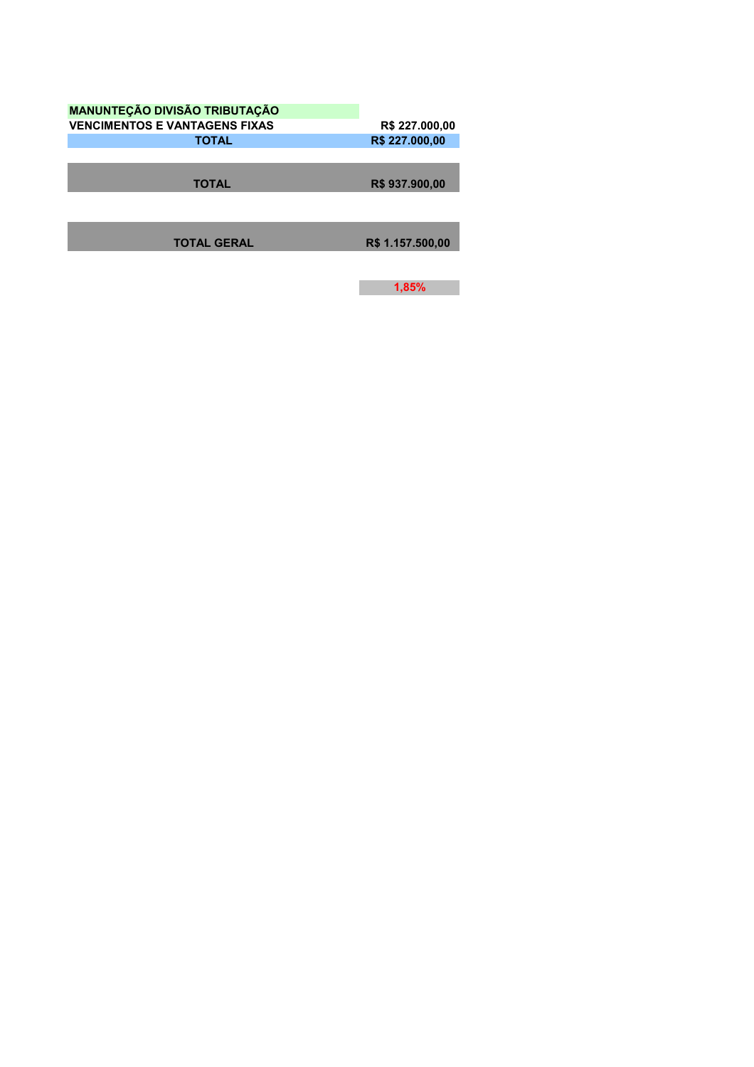| <b>MANUNTEÇÃO DIVISÃO TRIBUTAÇÃO</b> |                  |
|--------------------------------------|------------------|
| <b>VENCIMENTOS E VANTAGENS FIXAS</b> | R\$ 227.000,00   |
| <b>TOTAL</b>                         | R\$ 227.000,00   |
|                                      |                  |
|                                      |                  |
| <b>TOTAL</b>                         | R\$937.900,00    |
|                                      |                  |
|                                      |                  |
|                                      |                  |
| <b>TOTAL GERAL</b>                   | R\$ 1.157.500,00 |
|                                      |                  |

**1,85%**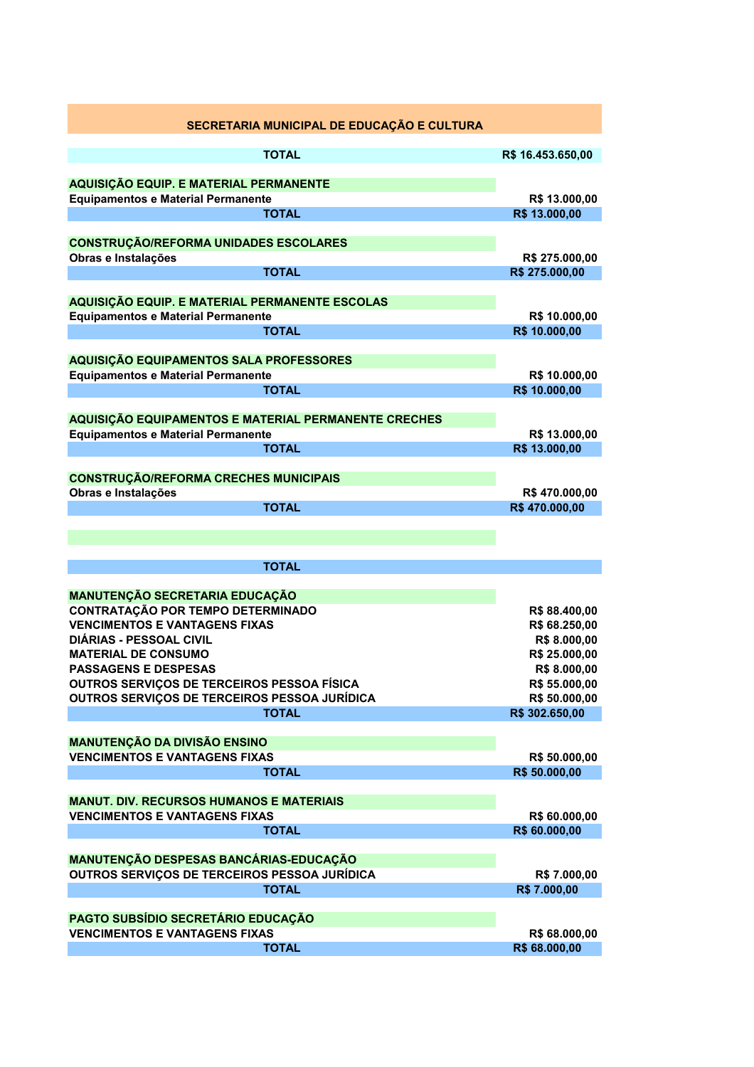| SECRETARIA MUNICIPAL DE EDUCAÇÃO E CULTURA                   |                               |
|--------------------------------------------------------------|-------------------------------|
| <b>TOTAL</b>                                                 | R\$ 16.453.650,00             |
| AQUISIÇÃO EQUIP. E MATERIAL PERMANENTE                       |                               |
| <b>Equipamentos e Material Permanente</b>                    | R\$ 13.000,00                 |
| <b>TOTAL</b>                                                 | R\$ 13.000,00                 |
|                                                              |                               |
| <b>CONSTRUÇÃO/REFORMA UNIDADES ESCOLARES</b>                 |                               |
| Obras e Instalações                                          | R\$ 275.000,00                |
| <b>TOTAL</b>                                                 | R\$ 275.000,00                |
| AQUISIÇÃO EQUIP. E MATERIAL PERMANENTE ESCOLAS               |                               |
| <b>Equipamentos e Material Permanente</b>                    | R\$ 10.000,00                 |
| <b>TOTAL</b>                                                 | R\$ 10.000,00                 |
|                                                              |                               |
| AQUISIÇÃO EQUIPAMENTOS SALA PROFESSORES                      |                               |
| <b>Equipamentos e Material Permanente</b>                    | R\$ 10.000,00                 |
| <b>TOTAL</b>                                                 | R\$ 10.000,00                 |
| AQUISIÇÃO EQUIPAMENTOS E MATERIAL PERMANENTE CRECHES         |                               |
| <b>Equipamentos e Material Permanente</b>                    | R\$ 13.000,00                 |
| <b>TOTAL</b>                                                 | R\$ 13.000,00                 |
|                                                              |                               |
| <b>CONSTRUÇÃO/REFORMA CRECHES MUNICIPAIS</b>                 |                               |
| Obras e Instalações                                          | R\$470.000,00                 |
| <b>TOTAL</b>                                                 | R\$470.000,00                 |
|                                                              |                               |
|                                                              |                               |
| <b>TOTAL</b>                                                 |                               |
|                                                              |                               |
| <b>MANUTENÇÃO SECRETARIA EDUCAÇÃO</b>                        |                               |
| <b>CONTRATAÇÃO POR TEMPO DETERMINADO</b>                     | R\$88.400,00                  |
| <b>VENCIMENTOS E VANTAGENS FIXAS</b>                         | R\$ 68.250,00                 |
| <b>DIÁRIAS - PESSOAL CIVIL</b><br><b>MATERIAL DE CONSUMO</b> | R\$ 8.000,00<br>R\$ 25.000,00 |
| <b>PASSAGENS E DESPESAS</b>                                  | R\$ 8.000,00                  |
| OUTROS SERVIÇOS DE TERCEIROS PESSOA FÍSICA                   | R\$ 55.000,00                 |
| OUTROS SERVIÇOS DE TERCEIROS PESSOA JURÍDICA                 | R\$ 50.000,00                 |
| <b>TOTAL</b>                                                 | R\$ 302.650,00                |
|                                                              |                               |
| <b>MANUTENÇÃO DA DIVISÃO ENSINO</b>                          |                               |
| <b>VENCIMENTOS E VANTAGENS FIXAS</b>                         | R\$ 50.000,00                 |
| <b>TOTAL</b>                                                 | R\$ 50.000,00                 |
| <b>MANUT. DIV. RECURSOS HUMANOS E MATERIAIS</b>              |                               |
| <b>VENCIMENTOS E VANTAGENS FIXAS</b>                         | R\$ 60.000,00                 |
| <b>TOTAL</b>                                                 | R\$ 60.000,00                 |
|                                                              |                               |
| MANUTENÇÃO DESPESAS BANCÁRIAS-EDUCAÇÃO                       |                               |
| OUTROS SERVIÇOS DE TERCEIROS PESSOA JURÍDICA                 | R\$ 7.000,00                  |
| <b>TOTAL</b>                                                 | R\$ 7.000,00                  |
| PAGTO SUBSÍDIO SECRETÁRIO EDUCAÇÃO                           |                               |
| <b>VENCIMENTOS E VANTAGENS FIXAS</b>                         | R\$ 68.000,00                 |
| <b>TOTAL</b>                                                 | R\$ 68.000,00                 |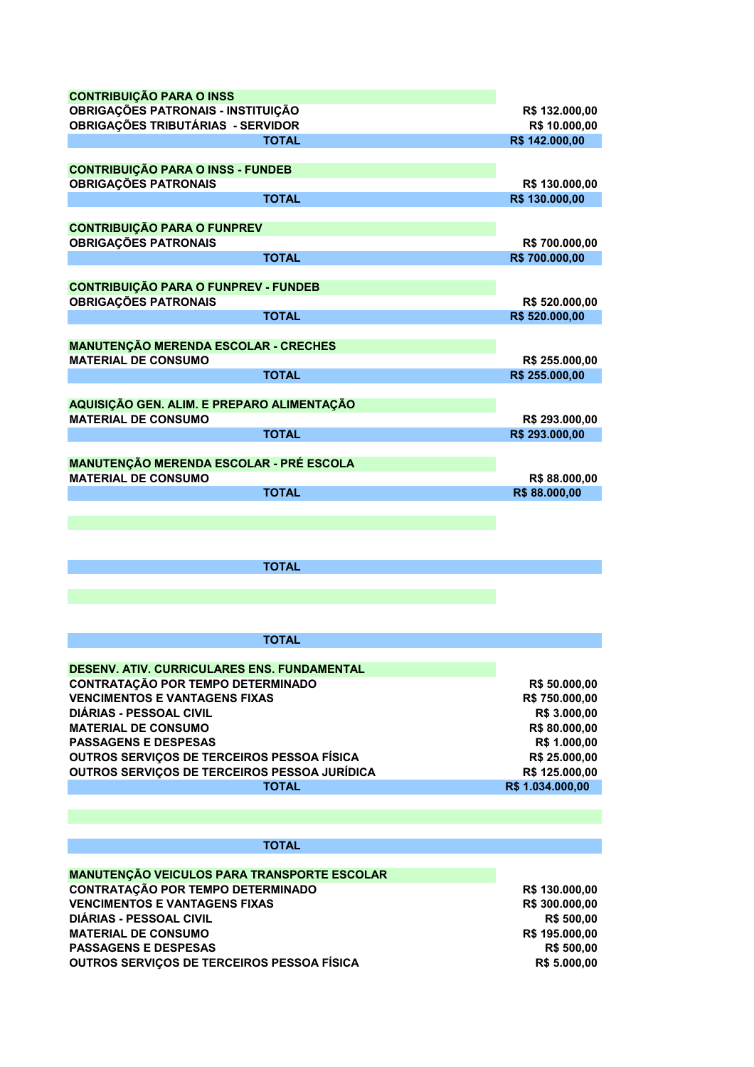| <b>CONTRIBUIÇÃO PARA O INSS</b>                                                            |                                 |
|--------------------------------------------------------------------------------------------|---------------------------------|
| OBRIGAÇÕES PATRONAIS - INSTITUIÇÃO                                                         | R\$ 132.000,00                  |
| <b>OBRIGAÇÕES TRIBUTÁRIAS - SERVIDOR</b>                                                   | R\$ 10.000,00                   |
| <b>TOTAL</b>                                                                               | R\$ 142.000,00                  |
| <b>CONTRIBUIÇÃO PARA O INSS - FUNDEB</b>                                                   |                                 |
| <b>OBRIGAÇÕES PATRONAIS</b>                                                                | R\$ 130.000,00                  |
| <b>TOTAL</b>                                                                               | R\$ 130.000,00                  |
| <b>CONTRIBUIÇÃO PARA O FUNPREV</b>                                                         |                                 |
| <b>OBRIGAÇÕES PATRONAIS</b>                                                                | R\$700.000,00                   |
| <b>TOTAL</b>                                                                               | R\$ 700.000,00                  |
|                                                                                            |                                 |
| <b>CONTRIBUIÇÃO PARA O FUNPREV - FUNDEB</b>                                                |                                 |
| <b>OBRIGAÇÕES PATRONAIS</b>                                                                | R\$ 520.000,00                  |
| <b>TOTAL</b>                                                                               | R\$ 520.000,00                  |
| <b>MANUTENÇÃO MERENDA ESCOLAR - CRECHES</b>                                                |                                 |
| <b>MATERIAL DE CONSUMO</b>                                                                 | R\$ 255.000,00                  |
| <b>TOTAL</b>                                                                               | R\$ 255.000,00                  |
|                                                                                            |                                 |
| AQUISIÇÃO GEN. ALIM. E PREPARO ALIMENTAÇÃO<br><b>MATERIAL DE CONSUMO</b>                   | R\$ 293.000,00                  |
| <b>TOTAL</b>                                                                               | R\$ 293.000,00                  |
|                                                                                            |                                 |
| <b>MANUTENÇÃO MERENDA ESCOLAR - PRÉ ESCOLA</b>                                             |                                 |
| <b>MATERIAL DE CONSUMO</b>                                                                 | R\$88.000,00                    |
| <b>TOTAL</b>                                                                               | R\$88.000,00                    |
|                                                                                            |                                 |
|                                                                                            |                                 |
|                                                                                            |                                 |
| <b>TOTAL</b>                                                                               |                                 |
|                                                                                            |                                 |
|                                                                                            |                                 |
|                                                                                            |                                 |
| <b>TOTAL</b>                                                                               |                                 |
| DESENV. ATIV. CURRICULARES ENS. FUNDAMENTAL                                                |                                 |
| <b>CONTRATAÇÃO POR TEMPO DETERMINADO</b>                                                   | R\$ 50.000,00                   |
| <b>VENCIMENTOS E VANTAGENS FIXAS</b>                                                       | R\$ 750.000,00                  |
| <b>DIÁRIAS - PESSOAL CIVIL</b>                                                             | R\$ 3.000,00                    |
| <b>MATERIAL DE CONSUMO</b>                                                                 | R\$80.000,00                    |
| <b>PASSAGENS E DESPESAS</b>                                                                | R\$ 1.000,00                    |
| OUTROS SERVIÇOS DE TERCEIROS PESSOA FÍSICA<br>OUTROS SERVIÇOS DE TERCEIROS PESSOA JURÍDICA | R\$ 25.000,00<br>R\$ 125.000,00 |
| <b>TOTAL</b>                                                                               | R\$ 1.034.000,00                |
|                                                                                            |                                 |
|                                                                                            |                                 |
|                                                                                            |                                 |
| <b>TOTAL</b>                                                                               |                                 |
| <b>MANUTENÇÃO VEICULOS PARA TRANSPORTE ESCOLAR</b>                                         |                                 |
| <b>CONTRATAÇÃO POR TEMPO DETERMINADO</b>                                                   | R\$ 130.000,00                  |
| <b>VENCIMENTOS E VANTAGENS FIXAS</b>                                                       | R\$ 300.000,00                  |
| <b>DIÁRIAS - PESSOAL CIVIL</b>                                                             | R\$ 500,00                      |
| <b>MATERIAL DE CONSUMO</b><br><b>PASSAGENS E DESPESAS</b>                                  | R\$ 195.000,00<br>R\$ 500,00    |
| OUTROS SERVIÇOS DE TERCEIROS PESSOA FÍSICA                                                 | R\$ 5.000,00                    |
|                                                                                            |                                 |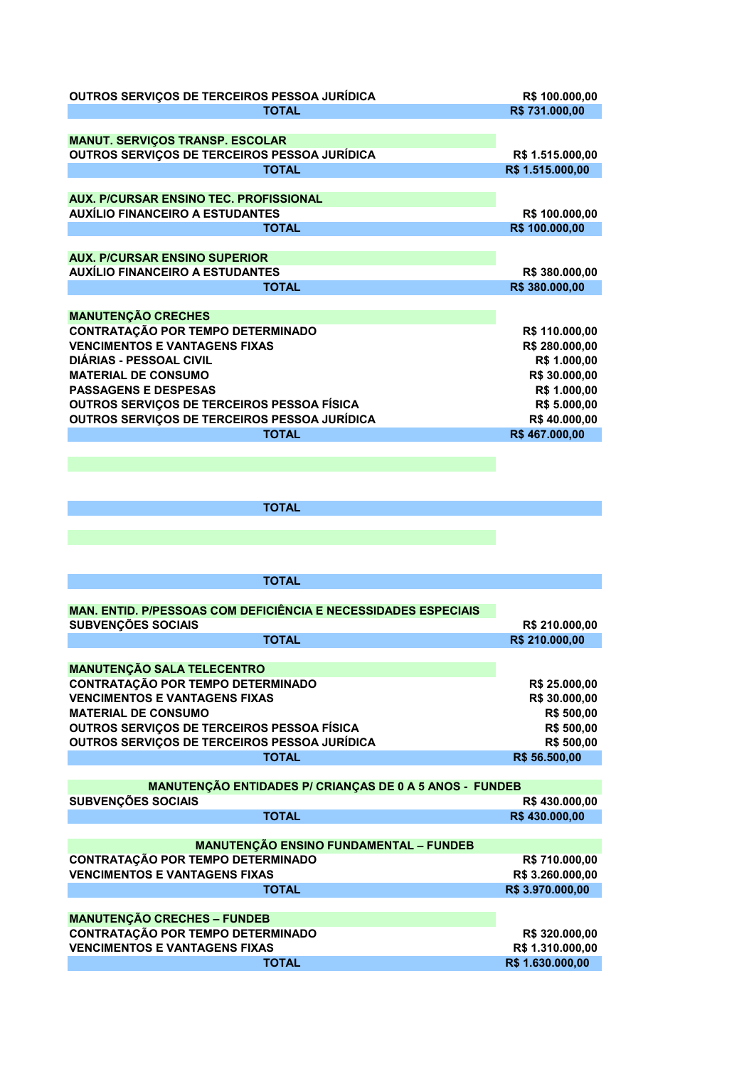| OUTROS SERVIÇOS DE TERCEIROS PESSOA JURÍDICA                          | R\$ 100.000,00   |
|-----------------------------------------------------------------------|------------------|
| <b>TOTAL</b>                                                          | R\$731.000,00    |
|                                                                       |                  |
| <b>MANUT. SERVIÇOS TRANSP. ESCOLAR</b>                                |                  |
| OUTROS SERVIÇOS DE TERCEIROS PESSOA JURÍDICA                          | R\$ 1.515.000,00 |
| <b>TOTAL</b>                                                          | R\$ 1.515.000,00 |
|                                                                       |                  |
| AUX. P/CURSAR ENSINO TEC. PROFISSIONAL                                |                  |
| <b>AUXÍLIO FINANCEIRO A ESTUDANTES</b>                                | R\$ 100.000,00   |
| <b>TOTAL</b>                                                          | R\$ 100.000,00   |
|                                                                       |                  |
| <b>AUX. P/CURSAR ENSINO SUPERIOR</b>                                  |                  |
| <b>AUXÍLIO FINANCEIRO A ESTUDANTES</b>                                | R\$ 380.000,00   |
| <b>TOTAL</b>                                                          | R\$ 380.000,00   |
|                                                                       |                  |
|                                                                       |                  |
| <b>MANUTENÇÃO CRECHES</b>                                             |                  |
| <b>CONTRATAÇÃO POR TEMPO DETERMINADO</b>                              | R\$ 110.000,00   |
| <b>VENCIMENTOS E VANTAGENS FIXAS</b>                                  | R\$ 280.000,00   |
| <b>DIÁRIAS - PESSOAL CIVIL</b>                                        | R\$ 1.000,00     |
| <b>MATERIAL DE CONSUMO</b>                                            | R\$ 30.000,00    |
| <b>PASSAGENS E DESPESAS</b>                                           | R\$ 1.000,00     |
| OUTROS SERVIÇOS DE TERCEIROS PESSOA FÍSICA                            | R\$ 5.000,00     |
| OUTROS SERVIÇOS DE TERCEIROS PESSOA JURÍDICA                          | R\$40.000,00     |
| <b>TOTAL</b>                                                          | R\$467.000,00    |
|                                                                       |                  |
|                                                                       |                  |
|                                                                       |                  |
|                                                                       |                  |
| <b>TOTAL</b>                                                          |                  |
|                                                                       |                  |
|                                                                       |                  |
|                                                                       |                  |
|                                                                       |                  |
| <b>TOTAL</b>                                                          |                  |
|                                                                       |                  |
| <b>MAN. ENTID. P/PESSOAS COM DEFICIÊNCIA E NECESSIDADES ESPECIAIS</b> |                  |
| <b>SUBVENÇÕES SOCIAIS</b>                                             | R\$ 210.000,00   |
| <b>TOTAL</b>                                                          | R\$ 210.000,00   |
|                                                                       |                  |
|                                                                       |                  |
| <b>MANUTENÇÃO SALA TELECENTRO</b>                                     |                  |
| <b>CONTRATAÇÃO POR TEMPO DETERMINADO</b>                              | R\$ 25.000,00    |
| <b>VENCIMENTOS E VANTAGENS FIXAS</b>                                  | R\$ 30.000,00    |
| <b>MATERIAL DE CONSUMO</b>                                            | R\$ 500,00       |
| OUTROS SERVIÇOS DE TERCEIROS PESSOA FÍSICA                            | R\$ 500,00       |
| OUTROS SERVIÇOS DE TERCEIROS PESSOA JURÍDICA                          | R\$ 500,00       |
| <b>TOTAL</b>                                                          | R\$ 56.500,00    |
|                                                                       |                  |
| <b>MANUTENÇÃO ENTIDADES P/ CRIANÇAS DE 0 A 5 ANOS - FUNDEB</b>        |                  |
| <b>SUBVENÇÕES SOCIAIS</b>                                             | R\$430.000,00    |
| <b>TOTAL</b>                                                          | R\$430.000,00    |
|                                                                       |                  |
| <b>MANUTENÇÃO ENSINO FUNDAMENTAL - FUNDEB</b>                         |                  |
| CONTRATAÇÃO POR TEMPO DETERMINADO                                     | R\$ 710.000,00   |
| <b>VENCIMENTOS E VANTAGENS FIXAS</b>                                  | R\$ 3.260.000,00 |
| <b>TOTAL</b>                                                          | R\$ 3.970.000,00 |
|                                                                       |                  |
|                                                                       |                  |
| <b>MANUTENÇÃO CRECHES - FUNDEB</b>                                    |                  |
| <b>CONTRATAÇÃO POR TEMPO DETERMINADO</b>                              | R\$ 320.000,00   |
| <b>VENCIMENTOS E VANTAGENS FIXAS</b>                                  | R\$ 1.310.000,00 |
| <b>TOTAL</b>                                                          | R\$ 1.630.000,00 |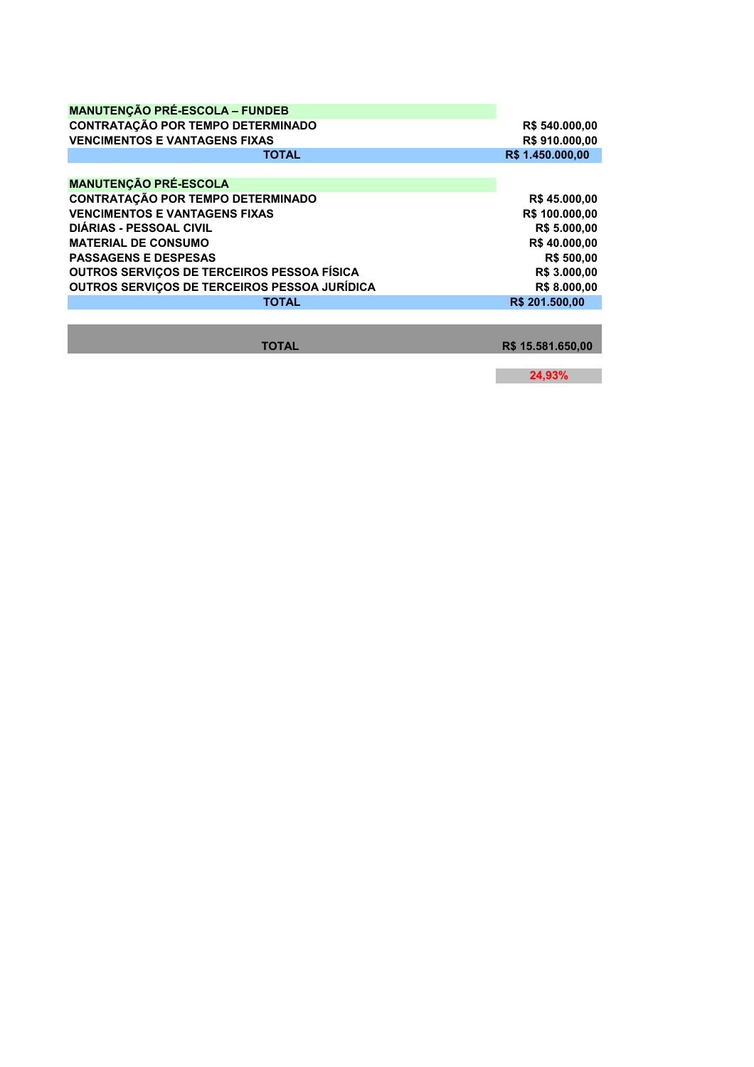| <b>MANUTENÇÃO PRÉ-ESCOLA - FUNDEB</b>             |                     |
|---------------------------------------------------|---------------------|
| <b>CONTRATAÇÃO POR TEMPO DETERMINADO</b>          | R\$ 540.000,00      |
| <b>VENCIMENTOS E VANTAGENS FIXAS</b>              | R\$910,000,00       |
| <b>TOTAL</b>                                      | R\$ 1.450,000.00    |
|                                                   |                     |
| <b>MANUTENÇÃO PRÉ-ESCOLA</b>                      |                     |
| <b>CONTRATAÇÃO POR TEMPO DETERMINADO</b>          | R\$45.000,00        |
| <b>VENCIMENTOS E VANTAGENS FIXAS</b>              | R\$ 100.000,00      |
| <b>DIÁRIAS - PESSOAL CIVIL</b>                    | R\$ 5.000,00        |
| <b>MATERIAL DE CONSUMO</b>                        | R\$40,000.00        |
| <b>PASSAGENS E DESPESAS</b>                       | <b>R\$ 500,00</b>   |
| <b>OUTROS SERVICOS DE TERCEIROS PESSOA FÍSICA</b> | <b>R\$ 3.000.00</b> |
| OUTROS SERVIÇOS DE TERCEIROS PESSOA JURÍDICA      | R\$ 8.000,00        |
| <b>TOTAL</b>                                      | R\$ 201.500.00      |
|                                                   |                     |

**TOTAL R\$ 15.581.650,00** 

**24,93%**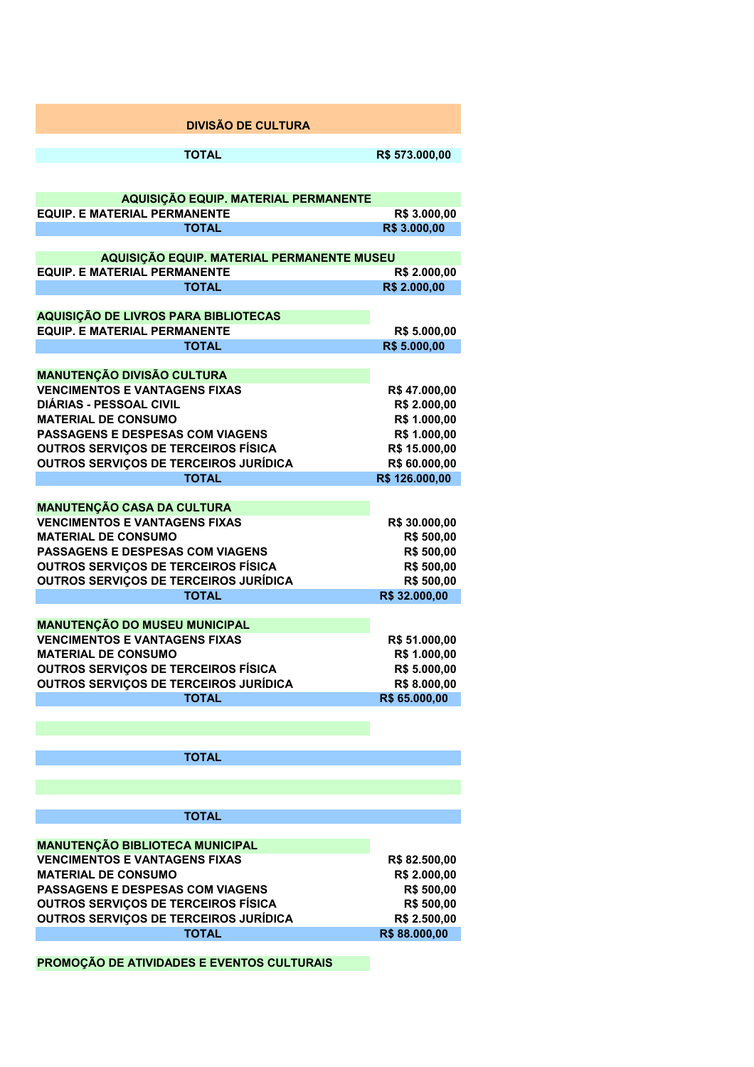| <b>DIVISÃO DE CULTURA</b>                                                             |                                 |
|---------------------------------------------------------------------------------------|---------------------------------|
| <b>TOTAL</b>                                                                          | R\$ 573.000,00                  |
|                                                                                       |                                 |
| AQUISIÇÃO EQUIP. MATERIAL PERMANENTE<br><b>EQUIP. E MATERIAL PERMANENTE</b>           | R\$ 3.000,00                    |
| <b>TOTAL</b>                                                                          | R\$ 3.000,00                    |
| AQUISIÇÃO EQUIP. MATERIAL PERMANENTE MUSEU                                            |                                 |
| <b>EQUIP. E MATERIAL PERMANENTE</b>                                                   | R\$ 2.000,00                    |
| <b>TOTAL</b>                                                                          | R\$ 2.000,00                    |
|                                                                                       |                                 |
| AQUISIÇÃO DE LIVROS PARA BIBLIOTECAS                                                  |                                 |
| <b>EQUIP. E MATERIAL PERMANENTE</b>                                                   | R\$ 5.000,00                    |
| <b>TOTAL</b>                                                                          | R\$ 5.000,00                    |
|                                                                                       |                                 |
| <b>MANUTENÇÃO DIVISÃO CULTURA</b>                                                     |                                 |
| <b>VENCIMENTOS E VANTAGENS FIXAS</b>                                                  | R\$47.000,00                    |
| <b>DIÁRIAS - PESSOAL CIVIL</b>                                                        | R\$ 2.000,00                    |
| <b>MATERIAL DE CONSUMO</b>                                                            | R\$ 1.000,00                    |
| <b>PASSAGENS E DESPESAS COM VIAGENS</b><br><b>OUTROS SERVICOS DE TERCEIROS FÍSICA</b> | R\$ 1.000,00                    |
|                                                                                       | R\$ 15.000,00                   |
| <b>OUTROS SERVIÇOS DE TERCEIROS JURÍDICA</b><br><b>TOTAL</b>                          | R\$ 60.000,00<br>R\$ 126.000,00 |
|                                                                                       |                                 |
| <b>MANUTENÇÃO CASA DA CULTURA</b>                                                     |                                 |
| <b>VENCIMENTOS E VANTAGENS FIXAS</b>                                                  | R\$ 30.000,00                   |
| <b>MATERIAL DE CONSUMO</b>                                                            | R\$ 500,00                      |
| <b>PASSAGENS E DESPESAS COM VIAGENS</b>                                               | R\$ 500,00                      |
| <b>OUTROS SERVIÇOS DE TERCEIROS FÍSICA</b>                                            | R\$ 500,00                      |
| <b>OUTROS SERVIÇOS DE TERCEIROS JURÍDICA</b>                                          | R\$ 500,00                      |
| <b>TOTAL</b>                                                                          | R\$ 32.000,00                   |
|                                                                                       |                                 |
| <b>MANUTENÇÃO DO MUSEU MUNICIPAL</b>                                                  |                                 |
| <b>VENCIMENTOS E VANTAGENS FIXAS</b>                                                  | R\$ 51.000,00                   |
| <b>MATERIAL DE CONSUMO</b>                                                            | R\$ 1.000,00                    |
| <b>OUTROS SERVIÇOS DE TERCEIROS FÍSICA</b>                                            | R\$ 5.000,00                    |
| <b>OUTROS SERVIÇOS DE TERCEIROS JURÍDICA</b>                                          | R\$ 8.000,00                    |
| <b>TOTAL</b>                                                                          | R\$ 65.000,00                   |
|                                                                                       |                                 |
| <b>TOTAL</b>                                                                          |                                 |
|                                                                                       |                                 |
|                                                                                       |                                 |
| <b>TOTAL</b>                                                                          |                                 |
|                                                                                       |                                 |
| <b>MANUTENÇÃO BIBLIOTECA MUNICIPAL</b>                                                |                                 |
| <b>VENCIMENTOS E VANTAGENS FIXAS</b>                                                  | R\$ 82.500,00                   |
| <b>MATERIAL DE CONSUMO</b>                                                            | R\$ 2.000,00                    |
| <b>PASSAGENS E DESPESAS COM VIAGENS</b>                                               | R\$ 500,00                      |
| <b>OUTROS SERVIÇOS DE TERCEIROS FÍSICA</b>                                            | R\$ 500,00                      |
| <b>OUTROS SERVIÇOS DE TERCEIROS JURÍDICA</b>                                          | R\$ 2.500,00                    |
| <b>TOTAL</b>                                                                          | R\$88.000,00                    |
|                                                                                       |                                 |
| PROMOÇÃO DE ATIVIDADES E EVENTOS CULTURAIS                                            |                                 |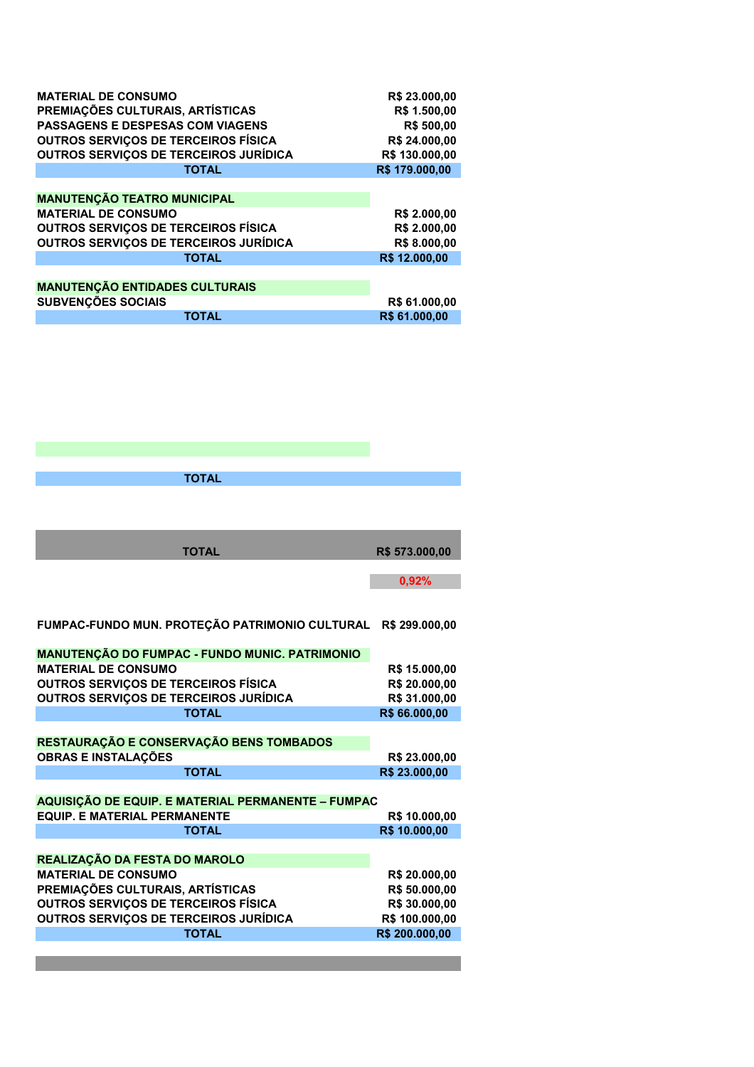| <b>MATERIAL DE CONSUMO</b>                   | R\$ 23.000,00     |
|----------------------------------------------|-------------------|
| PREMIAÇÕES CULTURAIS, ARTÍSTICAS             | R\$ 1.500.00      |
| <b>PASSAGENS E DESPESAS COM VIAGENS</b>      | <b>R\$ 500.00</b> |
| <b>OUTROS SERVICOS DE TERCEIROS FÍSICA</b>   | R\$ 24,000.00     |
| <b>OUTROS SERVICOS DE TERCEIROS JURÍDICA</b> | R\$ 130,000,00    |
| <b>TOTAL</b>                                 | R\$ 179.000,00    |
|                                              |                   |
| <b>MANUTENÇÃO TEATRO MUNICIPAL</b>           |                   |
| <b>MATERIAL DE CONSUMO</b>                   | R\$ 2.000,00      |
| <b>OUTROS SERVIÇOS DE TERCEIROS FÍSICA</b>   | R\$ 2.000,00      |
| <b>OUTROS SERVIÇOS DE TERCEIROS JURÍDICA</b> | R\$ 8.000.00      |
| <b>TOTAL</b>                                 | R\$ 12,000.00     |
|                                              |                   |
| <b>MANUTENÇÃO ENTIDADES CULTURAIS</b>        |                   |
| <b>SUBVENCÕES SOCIAIS</b>                    | R\$ 61.000,00     |
| TOTAL                                        | R\$ 61,000.00     |

| <b>TOTAL</b>                                       |                |
|----------------------------------------------------|----------------|
|                                                    |                |
|                                                    |                |
|                                                    |                |
| <b>TOTAL</b>                                       | R\$ 573.000,00 |
|                                                    |                |
|                                                    | 0,92%          |
|                                                    |                |
|                                                    |                |
| FUMPAC-FUNDO MUN. PROTEÇÃO PATRIMONIO CULTURAL     | R\$ 299.000,00 |
| MANUTENÇÃO DO FUMPAC - FUNDO MUNIC. PATRIMONIO     |                |
| <b>MATERIAL DE CONSUMO</b>                         | R\$ 15.000,00  |
| <b>OUTROS SERVIÇOS DE TERCEIROS FÍSICA</b>         | R\$ 20.000,00  |
| OUTROS SERVIÇOS DE TERCEIROS JURÍDICA              | R\$ 31.000,00  |
| <b>TOTAL</b>                                       | R\$ 66.000,00  |
|                                                    |                |
| RESTAURAÇÃO E CONSERVAÇÃO BENS TOMBADOS            |                |
| <b>OBRAS E INSTALAÇÕES</b>                         | R\$ 23.000,00  |
| <b>TOTAL</b>                                       | R\$ 23.000,00  |
|                                                    |                |
| AQUISIÇÃO DE EQUIP. E MATERIAL PERMANENTE - FUMPAC |                |
| <b>EQUIP. E MATERIAL PERMANENTE</b>                | R\$ 10.000,00  |
| <b>TOTAL</b>                                       | R\$ 10.000,00  |
|                                                    |                |
| REALIZAÇÃO DA FESTA DO MAROLO                      |                |
| <b>MATERIAL DE CONSUMO</b>                         | R\$ 20.000,00  |
| PREMIAÇÕES CULTURAIS, ARTÍSTICAS                   | R\$ 50.000,00  |
| OUTROS SERVIÇOS DE TERCEIROS FÍSICA                | R\$ 30.000,00  |
| <b>OUTROS SERVIÇOS DE TERCEIROS JURÍDICA</b>       | R\$ 100.000,00 |
| <b>TOTAL</b>                                       | R\$ 200.000,00 |
|                                                    |                |
|                                                    |                |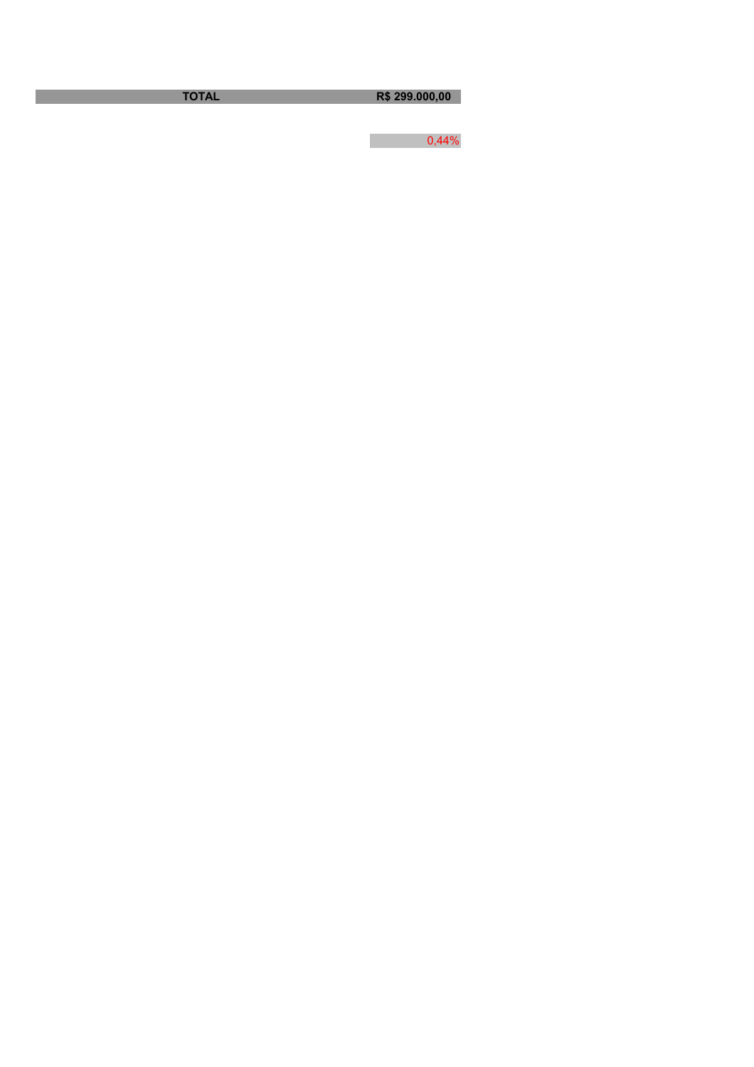**TOTAL R\$ 299.000,00** 

 $0,44\%$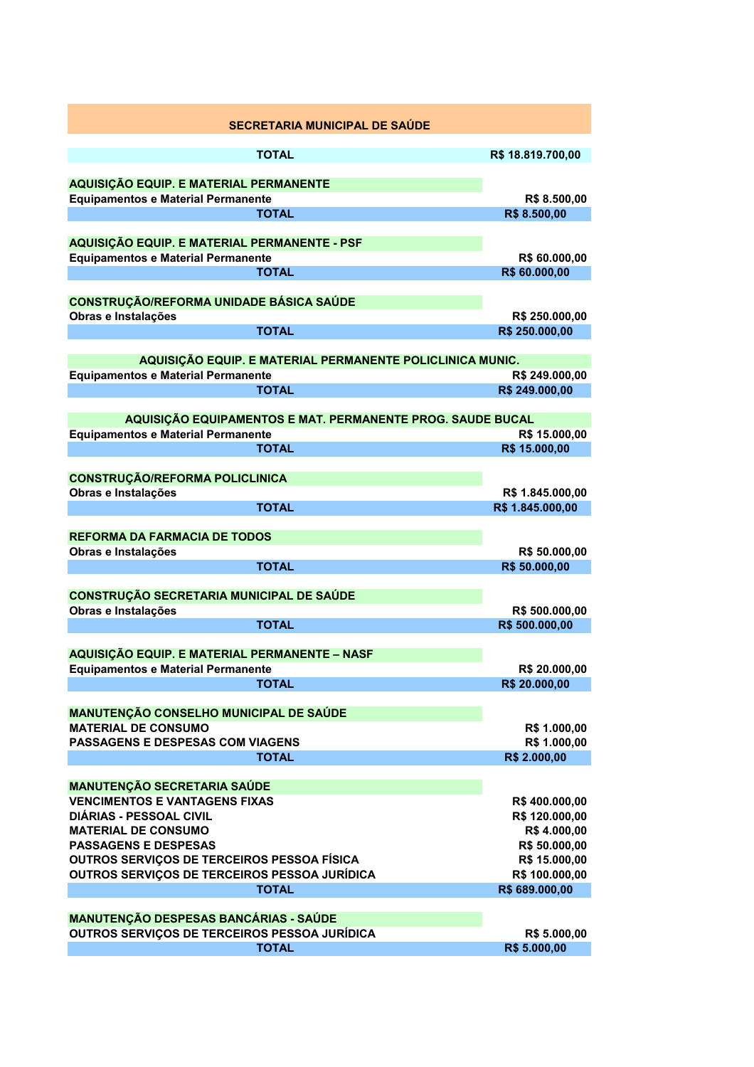| SECRETARIA MUNICIPAL DE SAÚDE                                                              |                                 |
|--------------------------------------------------------------------------------------------|---------------------------------|
| <b>TOTAL</b>                                                                               | R\$ 18.819.700,00               |
|                                                                                            |                                 |
| AQUISIÇÃO EQUIP. E MATERIAL PERMANENTE                                                     |                                 |
| <b>Equipamentos e Material Permanente</b><br><b>TOTAL</b>                                  | R\$ 8.500,00<br>R\$ 8.500,00    |
|                                                                                            |                                 |
| AQUISIÇÃO EQUIP. E MATERIAL PERMANENTE - PSF                                               |                                 |
| <b>Equipamentos e Material Permanente</b>                                                  | R\$ 60.000,00                   |
| <b>TOTAL</b>                                                                               | R\$ 60.000,00                   |
| <b>CONSTRUÇÃO/REFORMA UNIDADE BÁSICA SAÚDE</b><br>Obras e Instalações                      | R\$ 250.000,00                  |
| <b>TOTAL</b>                                                                               | R\$ 250.000,00                  |
| AQUISIÇÃO EQUIP. E MATERIAL PERMANENTE POLICLINICA MUNIC.                                  |                                 |
| <b>Equipamentos e Material Permanente</b>                                                  | R\$ 249.000,00                  |
| <b>TOTAL</b>                                                                               | R\$ 249.000,00                  |
| AQUISIÇÃO EQUIPAMENTOS E MAT. PERMANENTE PROG. SAUDE BUCAL                                 |                                 |
| <b>Equipamentos e Material Permanente</b>                                                  | R\$ 15.000,00                   |
| <b>TOTAL</b>                                                                               | R\$ 15.000,00                   |
|                                                                                            |                                 |
| <b>CONSTRUÇÃO/REFORMA POLICLINICA</b>                                                      |                                 |
| Obras e Instalações                                                                        | R\$ 1.845.000,00                |
| <b>TOTAL</b>                                                                               | R\$ 1.845.000,00                |
| <b>REFORMA DA FARMACIA DE TODOS</b>                                                        |                                 |
| Obras e Instalações                                                                        | R\$ 50.000,00                   |
| <b>TOTAL</b>                                                                               | R\$ 50.000,00                   |
| CONSTRUÇÃO SECRETARIA MUNICIPAL DE SAÚDE                                                   |                                 |
| Obras e Instalações                                                                        | R\$ 500.000,00                  |
| <b>TOTAL</b>                                                                               | R\$ 500.000,00                  |
|                                                                                            |                                 |
| AQUISIÇÃO EQUIP. E MATERIAL PERMANENTE - NASF<br><b>Equipamentos e Material Permanente</b> | R\$ 20.000,00                   |
| <b>TOTAL</b>                                                                               | R\$ 20.000,00                   |
|                                                                                            |                                 |
| <b>MANUTENÇÃO CONSELHO MUNICIPAL DE SAÚDE</b>                                              |                                 |
| <b>MATERIAL DE CONSUMO</b>                                                                 | R\$ 1.000,00                    |
| <b>PASSAGENS E DESPESAS COM VIAGENS</b>                                                    | R\$ 1.000,00                    |
| <b>TOTAL</b>                                                                               | R\$ 2.000,00                    |
| <b>MANUTENÇÃO SECRETARIA SAÚDE</b>                                                         |                                 |
| <b>VENCIMENTOS E VANTAGENS FIXAS</b>                                                       | R\$400.000,00                   |
| <b>DIÁRIAS - PESSOAL CIVIL</b>                                                             | R\$ 120.000,00                  |
| <b>MATERIAL DE CONSUMO</b>                                                                 | R\$4.000,00                     |
| <b>PASSAGENS E DESPESAS</b>                                                                | R\$ 50.000,00                   |
| OUTROS SERVIÇOS DE TERCEIROS PESSOA FÍSICA<br>OUTROS SERVIÇOS DE TERCEIROS PESSOA JURÍDICA | R\$ 15.000,00<br>R\$ 100.000,00 |
| <b>TOTAL</b>                                                                               | R\$ 689.000,00                  |
|                                                                                            |                                 |
| <b>MANUTENÇÃO DESPESAS BANCÁRIAS - SAÚDE</b>                                               |                                 |
| OUTROS SERVIÇOS DE TERCEIROS PESSOA JURÍDICA                                               | R\$ 5.000,00                    |
| <b>TOTAL</b>                                                                               | R\$ 5.000,00                    |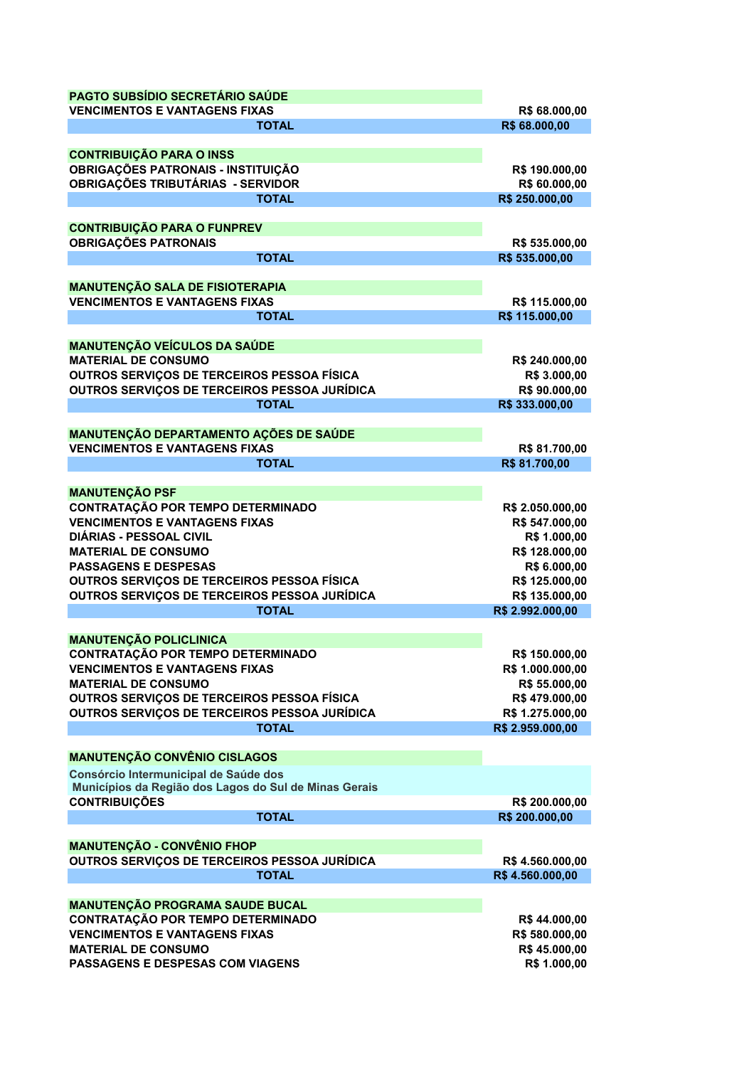| PAGTO SUBSÍDIO SECRETÁRIO SAÚDE                                                |                  |
|--------------------------------------------------------------------------------|------------------|
| <b>VENCIMENTOS E VANTAGENS FIXAS</b>                                           | R\$ 68.000,00    |
| <b>TOTAL</b>                                                                   | R\$ 68.000,00    |
| <b>CONTRIBUIÇÃO PARA O INSS</b>                                                |                  |
| OBRIGAÇÕES PATRONAIS - INSTITUIÇÃO                                             | R\$ 190.000,00   |
| OBRIGAÇÕES TRIBUTÁRIAS - SERVIDOR                                              | R\$ 60.000,00    |
| <b>TOTAL</b>                                                                   | R\$ 250.000,00   |
|                                                                                |                  |
| <b>CONTRIBUIÇÃO PARA O FUNPREV</b>                                             |                  |
| <b>OBRIGAÇÕES PATRONAIS</b>                                                    | R\$ 535.000,00   |
| <b>TOTAL</b>                                                                   | R\$ 535.000,00   |
| <b>MANUTENÇÃO SALA DE FISIOTERAPIA</b>                                         |                  |
| <b>VENCIMENTOS E VANTAGENS FIXAS</b>                                           | R\$ 115.000,00   |
| <b>TOTAL</b>                                                                   | R\$ 115.000,00   |
|                                                                                |                  |
| <b>MANUTENÇÃO VEÍCULOS DA SAÚDE</b>                                            |                  |
| <b>MATERIAL DE CONSUMO</b>                                                     | R\$ 240.000,00   |
| OUTROS SERVIÇOS DE TERCEIROS PESSOA FÍSICA                                     | R\$ 3.000,00     |
| OUTROS SERVIÇOS DE TERCEIROS PESSOA JURÍDICA                                   | R\$ 90.000,00    |
| <b>TOTAL</b>                                                                   | R\$ 333.000,00   |
|                                                                                |                  |
| MANUTENÇÃO DEPARTAMENTO AÇÕES DE SAÚDE<br><b>VENCIMENTOS E VANTAGENS FIXAS</b> | R\$ 81.700,00    |
| <b>TOTAL</b>                                                                   | R\$ 81.700,00    |
|                                                                                |                  |
| <b>MANUTENÇÃO PSF</b>                                                          |                  |
| <b>CONTRATAÇÃO POR TEMPO DETERMINADO</b>                                       | R\$ 2.050.000,00 |
| <b>VENCIMENTOS E VANTAGENS FIXAS</b>                                           | R\$ 547.000,00   |
| <b>DIÁRIAS - PESSOAL CIVIL</b>                                                 | R\$ 1.000,00     |
| <b>MATERIAL DE CONSUMO</b>                                                     | R\$ 128.000,00   |
| <b>PASSAGENS E DESPESAS</b>                                                    | R\$ 6.000,00     |
| OUTROS SERVIÇOS DE TERCEIROS PESSOA FÍSICA                                     | R\$ 125.000,00   |
| OUTROS SERVIÇOS DE TERCEIROS PESSOA JURÍDICA                                   | R\$ 135.000,00   |
| <b>TOTAL</b>                                                                   | R\$ 2.992.000,00 |
| <b>MANUTENÇÃO POLICLINICA</b>                                                  |                  |
| <b>CONTRATAÇÃO POR TEMPO DETERMINADO</b>                                       | R\$ 150.000,00   |
| <b>VENCIMENTOS E VANTAGENS FIXAS</b>                                           | R\$ 1.000.000,00 |
| <b>MATERIAL DE CONSUMO</b>                                                     | R\$ 55.000,00    |
| OUTROS SERVIÇOS DE TERCEIROS PESSOA FÍSICA                                     | R\$479.000,00    |
| OUTROS SERVIÇOS DE TERCEIROS PESSOA JURÍDICA                                   | R\$ 1.275.000,00 |
| <b>TOTAL</b>                                                                   | R\$ 2.959.000,00 |
|                                                                                |                  |
| <b>MANUTENÇÃO CONVÊNIO CISLAGOS</b>                                            |                  |
| Consórcio Intermunicipal de Saúde dos                                          |                  |
| Municípios da Região dos Lagos do Sul de Minas Gerais                          |                  |
| <b>CONTRIBUIÇÕES</b>                                                           | R\$ 200.000,00   |
| <b>TOTAL</b>                                                                   | R\$ 200.000,00   |
| <b>MANUTENÇÃO - CONVÊNIO FHOP</b>                                              |                  |
| OUTROS SERVIÇOS DE TERCEIROS PESSOA JURÍDICA                                   | R\$4.560.000,00  |
| <b>TOTAL</b>                                                                   | R\$4.560.000,00  |
|                                                                                |                  |
| <b>MANUTENÇÃO PROGRAMA SAUDE BUCAL</b>                                         |                  |
| <b>CONTRATAÇÃO POR TEMPO DETERMINADO</b>                                       | R\$44.000,00     |
| <b>VENCIMENTOS E VANTAGENS FIXAS</b>                                           | R\$ 580.000,00   |
| <b>MATERIAL DE CONSUMO</b>                                                     | R\$45.000,00     |
| PASSAGENS E DESPESAS COM VIAGENS                                               | R\$ 1.000,00     |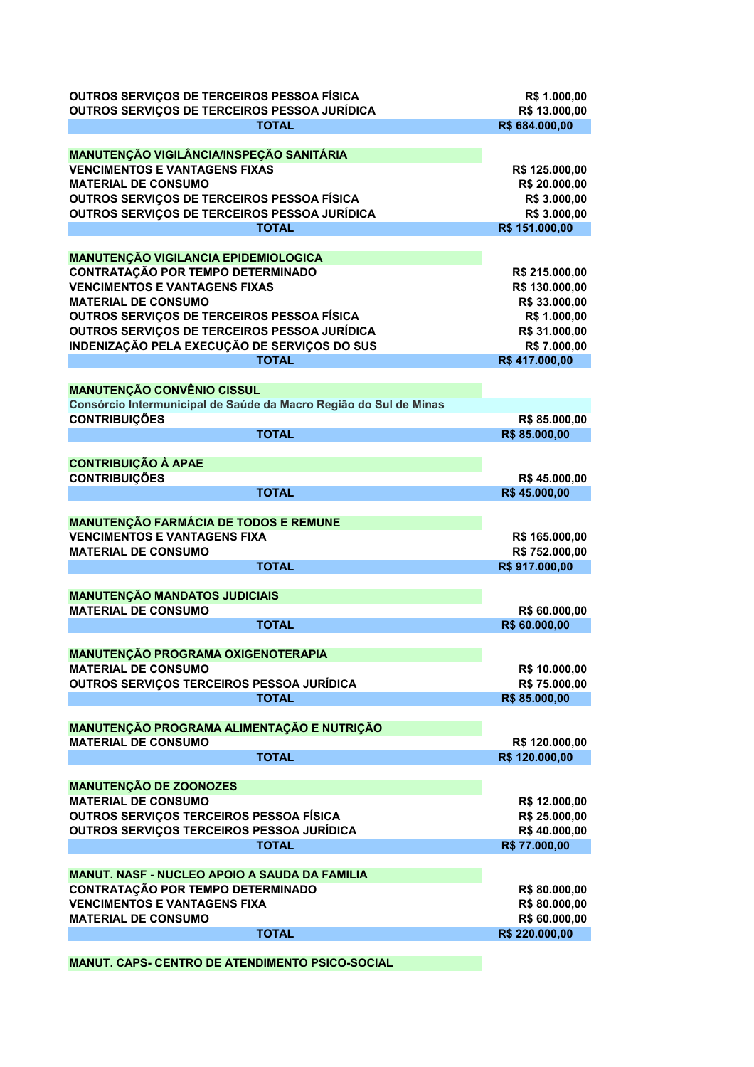| OUTROS SERVIÇOS DE TERCEIROS PESSOA FÍSICA<br>OUTROS SERVIÇOS DE TERCEIROS PESSOA JURÍDICA | R\$ 1.000,00<br>R\$ 13.000,00    |
|--------------------------------------------------------------------------------------------|----------------------------------|
| <b>TOTAL</b>                                                                               | R\$ 684.000,00                   |
|                                                                                            |                                  |
| <b>MANUTENÇÃO VIGILÂNCIA/INSPEÇÃO SANITÁRIA</b>                                            |                                  |
| <b>VENCIMENTOS E VANTAGENS FIXAS</b>                                                       | R\$ 125.000,00                   |
| <b>MATERIAL DE CONSUMO</b>                                                                 | R\$ 20.000,00                    |
| OUTROS SERVIÇOS DE TERCEIROS PESSOA FÍSICA                                                 | R\$ 3.000,00                     |
| OUTROS SERVIÇOS DE TERCEIROS PESSOA JURÍDICA                                               | R\$ 3.000,00                     |
| <b>TOTAL</b>                                                                               | R\$ 151.000,00                   |
|                                                                                            |                                  |
| <b>MANUTENÇÃO VIGILANCIA EPIDEMIOLOGICA</b>                                                |                                  |
| CONTRATAÇÃO POR TEMPO DETERMINADO<br><b>VENCIMENTOS E VANTAGENS FIXAS</b>                  | R\$ 215.000,00<br>R\$ 130.000,00 |
| <b>MATERIAL DE CONSUMO</b>                                                                 | R\$ 33.000,00                    |
| OUTROS SERVIÇOS DE TERCEIROS PESSOA FÍSICA                                                 | R\$ 1.000,00                     |
| OUTROS SERVIÇOS DE TERCEIROS PESSOA JURÍDICA                                               | R\$ 31.000,00                    |
| INDENIZAÇÃO PELA EXECUÇÃO DE SERVIÇOS DO SUS                                               | R\$ 7.000,00                     |
| <b>TOTAL</b>                                                                               | R\$417.000,00                    |
|                                                                                            |                                  |
| <b>MANUTENÇÃO CONVÊNIO CISSUL</b>                                                          |                                  |
| Consórcio Intermunicipal de Saúde da Macro Região do Sul de Minas                          |                                  |
| <b>CONTRIBUIÇÕES</b>                                                                       | R\$ 85.000,00                    |
| <b>TOTAL</b>                                                                               | R\$ 85.000,00                    |
|                                                                                            |                                  |
| <b>CONTRIBUIÇÃO À APAE</b>                                                                 |                                  |
| <b>CONTRIBUIÇÕES</b>                                                                       | R\$45.000,00                     |
| <b>TOTAL</b>                                                                               | R\$45.000,00                     |
|                                                                                            |                                  |
| <b>MANUTENÇÃO FARMÁCIA DE TODOS E REMUNE</b>                                               |                                  |
| <b>VENCIMENTOS E VANTAGENS FIXA</b>                                                        | R\$ 165.000,00                   |
| <b>MATERIAL DE CONSUMO</b>                                                                 | R\$752.000,00                    |
| <b>TOTAL</b>                                                                               | R\$917.000,00                    |
|                                                                                            |                                  |
| <b>MANUTENÇÃO MANDATOS JUDICIAIS</b>                                                       |                                  |
| <b>MATERIAL DE CONSUMO</b>                                                                 | R\$ 60.000,00                    |
| <b>TOTAL</b>                                                                               | R\$ 60.000,00                    |
|                                                                                            |                                  |
| MANUTENÇÃO PROGRAMA OXIGENOTERAPIA                                                         |                                  |
| <b>MATERIAL DE CONSUMO</b>                                                                 | R\$ 10.000,00                    |
| OUTROS SERVIÇOS TERCEIROS PESSOA JURÍDICA                                                  | R\$ 75.000,00                    |
| <b>TOTAL</b>                                                                               | R\$ 85.000,00                    |
|                                                                                            |                                  |
| MANUTENÇÃO PROGRAMA ALIMENTAÇÃO E NUTRIÇÃO<br><b>MATERIAL DE CONSUMO</b>                   |                                  |
| <b>TOTAL</b>                                                                               | R\$ 120.000,00<br>R\$ 120.000,00 |
|                                                                                            |                                  |
| <b>MANUTENÇÃO DE ZOONOZES</b>                                                              |                                  |
| <b>MATERIAL DE CONSUMO</b>                                                                 | R\$ 12.000,00                    |
| OUTROS SERVIÇOS TERCEIROS PESSOA FÍSICA                                                    | R\$ 25.000,00                    |
| OUTROS SERVIÇOS TERCEIROS PESSOA JURÍDICA                                                  | R\$40.000,00                     |
| <b>TOTAL</b>                                                                               | R\$ 77.000,00                    |
|                                                                                            |                                  |
| <b>MANUT. NASF - NUCLEO APOIO A SAUDA DA FAMILIA</b>                                       |                                  |
| <b>CONTRATAÇÃO POR TEMPO DETERMINADO</b>                                                   | R\$80.000,00                     |
| <b>VENCIMENTOS E VANTAGENS FIXA</b>                                                        | R\$80.000,00                     |
| <b>MATERIAL DE CONSUMO</b>                                                                 | R\$ 60.000,00                    |
| <b>TOTAL</b>                                                                               | R\$ 220.000,00                   |
|                                                                                            |                                  |
|                                                                                            |                                  |

**MANUT. CAPS- CENTRO DE ATENDIMENTO PSICO-SOCIAL**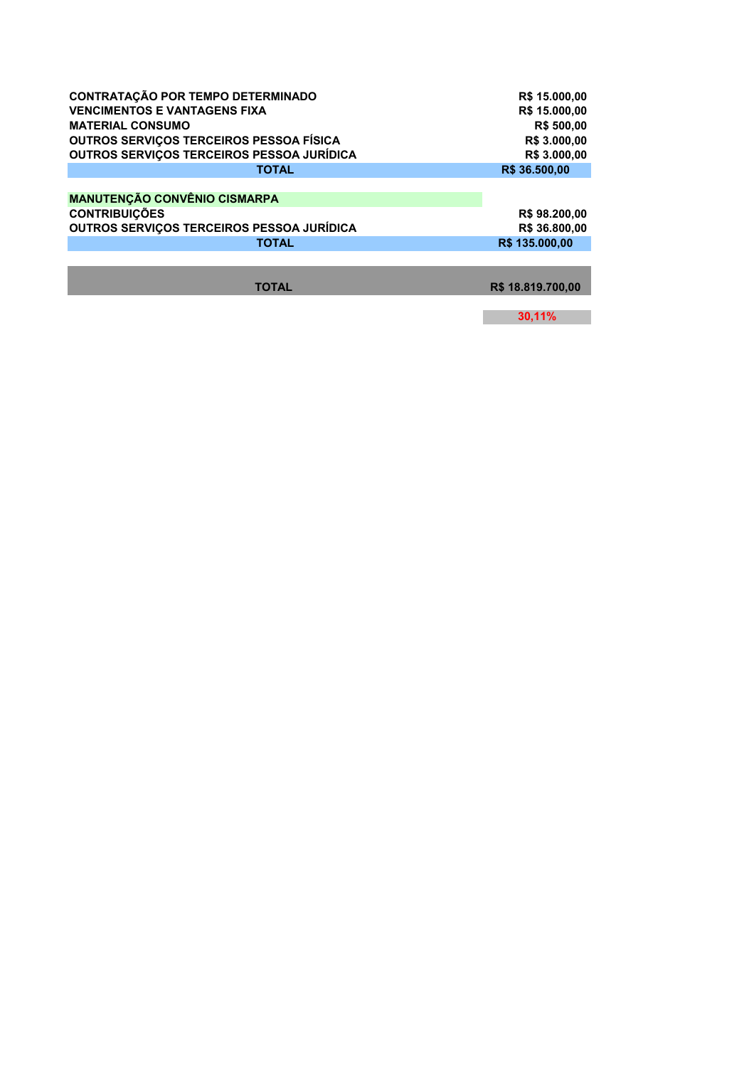| <b>CONTRATAÇÃO POR TEMPO DETERMINADO</b>  | R\$ 15.000,00     |
|-------------------------------------------|-------------------|
| <b>VENCIMENTOS E VANTAGENS FIXA</b>       | R\$ 15.000,00     |
| <b>MATERIAL CONSUMO</b>                   | R\$ 500,00        |
| OUTROS SERVIÇOS TERCEIROS PESSOA FÍSICA   | R\$ 3.000,00      |
| OUTROS SERVIÇOS TERCEIROS PESSOA JURÍDICA | R\$ 3.000,00      |
| <b>TOTAL</b>                              | R\$ 36.500,00     |
|                                           |                   |
| <b>MANUTENÇÃO CONVÊNIO CISMARPA</b>       |                   |
| <b>CONTRIBUIÇÕES</b>                      | R\$98.200,00      |
| OUTROS SERVIÇOS TERCEIROS PESSOA JURÍDICA | R\$ 36,800.00     |
| <b>TOTAL</b>                              | R\$ 135,000,00    |
|                                           |                   |
|                                           |                   |
| <b>TOTAL</b>                              | R\$ 18.819.700.00 |
|                                           |                   |

**30,11%**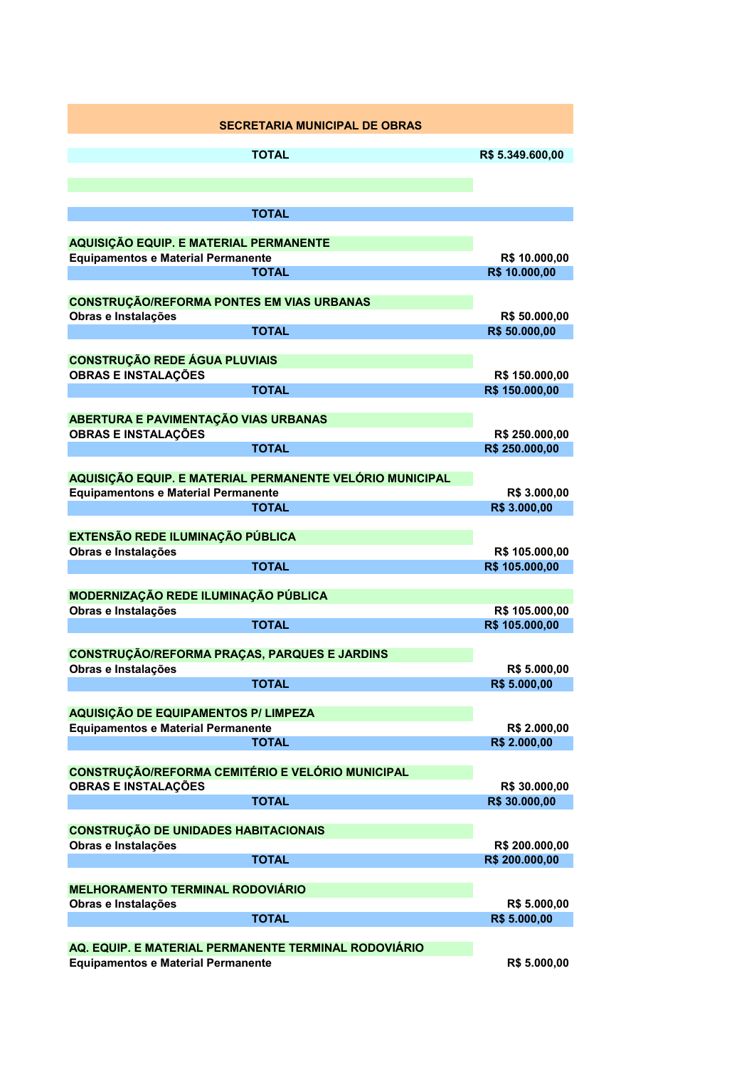|                                                                | <b>SECRETARIA MUNICIPAL DE OBRAS</b>                     |                              |
|----------------------------------------------------------------|----------------------------------------------------------|------------------------------|
|                                                                | <b>TOTAL</b>                                             | R\$ 5.349.600,00             |
|                                                                |                                                          |                              |
|                                                                |                                                          |                              |
|                                                                | <b>TOTAL</b>                                             |                              |
| AQUISIÇÃO EQUIP. E MATERIAL PERMANENTE                         |                                                          |                              |
| <b>Equipamentos e Material Permanente</b>                      |                                                          | R\$ 10.000,00                |
|                                                                | <b>TOTAL</b>                                             | R\$ 10.000,00                |
| <b>CONSTRUÇÃO/REFORMA PONTES EM VIAS URBANAS</b>               |                                                          |                              |
| Obras e Instalações                                            |                                                          | R\$ 50.000,00                |
|                                                                | <b>TOTAL</b>                                             | R\$ 50.000,00                |
| <b>CONSTRUÇÃO REDE ÁGUA PLUVIAIS</b>                           |                                                          |                              |
| <b>OBRAS E INSTALAÇÕES</b>                                     |                                                          | R\$ 150.000,00               |
|                                                                | <b>TOTAL</b>                                             | R\$ 150.000,00               |
| ABERTURA E PAVIMENTAÇÃO VIAS URBANAS                           |                                                          |                              |
| <b>OBRAS E INSTALAÇÕES</b>                                     |                                                          | R\$ 250.000,00               |
|                                                                | <b>TOTAL</b>                                             | R\$ 250.000,00               |
|                                                                | AQUISIÇÃO EQUIP. E MATERIAL PERMANENTE VELÓRIO MUNICIPAL |                              |
| <b>Equipamentons e Material Permanente</b>                     |                                                          | R\$ 3.000,00                 |
|                                                                | <b>TOTAL</b>                                             | R\$ 3.000,00                 |
|                                                                |                                                          |                              |
| <b>EXTENSÃO REDE ILUMINAÇÃO PÚBLICA</b><br>Obras e Instalações |                                                          | R\$ 105.000,00               |
|                                                                | <b>TOTAL</b>                                             | R\$ 105.000,00               |
|                                                                |                                                          |                              |
| MODERNIZAÇÃO REDE ILUMINAÇÃO PÚBLICA<br>Obras e Instalações    |                                                          | R\$ 105.000,00               |
|                                                                | <b>TOTAL</b>                                             | R\$ 105.000,00               |
|                                                                |                                                          |                              |
| <b>CONSTRUÇÃO/REFORMA PRAÇAS, PARQUES E JARDINS</b>            |                                                          |                              |
| Obras e Instalações                                            | <b>TOTAL</b>                                             | R\$ 5.000,00<br>R\$ 5.000,00 |
|                                                                |                                                          |                              |
| <b>AQUISIÇÃO DE EQUIPAMENTOS P/ LIMPEZA</b>                    |                                                          |                              |
| <b>Equipamentos e Material Permanente</b>                      | <b>TOTAL</b>                                             | R\$ 2.000,00<br>R\$ 2.000,00 |
|                                                                |                                                          |                              |
| <b>CONSTRUÇÃO/REFORMA CEMITÉRIO E VELÓRIO MUNICIPAL</b>        |                                                          |                              |
| <b>OBRAS E INSTALAÇÕES</b>                                     |                                                          | R\$ 30.000,00                |
|                                                                | <b>TOTAL</b>                                             | R\$ 30.000,00                |
| <b>CONSTRUÇÃO DE UNIDADES HABITACIONAIS</b>                    |                                                          |                              |
| Obras e Instalações                                            |                                                          | R\$ 200.000,00               |
|                                                                | <b>TOTAL</b>                                             | R\$ 200.000,00               |
| <b>MELHORAMENTO TERMINAL RODOVIÁRIO</b>                        |                                                          |                              |
| Obras e Instalações                                            |                                                          | R\$ 5.000,00                 |
|                                                                | <b>TOTAL</b>                                             | R\$ 5.000,00                 |
|                                                                | AQ. EQUIP. E MATERIAL PERMANENTE TERMINAL RODOVIÁRIO     |                              |
| <b>Equipamentos e Material Permanente</b>                      |                                                          | R\$ 5.000,00                 |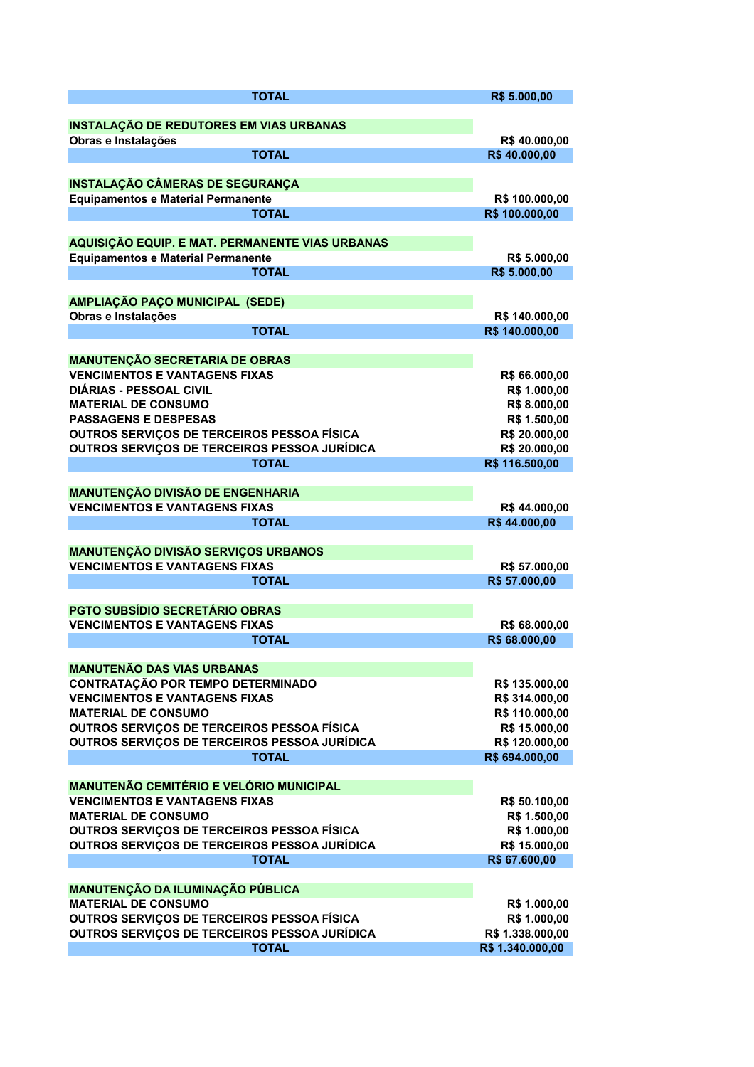| <b>TOTAL</b>                                                                  | R\$ 5.000,00                     |
|-------------------------------------------------------------------------------|----------------------------------|
|                                                                               |                                  |
| <b>INSTALAÇÃO DE REDUTORES EM VIAS URBANAS</b>                                |                                  |
| Obras e Instalações                                                           | R\$40.000,00                     |
| <b>TOTAL</b>                                                                  | R\$40.000,00                     |
|                                                                               |                                  |
| <b>INSTALAÇÃO CÂMERAS DE SEGURANÇA</b>                                        |                                  |
| <b>Equipamentos e Material Permanente</b>                                     | R\$ 100.000,00                   |
| <b>TOTAL</b>                                                                  | R\$ 100.000,00                   |
|                                                                               |                                  |
| AQUISIÇÃO EQUIP. E MAT. PERMANENTE VIAS URBANAS                               |                                  |
| <b>Equipamentos e Material Permanente</b>                                     | R\$ 5.000,00                     |
| <b>TOTAL</b>                                                                  | R\$ 5.000,00                     |
|                                                                               |                                  |
| AMPLIAÇÃO PAÇO MUNICIPAL (SEDE)                                               |                                  |
| Obras e Instalações<br><b>TOTAL</b>                                           | R\$ 140.000,00<br>R\$ 140.000,00 |
|                                                                               |                                  |
| <b>MANUTENÇÃO SECRETARIA DE OBRAS</b>                                         |                                  |
| <b>VENCIMENTOS E VANTAGENS FIXAS</b>                                          | R\$ 66.000,00                    |
| <b>DIÁRIAS - PESSOAL CIVIL</b>                                                | R\$ 1.000,00                     |
| <b>MATERIAL DE CONSUMO</b>                                                    | R\$ 8.000,00                     |
| <b>PASSAGENS E DESPESAS</b>                                                   | R\$ 1.500,00                     |
| OUTROS SERVIÇOS DE TERCEIROS PESSOA FÍSICA                                    | R\$ 20.000,00                    |
| OUTROS SERVIÇOS DE TERCEIROS PESSOA JURÍDICA                                  | R\$ 20.000,00                    |
| <b>TOTAL</b>                                                                  | R\$ 116.500,00                   |
|                                                                               |                                  |
| <b>MANUTENÇÃO DIVISÃO DE ENGENHARIA</b>                                       |                                  |
| <b>VENCIMENTOS E VANTAGENS FIXAS</b>                                          | R\$44.000,00                     |
| <b>TOTAL</b>                                                                  | R\$44.000,00                     |
|                                                                               |                                  |
| <b>MANUTENÇÃO DIVISÃO SERVIÇOS URBANOS</b>                                    |                                  |
| <b>VENCIMENTOS E VANTAGENS FIXAS</b>                                          | R\$ 57.000,00                    |
| <b>TOTAL</b>                                                                  | R\$ 57.000,00                    |
|                                                                               |                                  |
| <b>PGTO SUBSÍDIO SECRETÁRIO OBRAS</b><br><b>VENCIMENTOS E VANTAGENS FIXAS</b> |                                  |
| <b>TOTAL</b>                                                                  | R\$ 68.000,00<br>R\$ 68.000,00   |
|                                                                               |                                  |
| <b>MANUTENÃO DAS VIAS URBANAS</b>                                             |                                  |
| <b>CONTRATAÇÃO POR TEMPO DETERMINADO</b>                                      | R\$ 135.000,00                   |
| <b>VENCIMENTOS E VANTAGENS FIXAS</b>                                          | R\$ 314.000,00                   |
| <b>MATERIAL DE CONSUMO</b>                                                    | R\$ 110.000,00                   |
| OUTROS SERVIÇOS DE TERCEIROS PESSOA FÍSICA                                    | R\$ 15.000,00                    |
| OUTROS SERVIÇOS DE TERCEIROS PESSOA JURÍDICA                                  | R\$ 120.000,00                   |
| <b>TOTAL</b>                                                                  | R\$ 694.000,00                   |
|                                                                               |                                  |
| <b>MANUTENÃO CEMITÉRIO E VELÓRIO MUNICIPAL</b>                                |                                  |
| <b>VENCIMENTOS E VANTAGENS FIXAS</b>                                          | R\$ 50.100,00                    |
| <b>MATERIAL DE CONSUMO</b>                                                    | R\$ 1.500,00                     |
| OUTROS SERVIÇOS DE TERCEIROS PESSOA FÍSICA                                    | R\$ 1.000,00                     |
| OUTROS SERVIÇOS DE TERCEIROS PESSOA JURÍDICA                                  | R\$ 15.000,00                    |
| <b>TOTAL</b>                                                                  | R\$ 67.600,00                    |
|                                                                               |                                  |
| MANUTENÇÃO DA ILUMINAÇÃO PÚBLICA                                              |                                  |
| <b>MATERIAL DE CONSUMO</b>                                                    | R\$ 1.000,00                     |
| OUTROS SERVIÇOS DE TERCEIROS PESSOA FÍSICA                                    | R\$ 1.000,00                     |
| OUTROS SERVIÇOS DE TERCEIROS PESSOA JURÍDICA                                  | R\$ 1.338.000,00                 |
| <b>TOTAL</b>                                                                  | R\$ 1.340.000,00                 |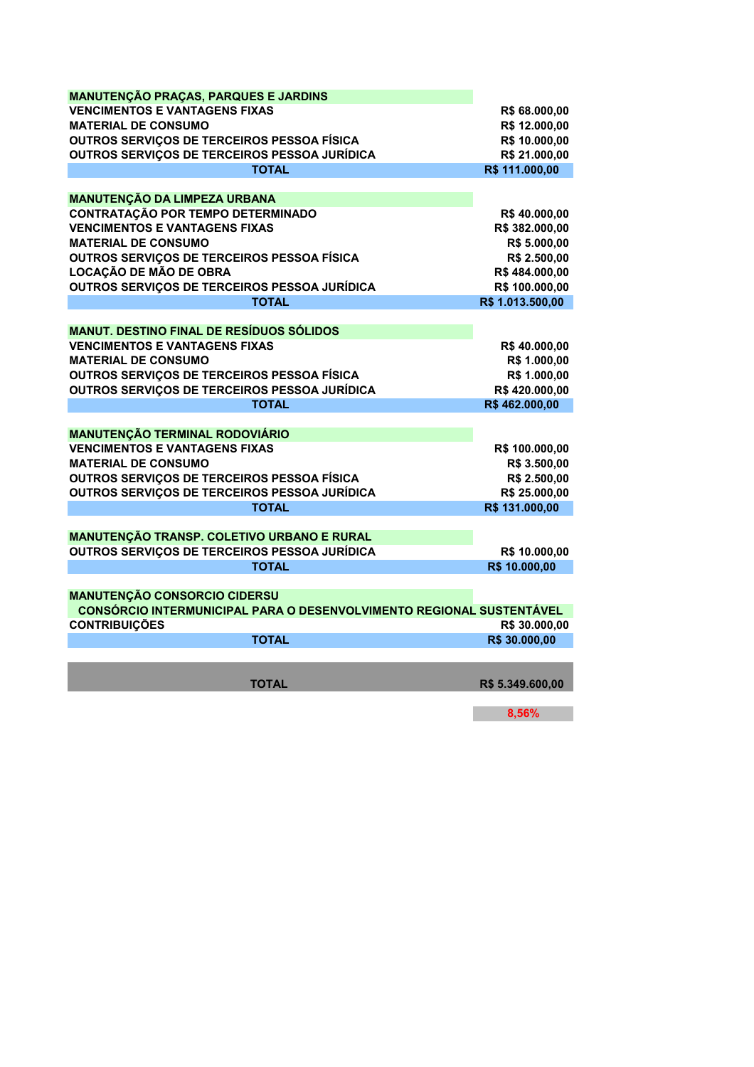| <b>MANUTENÇÃO PRAÇAS, PARQUES E JARDINS</b>                          |                  |
|----------------------------------------------------------------------|------------------|
| <b>VENCIMENTOS E VANTAGENS FIXAS</b>                                 | R\$ 68.000,00    |
| <b>MATERIAL DE CONSUMO</b>                                           | R\$ 12.000,00    |
| OUTROS SERVIÇOS DE TERCEIROS PESSOA FÍSICA                           | R\$ 10.000,00    |
| OUTROS SERVIÇOS DE TERCEIROS PESSOA JURÍDICA                         | R\$ 21.000,00    |
| <b>TOTAL</b>                                                         | R\$ 111.000,00   |
|                                                                      |                  |
| <b>MANUTENÇÃO DA LIMPEZA URBANA</b>                                  |                  |
| <b>CONTRATAÇÃO POR TEMPO DETERMINADO</b>                             | R\$40.000,00     |
| <b>VENCIMENTOS E VANTAGENS FIXAS</b>                                 | R\$ 382.000,00   |
| <b>MATERIAL DE CONSUMO</b>                                           | R\$ 5.000,00     |
| OUTROS SERVIÇOS DE TERCEIROS PESSOA FÍSICA                           | R\$ 2.500,00     |
| LOCAÇÃO DE MÃO DE OBRA                                               | R\$484.000,00    |
| OUTROS SERVIÇOS DE TERCEIROS PESSOA JURÍDICA                         | R\$ 100.000,00   |
| <b>TOTAL</b>                                                         | R\$ 1.013.500,00 |
|                                                                      |                  |
| <b>MANUT. DESTINO FINAL DE RESÍDUOS SÓLIDOS</b>                      |                  |
| <b>VENCIMENTOS E VANTAGENS FIXAS</b>                                 | R\$40.000,00     |
| <b>MATERIAL DE CONSUMO</b>                                           | R\$ 1.000,00     |
| OUTROS SERVIÇOS DE TERCEIROS PESSOA FÍSICA                           | R\$ 1.000,00     |
| OUTROS SERVIÇOS DE TERCEIROS PESSOA JURÍDICA                         | R\$420.000,00    |
| <b>TOTAL</b>                                                         | R\$462.000,00    |
|                                                                      |                  |
| <b>MANUTENÇÃO TERMINAL RODOVIÁRIO</b>                                |                  |
| <b>VENCIMENTOS E VANTAGENS FIXAS</b>                                 | R\$ 100.000,00   |
| <b>MATERIAL DE CONSUMO</b>                                           | R\$ 3.500,00     |
| OUTROS SERVIÇOS DE TERCEIROS PESSOA FÍSICA                           | R\$ 2.500,00     |
| OUTROS SERVIÇOS DE TERCEIROS PESSOA JURÍDICA                         | R\$ 25.000,00    |
| <b>TOTAL</b>                                                         | R\$ 131.000,00   |
|                                                                      |                  |
| <b>MANUTENÇÃO TRANSP. COLETIVO URBANO E RURAL</b>                    |                  |
| OUTROS SERVIÇOS DE TERCEIROS PESSOA JURÍDICA                         | R\$ 10.000,00    |
| <b>TOTAL</b>                                                         | R\$ 10.000,00    |
|                                                                      |                  |
| <b>MANUTENÇÃO CONSORCIO CIDERSU</b>                                  |                  |
| CONSÓRCIO INTERMUNICIPAL PARA O DESENVOLVIMENTO REGIONAL SUSTENTÁVEL |                  |
| <b>CONTRIBUIÇÕES</b>                                                 | R\$ 30.000,00    |
| <b>TOTAL</b>                                                         | R\$ 30.000,00    |
|                                                                      |                  |
|                                                                      |                  |
| <b>TOTAL</b>                                                         | R\$ 5.349.600,00 |
|                                                                      |                  |
|                                                                      | 8,56%            |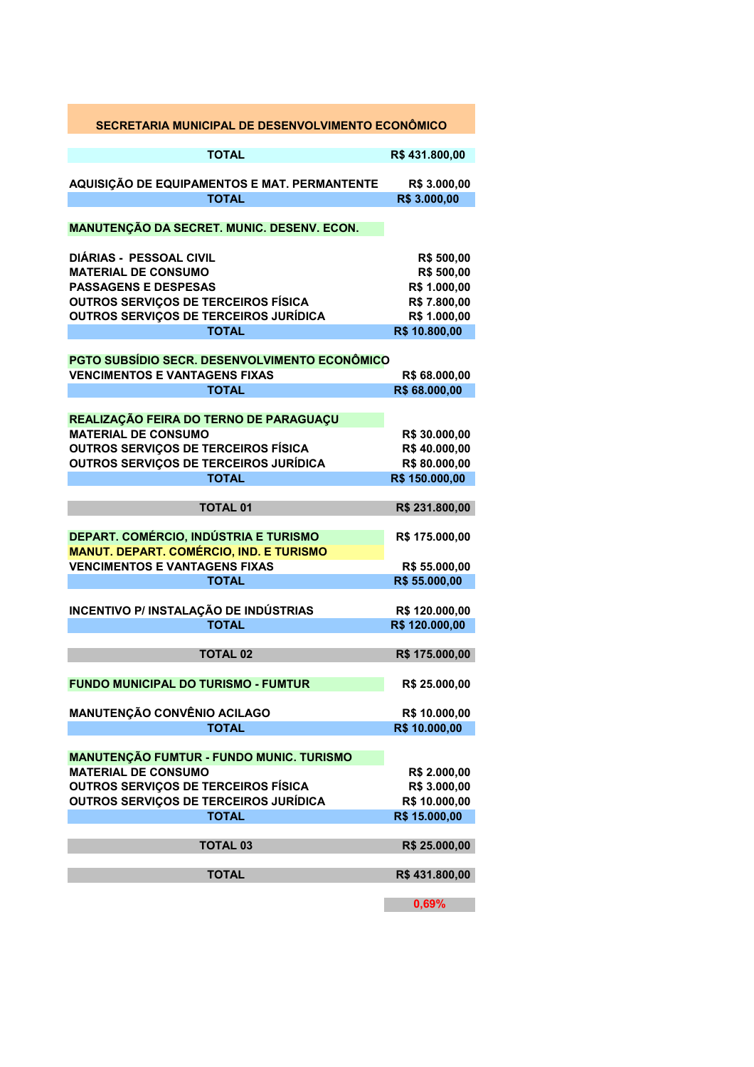| SECRETARIA MUNICIPAL DE DESENVOLVIMENTO ECONÔMICO                                                                                                                                           |                                                                                           |
|---------------------------------------------------------------------------------------------------------------------------------------------------------------------------------------------|-------------------------------------------------------------------------------------------|
| <b>TOTAL</b>                                                                                                                                                                                | R\$431.800,00                                                                             |
| AQUISIÇÃO DE EQUIPAMENTOS E MAT. PERMANTENTE<br><b>TOTAL</b>                                                                                                                                | R\$ 3.000,00<br>R\$ 3.000,00                                                              |
| MANUTENÇÃO DA SECRET. MUNIC. DESENV. ECON.                                                                                                                                                  |                                                                                           |
| <b>DIÁRIAS - PESSOAL CIVIL</b><br><b>MATERIAL DE CONSUMO</b><br><b>PASSAGENS E DESPESAS</b><br>OUTROS SERVIÇOS DE TERCEIROS FÍSICA<br>OUTROS SERVIÇOS DE TERCEIROS JURÍDICA<br><b>TOTAL</b> | R\$ 500,00<br>R\$ 500,00<br>R\$ 1.000,00<br>R\$ 7.800,00<br>R\$ 1.000,00<br>R\$ 10.800,00 |
| <b>PGTO SUBSÍDIO SECR. DESENVOLVIMENTO ECONÔMICO</b><br><b>VENCIMENTOS E VANTAGENS FIXAS</b><br><b>TOTAL</b>                                                                                | R\$ 68.000,00<br>R\$ 68.000,00                                                            |
| REALIZAÇÃO FEIRA DO TERNO DE PARAGUAÇU<br><b>MATERIAL DE CONSUMO</b><br><b>OUTROS SERVIÇOS DE TERCEIROS FÍSICA</b><br>OUTROS SERVIÇOS DE TERCEIROS JURÍDICA<br><b>TOTAL</b>                 | R\$ 30.000,00<br>R\$40.000,00<br>R\$80.000,00<br>R\$ 150.000,00                           |
| <b>TOTAL 01</b>                                                                                                                                                                             | R\$ 231.800,00                                                                            |
| DEPART. COMÉRCIO, INDÚSTRIA E TURISMO<br><b>MANUT. DEPART. COMÉRCIO, IND. E TURISMO</b><br><b>VENCIMENTOS E VANTAGENS FIXAS</b><br><b>TOTAL</b>                                             | R\$ 175.000,00<br>R\$ 55.000,00<br>R\$ 55.000,00                                          |
| <b>INCENTIVO P/ INSTALAÇÃO DE INDÚSTRIAS</b><br><b>TOTAL</b>                                                                                                                                | R\$ 120.000,00<br>R\$ 120.000,00                                                          |
| <b>TOTAL 02</b>                                                                                                                                                                             | R\$ 175.000,00                                                                            |
| <b>FUNDO MUNICIPAL DO TURISMO - FUMTUR</b>                                                                                                                                                  | R\$ 25.000,00                                                                             |
| <b>MANUTENÇÃO CONVÊNIO ACILAGO</b><br><b>TOTAL</b>                                                                                                                                          | R\$ 10.000,00<br>R\$ 10.000,00                                                            |
| <b>MANUTENÇÃO FUMTUR - FUNDO MUNIC. TURISMO</b><br><b>MATERIAL DE CONSUMO</b><br><b>OUTROS SERVIÇOS DE TERCEIROS FÍSICA</b><br>OUTROS SERVIÇOS DE TERCEIROS JURÍDICA<br><b>TOTAL</b>        | R\$ 2.000,00<br>R\$ 3.000,00<br>R\$ 10.000,00<br>R\$ 15.000,00                            |
| <b>TOTAL 03</b>                                                                                                                                                                             | R\$ 25.000,00                                                                             |
| <b>TOTAL</b>                                                                                                                                                                                | R\$431.800,00                                                                             |
|                                                                                                                                                                                             | 0,69%                                                                                     |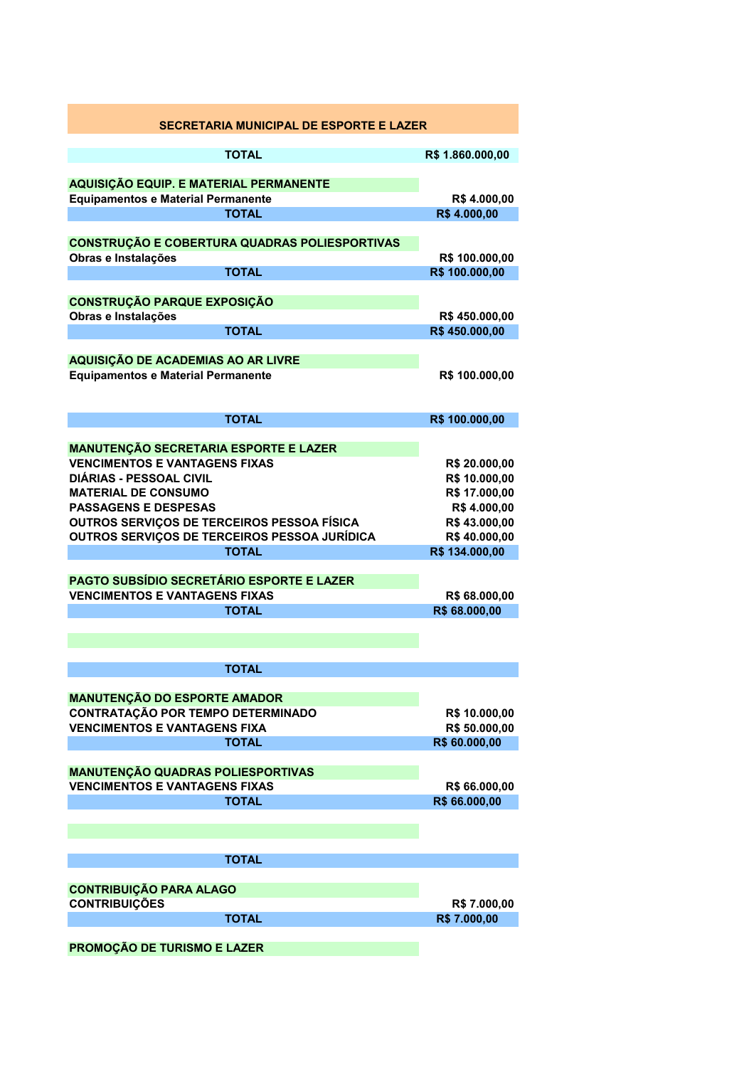| <b>SECRETARIA MUNICIPAL DE ESPORTE E LAZER</b>                                           |                                |
|------------------------------------------------------------------------------------------|--------------------------------|
| <b>TOTAL</b>                                                                             | R\$ 1.860.000,00               |
|                                                                                          |                                |
| AQUISIÇÃO EQUIP. E MATERIAL PERMANENTE                                                   |                                |
| <b>Equipamentos e Material Permanente</b>                                                | R\$4.000,00                    |
| <b>TOTAL</b>                                                                             | R\$4.000,00                    |
| CONSTRUÇÃO E COBERTURA QUADRAS POLIESPORTIVAS                                            |                                |
| Obras e Instalações                                                                      | R\$ 100.000,00                 |
| <b>TOTAL</b>                                                                             | R\$ 100.000,00                 |
|                                                                                          |                                |
| <b>CONSTRUÇÃO PARQUE EXPOSIÇÃO</b>                                                       |                                |
| Obras e Instalações<br><b>TOTAL</b>                                                      | R\$450.000,00<br>R\$450.000,00 |
|                                                                                          |                                |
| AQUISIÇÃO DE ACADEMIAS AO AR LIVRE                                                       |                                |
| <b>Equipamentos e Material Permanente</b>                                                | R\$ 100.000,00                 |
|                                                                                          |                                |
|                                                                                          |                                |
| <b>TOTAL</b>                                                                             | R\$ 100.000,00                 |
| <b>MANUTENÇÃO SECRETARIA ESPORTE E LAZER</b>                                             |                                |
| <b>VENCIMENTOS E VANTAGENS FIXAS</b>                                                     | R\$ 20.000,00                  |
| <b>DIÁRIAS - PESSOAL CIVIL</b>                                                           | R\$ 10.000,00                  |
| <b>MATERIAL DE CONSUMO</b>                                                               | R\$ 17.000,00                  |
| <b>PASSAGENS E DESPESAS</b>                                                              | R\$4.000,00                    |
| OUTROS SERVIÇOS DE TERCEIROS PESSOA FÍSICA                                               | R\$43.000,00                   |
| OUTROS SERVIÇOS DE TERCEIROS PESSOA JURÍDICA                                             | R\$40.000,00                   |
| <b>TOTAL</b>                                                                             | R\$ 134.000,00                 |
|                                                                                          |                                |
| <b>PAGTO SUBSÍDIO SECRETÁRIO ESPORTE E LAZER</b><br><b>VENCIMENTOS E VANTAGENS FIXAS</b> | R\$ 68.000,00                  |
| <b>TOTAL</b>                                                                             | R\$ 68.000,00                  |
|                                                                                          |                                |
|                                                                                          |                                |
| <b>TOTAL</b>                                                                             |                                |
|                                                                                          |                                |
| <b>MANUTENÇÃO DO ESPORTE AMADOR</b>                                                      |                                |
| CONTRATAÇÃO POR TEMPO DETERMINADO                                                        | R\$ 10.000,00                  |
| <b>VENCIMENTOS E VANTAGENS FIXA</b>                                                      | R\$ 50.000,00                  |
| <b>TOTAL</b>                                                                             | R\$ 60.000,00                  |
|                                                                                          |                                |
| <b>MANUTENÇÃO QUADRAS POLIESPORTIVAS</b><br><b>VENCIMENTOS E VANTAGENS FIXAS</b>         |                                |
| <b>TOTAL</b>                                                                             | R\$ 66.000,00<br>R\$ 66.000,00 |
|                                                                                          |                                |
|                                                                                          |                                |
|                                                                                          |                                |
| <b>TOTAL</b>                                                                             |                                |
|                                                                                          |                                |
| <b>CONTRIBUIÇÃO PARA ALAGO</b><br><b>CONTRIBUIÇÕES</b>                                   |                                |
| <b>TOTAL</b>                                                                             | R\$ 7.000,00<br>R\$ 7.000,00   |
|                                                                                          |                                |
| <b>PROMOÇÃO DE TURISMO E LAZER</b>                                                       |                                |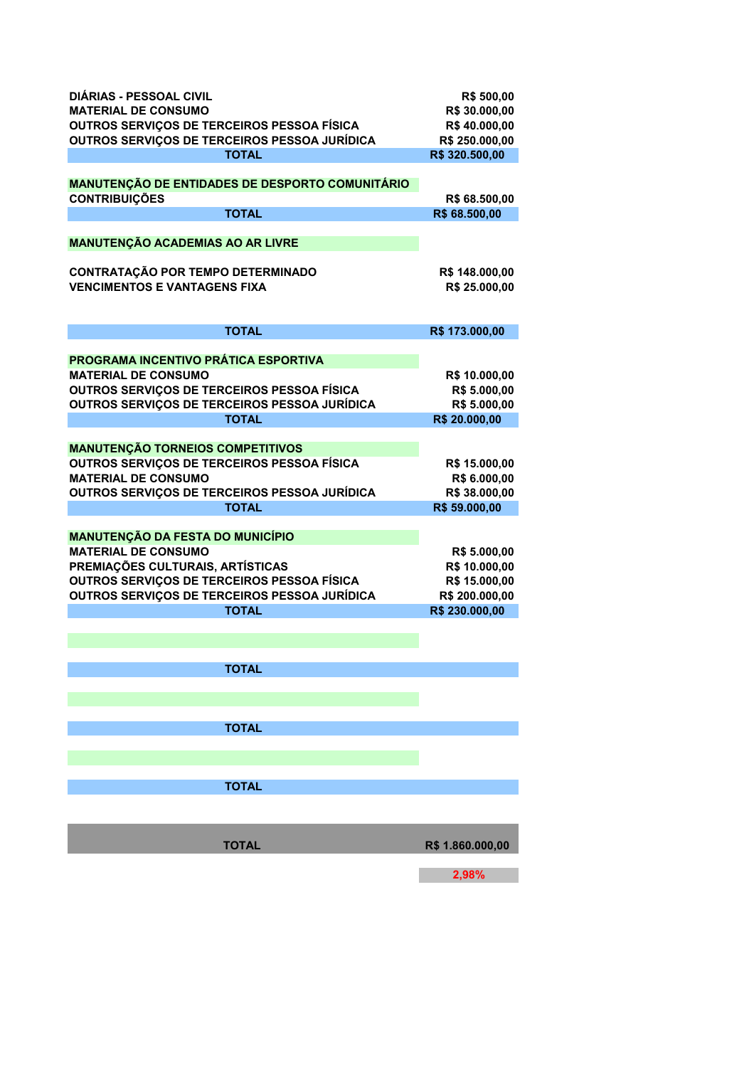| <b>DIÁRIAS - PESSOAL CIVIL</b><br><b>MATERIAL DE CONSUMO</b><br>OUTROS SERVIÇOS DE TERCEIROS PESSOA FÍSICA<br>OUTROS SERVIÇOS DE TERCEIROS PESSOA JURÍDICA<br><b>TOTAL</b>                                              | R\$ 500,00<br>R\$ 30.000,00<br>R\$40.000,00<br>R\$ 250.000,00<br>R\$ 320.500,00    |
|-------------------------------------------------------------------------------------------------------------------------------------------------------------------------------------------------------------------------|------------------------------------------------------------------------------------|
| <b>MANUTENÇÃO DE ENTIDADES DE DESPORTO COMUNITÁRIO</b><br><b>CONTRIBUIÇÕES</b><br><b>TOTAL</b>                                                                                                                          | R\$ 68.500,00<br>R\$ 68.500,00                                                     |
| <b>MANUTENÇÃO ACADEMIAS AO AR LIVRE</b><br><b>CONTRATAÇÃO POR TEMPO DETERMINADO</b><br><b>VENCIMENTOS E VANTAGENS FIXA</b>                                                                                              | R\$ 148.000,00<br>R\$ 25.000,00                                                    |
| <b>TOTAL</b>                                                                                                                                                                                                            | R\$ 173.000,00                                                                     |
| <b>PROGRAMA INCENTIVO PRÁTICA ESPORTIVA</b><br><b>MATERIAL DE CONSUMO</b><br>OUTROS SERVIÇOS DE TERCEIROS PESSOA FÍSICA<br>OUTROS SERVIÇOS DE TERCEIROS PESSOA JURÍDICA<br><b>TOTAL</b>                                 | R\$ 10.000,00<br>R\$ 5.000,00<br>R\$ 5.000,00<br>R\$ 20.000,00                     |
| <b>MANUTENÇÃO TORNEIOS COMPETITIVOS</b><br>OUTROS SERVIÇOS DE TERCEIROS PESSOA FÍSICA<br><b>MATERIAL DE CONSUMO</b><br>OUTROS SERVIÇOS DE TERCEIROS PESSOA JURÍDICA<br><b>TOTAL</b>                                     | R\$ 15.000,00<br>R\$ 6.000,00<br>R\$ 38.000,00<br>R\$ 59.000,00                    |
| <b>MANUTENÇÃO DA FESTA DO MUNICÍPIO</b><br><b>MATERIAL DE CONSUMO</b><br>PREMIAÇÕES CULTURAIS, ARTÍSTICAS<br>OUTROS SERVIÇOS DE TERCEIROS PESSOA FÍSICA<br>OUTROS SERVIÇOS DE TERCEIROS PESSOA JURÍDICA<br><b>TOTAL</b> | R\$ 5.000,00<br>R\$ 10.000,00<br>R\$ 15.000,00<br>R\$ 200.000,00<br>R\$ 230.000,00 |
| <b>TOTAL</b>                                                                                                                                                                                                            |                                                                                    |
| <b>TOTAL</b>                                                                                                                                                                                                            |                                                                                    |
| <b>TOTAL</b>                                                                                                                                                                                                            |                                                                                    |
| <b>TOTAL</b>                                                                                                                                                                                                            | R\$ 1.860.000,00                                                                   |

**2,98%**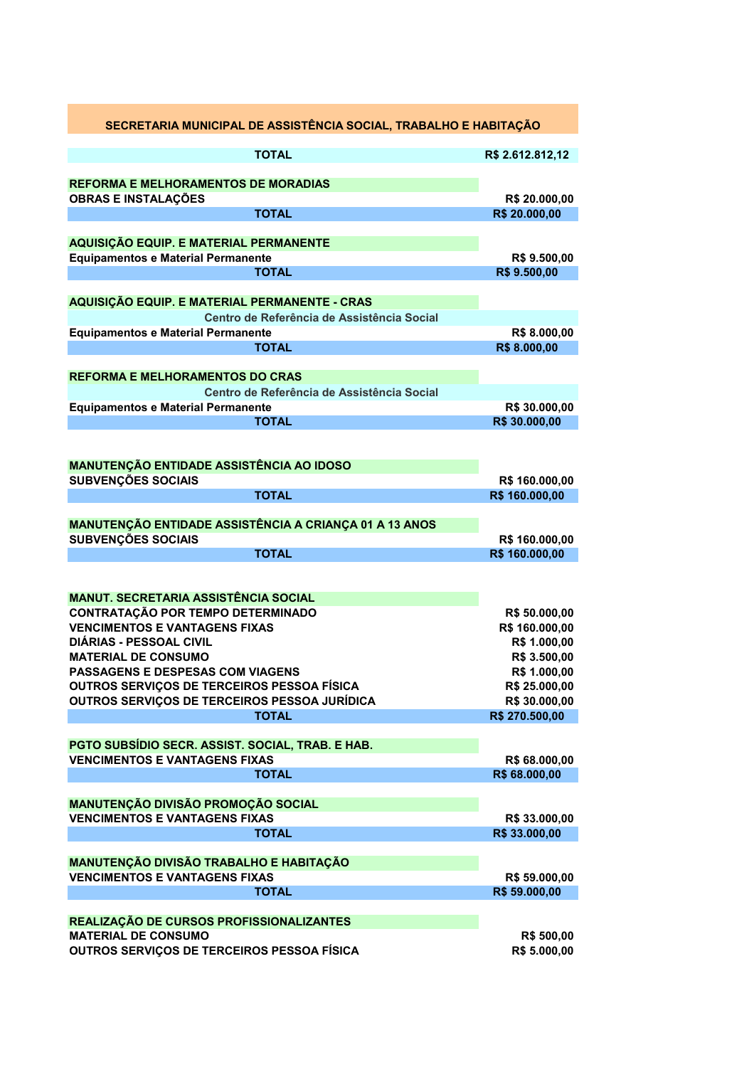| SECRETARIA MUNICIPAL DE ASSISTÊNCIA SOCIAL, TRABALHO E HABITAÇÃO                           |                                |
|--------------------------------------------------------------------------------------------|--------------------------------|
| <b>TOTAL</b>                                                                               | R\$ 2.612.812,12               |
|                                                                                            |                                |
| <b>REFORMA E MELHORAMENTOS DE MORADIAS</b><br><b>OBRAS E INSTALAÇÕES</b>                   | R\$ 20.000,00                  |
| <b>TOTAL</b>                                                                               | R\$ 20.000,00                  |
|                                                                                            |                                |
| AQUISIÇÃO EQUIP. E MATERIAL PERMANENTE<br><b>Equipamentos e Material Permanente</b>        | R\$ 9.500,00                   |
| <b>TOTAL</b>                                                                               | R\$ 9.500,00                   |
|                                                                                            |                                |
| AQUISIÇÃO EQUIP. E MATERIAL PERMANENTE - CRAS                                              |                                |
| Centro de Referência de Assistência Social                                                 |                                |
| <b>Equipamentos e Material Permanente</b><br><b>TOTAL</b>                                  | R\$ 8.000,00<br>R\$ 8.000,00   |
|                                                                                            |                                |
| <b>REFORMA E MELHORAMENTOS DO CRAS</b>                                                     |                                |
| Centro de Referência de Assistência Social                                                 |                                |
| <b>Equipamentos e Material Permanente</b>                                                  | R\$ 30.000,00                  |
| <b>TOTAL</b>                                                                               | R\$ 30.000,00                  |
|                                                                                            |                                |
| <b>MANUTENÇÃO ENTIDADE ASSISTÊNCIA AO IDOSO</b>                                            |                                |
| SUBVENÇÕES SOCIAIS                                                                         | R\$ 160.000,00                 |
| <b>TOTAL</b>                                                                               | R\$ 160.000,00                 |
| MANUTENÇÃO ENTIDADE ASSISTÊNCIA A CRIANÇA 01 A 13 ANOS                                     |                                |
| <b>SUBVENÇÕES SOCIAIS</b>                                                                  | R\$ 160.000,00                 |
| <b>TOTAL</b>                                                                               | R\$ 160.000,00                 |
|                                                                                            |                                |
|                                                                                            |                                |
| <b>MANUT. SECRETARIA ASSISTÊNCIA SOCIAL</b><br>CONTRATAÇÃO POR TEMPO DETERMINADO           | R\$ 50.000,00                  |
| <b>VENCIMENTOS E VANTAGENS FIXAS</b>                                                       | R\$ 160.000,00                 |
| <b>DIÁRIAS - PESSOAL CIVIL</b>                                                             | R\$ 1.000,00                   |
| <b>MATERIAL DE CONSUMO</b>                                                                 | R\$ 3.500,00                   |
| <b>PASSAGENS E DESPESAS COM VIAGENS</b>                                                    | R\$ 1.000,00                   |
| OUTROS SERVIÇOS DE TERCEIROS PESSOA FÍSICA<br>OUTROS SERVIÇOS DE TERCEIROS PESSOA JURÍDICA | R\$ 25.000,00<br>R\$ 30.000,00 |
| <b>TOTAL</b>                                                                               | R\$ 270.500,00                 |
|                                                                                            |                                |
| PGTO SUBSÍDIO SECR. ASSIST. SOCIAL, TRAB. E HAB.                                           |                                |
| <b>VENCIMENTOS E VANTAGENS FIXAS</b>                                                       | R\$ 68.000,00                  |
| <b>TOTAL</b>                                                                               | R\$ 68.000,00                  |
| <b>MANUTENÇÃO DIVISÃO PROMOÇÃO SOCIAL</b>                                                  |                                |
| <b>VENCIMENTOS E VANTAGENS FIXAS</b>                                                       | R\$ 33.000,00                  |
| <b>TOTAL</b>                                                                               | R\$ 33.000,00                  |
|                                                                                            |                                |
| MANUTENÇÃO DIVISÃO TRABALHO E HABITAÇÃO<br><b>VENCIMENTOS E VANTAGENS FIXAS</b>            | R\$ 59.000,00                  |
| <b>TOTAL</b>                                                                               | R\$ 59.000,00                  |
|                                                                                            |                                |
| REALIZAÇÃO DE CURSOS PROFISSIONALIZANTES                                                   |                                |
| <b>MATERIAL DE CONSUMO</b>                                                                 | <b>R\$ 500,00</b>              |
| OUTROS SERVIÇOS DE TERCEIROS PESSOA FÍSICA                                                 | R\$ 5.000,00                   |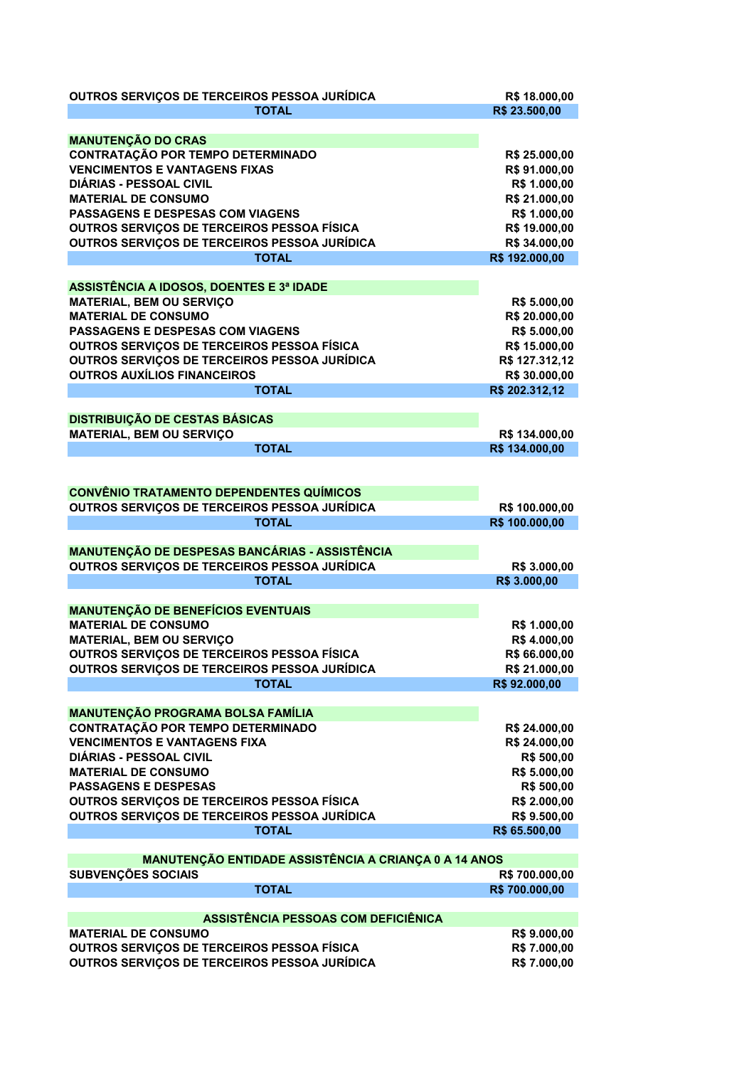| OUTROS SERVIÇOS DE TERCEIROS PESSOA JURÍDICA<br><b>TOTAL</b>                                                                                                                                                                                                                                                                                                                       | R\$ 18.000,00<br>R\$ 23.500,00                                                                                                      |
|------------------------------------------------------------------------------------------------------------------------------------------------------------------------------------------------------------------------------------------------------------------------------------------------------------------------------------------------------------------------------------|-------------------------------------------------------------------------------------------------------------------------------------|
|                                                                                                                                                                                                                                                                                                                                                                                    |                                                                                                                                     |
| <b>MANUTENÇÃO DO CRAS</b><br><b>CONTRATAÇÃO POR TEMPO DETERMINADO</b><br><b>VENCIMENTOS E VANTAGENS FIXAS</b><br><b>DIÁRIAS - PESSOAL CIVIL</b><br><b>MATERIAL DE CONSUMO</b><br><b>PASSAGENS E DESPESAS COM VIAGENS</b><br>OUTROS SERVIÇOS DE TERCEIROS PESSOA FÍSICA<br>OUTROS SERVIÇOS DE TERCEIROS PESSOA JURÍDICA<br><b>TOTAL</b><br>ASSISTÊNCIA A IDOSOS, DOENTES E 3ª IDADE | R\$ 25.000,00<br>R\$ 91.000,00<br>R\$ 1.000,00<br>R\$ 21.000,00<br>R\$ 1.000,00<br>R\$ 19.000,00<br>R\$ 34.000,00<br>R\$ 192.000,00 |
| <b>MATERIAL, BEM OU SERVIÇO</b><br><b>MATERIAL DE CONSUMO</b><br><b>PASSAGENS E DESPESAS COM VIAGENS</b><br>OUTROS SERVIÇOS DE TERCEIROS PESSOA FÍSICA<br>OUTROS SERVIÇOS DE TERCEIROS PESSOA JURÍDICA<br><b>OUTROS AUXÍLIOS FINANCEIROS</b><br><b>TOTAL</b>                                                                                                                       | R\$ 5.000,00<br>R\$ 20.000,00<br>R\$ 5.000,00<br>R\$ 15.000,00<br>R\$ 127.312,12<br>R\$ 30.000,00<br>R\$ 202.312,12                 |
|                                                                                                                                                                                                                                                                                                                                                                                    |                                                                                                                                     |
| <b>DISTRIBUIÇÃO DE CESTAS BÁSICAS</b><br><b>MATERIAL, BEM OU SERVIÇO</b><br><b>TOTAL</b>                                                                                                                                                                                                                                                                                           | R\$ 134.000,00<br>R\$ 134.000,00                                                                                                    |
| <b>CONVÊNIO TRATAMENTO DEPENDENTES QUÍMICOS</b>                                                                                                                                                                                                                                                                                                                                    |                                                                                                                                     |
| OUTROS SERVIÇOS DE TERCEIROS PESSOA JURÍDICA                                                                                                                                                                                                                                                                                                                                       | R\$ 100.000,00                                                                                                                      |
| <b>TOTAL</b>                                                                                                                                                                                                                                                                                                                                                                       | R\$ 100.000,00                                                                                                                      |
| MANUTENÇÃO DE DESPESAS BANCÁRIAS - ASSISTÊNCIA<br>OUTROS SERVIÇOS DE TERCEIROS PESSOA JURÍDICA                                                                                                                                                                                                                                                                                     | R\$ 3.000,00                                                                                                                        |
| <b>TOTAL</b>                                                                                                                                                                                                                                                                                                                                                                       | R\$ 3.000,00                                                                                                                        |
| <b>MANUTENÇÃO DE BENEFÍCIOS EVENTUAIS</b><br><b>MATERIAL DE CONSUMO</b><br><b>MATERIAL, BEM OU SERVIÇO</b><br>OUTROS SERVIÇOS DE TERCEIROS PESSOA FÍSICA<br>OUTROS SERVIÇOS DE TERCEIROS PESSOA JURÍDICA<br><b>TOTAL</b>                                                                                                                                                           | R\$ 1.000,00<br>R\$4.000,00<br>R\$ 66.000,00<br>R\$ 21.000,00<br>R\$92.000,00                                                       |
|                                                                                                                                                                                                                                                                                                                                                                                    |                                                                                                                                     |
| <b>MANUTENÇÃO PROGRAMA BOLSA FAMÍLIA</b><br><b>CONTRATAÇÃO POR TEMPO DETERMINADO</b><br><b>VENCIMENTOS E VANTAGENS FIXA</b><br><b>DIÁRIAS - PESSOAL CIVIL</b><br><b>MATERIAL DE CONSUMO</b><br><b>PASSAGENS E DESPESAS</b><br>OUTROS SERVIÇOS DE TERCEIROS PESSOA FÍSICA<br>OUTROS SERVIÇOS DE TERCEIROS PESSOA JURÍDICA<br><b>TOTAL</b>                                           | R\$ 24.000,00<br>R\$ 24.000,00<br>R\$ 500,00<br>R\$ 5.000,00<br>R\$ 500,00<br>R\$ 2.000,00<br>R\$ 9.500,00<br>R\$ 65.500,00         |
|                                                                                                                                                                                                                                                                                                                                                                                    |                                                                                                                                     |
| MANUTENÇÃO ENTIDADE ASSISTÊNCIA A CRIANÇA 0 A 14 ANOS<br>SUBVENÇÕES SOCIAIS<br><b>TOTAL</b>                                                                                                                                                                                                                                                                                        | R\$700.000,00<br>R\$700.000,00                                                                                                      |
| ASSISTÊNCIA PESSOAS COM DEFICIÊNICA                                                                                                                                                                                                                                                                                                                                                |                                                                                                                                     |
| <b>MATERIAL DE CONSUMO</b><br>OUTROS SERVIÇOS DE TERCEIROS PESSOA FÍSICA<br>OUTROS SERVIÇOS DE TERCEIROS PESSOA JURÍDICA                                                                                                                                                                                                                                                           | R\$ 9.000,00<br>R\$ 7.000,00<br>R\$ 7.000,00                                                                                        |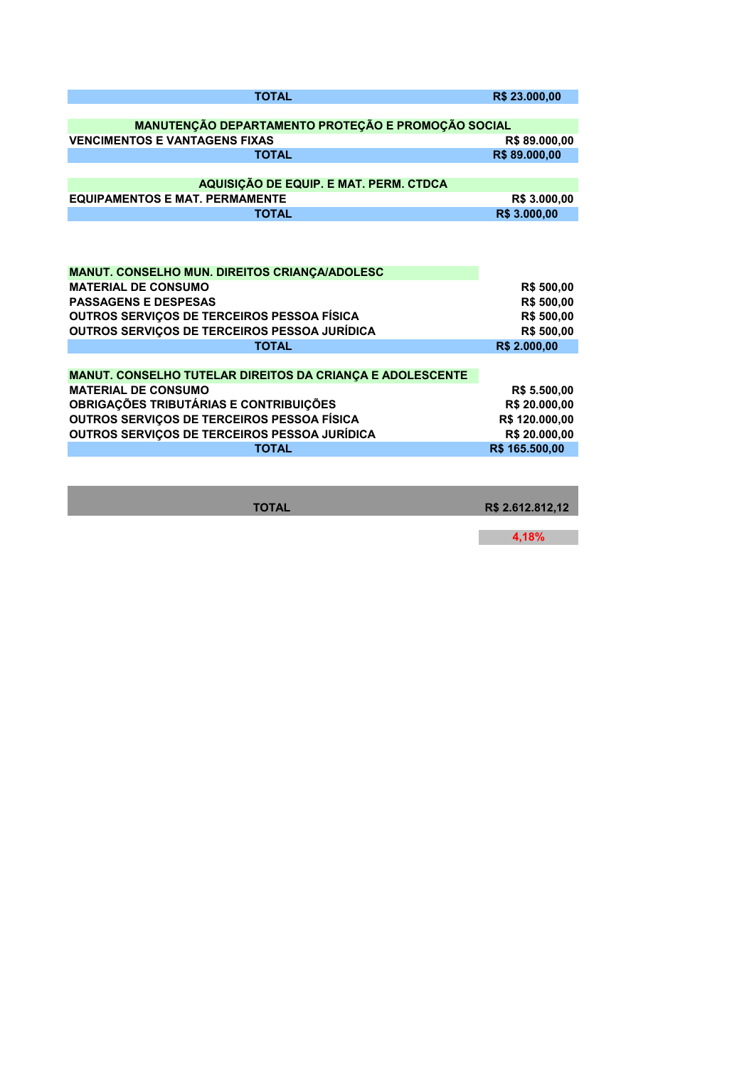| <b>TOTAL</b>                                                     | R\$ 23.000,00  |
|------------------------------------------------------------------|----------------|
|                                                                  |                |
| MANUTENÇÃO DEPARTAMENTO PROTEÇÃO E PROMOÇÃO SOCIAL               |                |
| <b>VENCIMENTOS E VANTAGENS FIXAS</b>                             | R\$89.000,00   |
| <b>TOTAL</b>                                                     | R\$89.000,00   |
|                                                                  |                |
| AQUISIÇÃO DE EQUIP. E MAT. PERM. CTDCA                           |                |
| <b>EQUIPAMENTOS E MAT. PERMAMENTE</b>                            | R\$ 3.000,00   |
| <b>TOTAL</b>                                                     | R\$ 3.000,00   |
|                                                                  |                |
|                                                                  |                |
|                                                                  |                |
| <b>MANUT. CONSELHO MUN. DIREITOS CRIANÇA/ADOLESC</b>             |                |
| <b>MATERIAL DE CONSUMO</b>                                       | R\$ 500,00     |
| <b>PASSAGENS E DESPESAS</b>                                      | R\$ 500,00     |
| OUTROS SERVIÇOS DE TERCEIROS PESSOA FÍSICA                       | R\$ 500,00     |
| OUTROS SERVIÇOS DE TERCEIROS PESSOA JURÍDICA                     | R\$ 500,00     |
| <b>TOTAL</b>                                                     | R\$ 2.000,00   |
|                                                                  |                |
| <b>MANUT. CONSELHO TUTELAR DIREITOS DA CRIANÇA E ADOLESCENTE</b> |                |
| <b>MATERIAL DE CONSUMO</b>                                       | R\$ 5.500,00   |
| OBRIGAÇÕES TRIBUTÁRIAS E CONTRIBUIÇÕES                           | R\$ 20.000,00  |
| OUTROS SERVIÇOS DE TERCEIROS PESSOA FÍSICA                       | R\$ 120.000,00 |
| OUTROS SERVIÇOS DE TERCEIROS PESSOA JURÍDICA                     | R\$ 20.000,00  |
| <b>TOTAL</b>                                                     | R\$ 165.500,00 |
|                                                                  |                |
|                                                                  |                |

**TOTAL R\$ 2.612.812,12** 

**4,18%**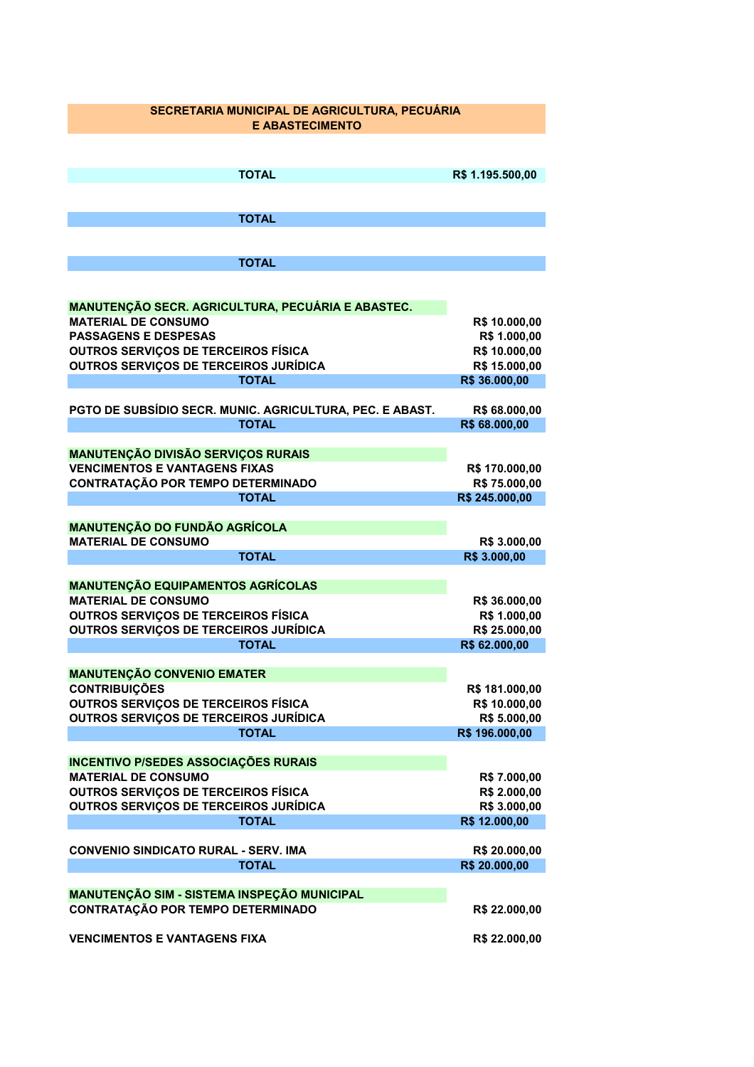## **SECRETARIA MUNICIPAL DE AGRICULTURA, PECUÁRIA E ABASTECIMENTO**

| <b>TOTAL</b>                                                       | R\$ 1.195.500,00               |
|--------------------------------------------------------------------|--------------------------------|
|                                                                    |                                |
| <b>TOTAL</b>                                                       |                                |
|                                                                    |                                |
| <b>TOTAL</b>                                                       |                                |
|                                                                    |                                |
|                                                                    |                                |
| <b>MANUTENÇÃO SECR. AGRICULTURA, PECUÁRIA E ABASTEC.</b>           |                                |
| <b>MATERIAL DE CONSUMO</b>                                         | R\$ 10.000,00                  |
| <b>PASSAGENS E DESPESAS</b><br>OUTROS SERVIÇOS DE TERCEIROS FÍSICA | R\$ 1.000,00                   |
| OUTROS SERVIÇOS DE TERCEIROS JURÍDICA                              | R\$ 10.000,00<br>R\$ 15.000,00 |
| <b>TOTAL</b>                                                       | R\$ 36.000,00                  |
|                                                                    |                                |
| PGTO DE SUBSÍDIO SECR. MUNIC. AGRICULTURA, PEC. E ABAST.           | R\$ 68.000,00                  |
| <b>TOTAL</b>                                                       | R\$ 68.000,00                  |
|                                                                    |                                |
| <b>MANUTENÇÃO DIVISÃO SERVIÇOS RURAIS</b>                          |                                |
| <b>VENCIMENTOS E VANTAGENS FIXAS</b>                               | R\$ 170.000,00                 |
| CONTRATAÇÃO POR TEMPO DETERMINADO                                  | R\$ 75.000,00                  |
| <b>TOTAL</b>                                                       | R\$ 245.000,00                 |
| <b>MANUTENÇÃO DO FUNDÃO AGRÍCOLA</b>                               |                                |
| <b>MATERIAL DE CONSUMO</b>                                         | R\$ 3.000,00                   |
| <b>TOTAL</b>                                                       | R\$ 3.000,00                   |
|                                                                    |                                |
| <b>MANUTENÇÃO EQUIPAMENTOS AGRÍCOLAS</b>                           |                                |
| <b>MATERIAL DE CONSUMO</b>                                         | R\$ 36.000,00                  |
| <b>OUTROS SERVIÇOS DE TERCEIROS FÍSICA</b>                         | R\$ 1.000,00                   |
| OUTROS SERVIÇOS DE TERCEIROS JURÍDICA                              | R\$ 25.000,00                  |
| <b>TOTAL</b>                                                       | R\$ 62.000,00                  |
|                                                                    |                                |
| <b>MANUTENÇÃO CONVENIO EMATER</b><br><b>CONTRIBUIÇÕES</b>          | R\$ 181.000,00                 |
| <b>OUTROS SERVIÇOS DE TERCEIROS FÍSICA</b>                         | R\$ 10.000,00                  |
| <b>OUTROS SERVIÇOS DE TERCEIROS JURÍDICA</b>                       | R\$ 5.000,00                   |
| TOTAL                                                              | R\$ 196.000,00                 |
|                                                                    |                                |
| <b>INCENTIVO P/SEDES ASSOCIAÇÕES RURAIS</b>                        |                                |
| <b>MATERIAL DE CONSUMO</b>                                         | R\$ 7.000,00                   |
| <b>OUTROS SERVIÇOS DE TERCEIROS FÍSICA</b>                         | R\$ 2.000,00                   |
| OUTROS SERVIÇOS DE TERCEIROS JURÍDICA                              | R\$ 3.000,00                   |
| <b>TOTAL</b>                                                       | R\$ 12.000,00                  |
| <b>CONVENIO SINDICATO RURAL - SERV. IMA</b>                        |                                |
| <b>TOTAL</b>                                                       | R\$ 20.000,00<br>R\$ 20.000,00 |
|                                                                    |                                |
| MANUTENÇÃO SIM - SISTEMA INSPEÇÃO MUNICIPAL                        |                                |
| CONTRATAÇÃO POR TEMPO DETERMINADO                                  | R\$ 22.000,00                  |
|                                                                    |                                |
| <b>VENCIMENTOS E VANTAGENS FIXA</b>                                | R\$ 22.000,00                  |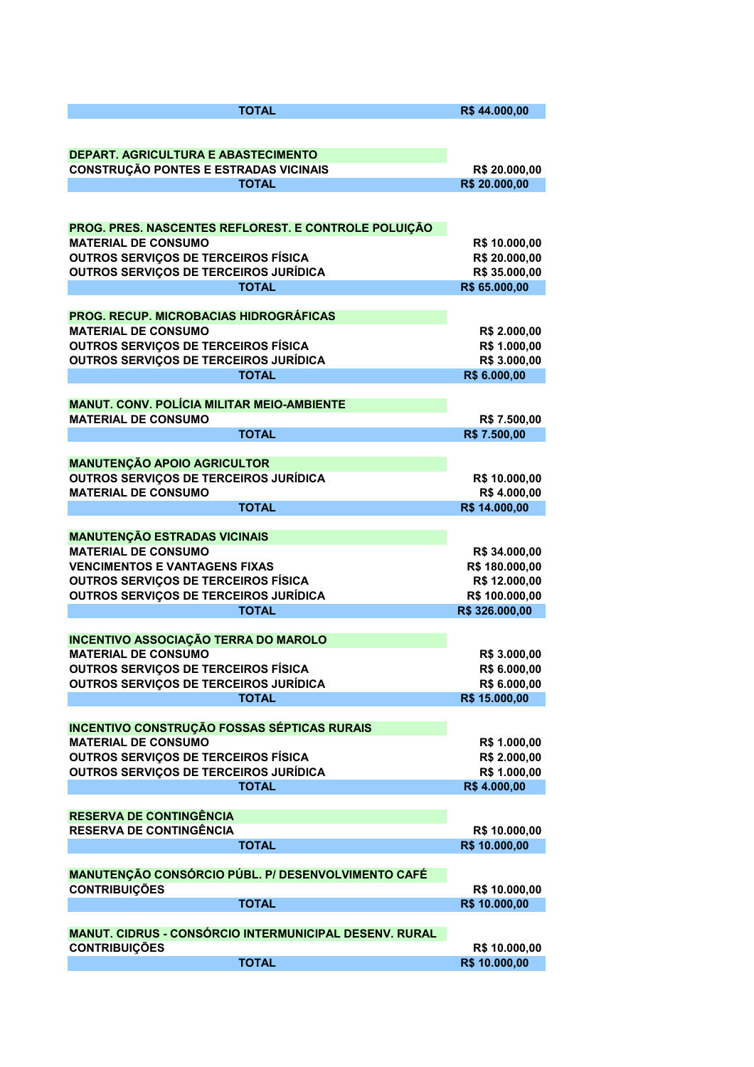| <b>TOTAL</b>                                                                          | R\$44.000,00                   |
|---------------------------------------------------------------------------------------|--------------------------------|
|                                                                                       |                                |
| DEPART. AGRICULTURA E ABASTECIMENTO                                                   |                                |
| <b>CONSTRUÇÃO PONTES E ESTRADAS VICINAIS</b>                                          | R\$ 20.000,00                  |
| <b>TOTAL</b>                                                                          | R\$ 20.000,00                  |
|                                                                                       |                                |
| PROG. PRES. NASCENTES REFLOREST. E CONTROLE POLUIÇÃO                                  |                                |
| <b>MATERIAL DE CONSUMO</b>                                                            | R\$ 10.000,00                  |
| <b>OUTROS SERVIÇOS DE TERCEIROS FÍSICA</b>                                            | R\$ 20.000,00                  |
| OUTROS SERVIÇOS DE TERCEIROS JURÍDICA                                                 | R\$ 35.000,00                  |
| <b>TOTAL</b>                                                                          | R\$ 65.000,00                  |
| <b>PROG. RECUP. MICROBACIAS HIDROGRÁFICAS</b>                                         |                                |
| <b>MATERIAL DE CONSUMO</b>                                                            | R\$ 2.000,00                   |
| <b>OUTROS SERVIÇOS DE TERCEIROS FÍSICA</b>                                            | R\$ 1.000,00                   |
| <b>OUTROS SERVIÇOS DE TERCEIROS JURÍDICA</b>                                          | R\$ 3.000,00                   |
| <b>TOTAL</b>                                                                          | R\$ 6.000,00                   |
|                                                                                       |                                |
| <b>MANUT. CONV. POLÍCIA MILITAR MEIO-AMBIENTE</b>                                     |                                |
| <b>MATERIAL DE CONSUMO</b><br><b>TOTAL</b>                                            | R\$ 7.500,00                   |
|                                                                                       | R\$ 7.500,00                   |
| <b>MANUTENÇÃO APOIO AGRICULTOR</b>                                                    |                                |
| OUTROS SERVIÇOS DE TERCEIROS JURÍDICA                                                 | R\$ 10.000,00                  |
| <b>MATERIAL DE CONSUMO</b>                                                            | R\$4.000,00                    |
| <b>TOTAL</b>                                                                          | R\$ 14.000,00                  |
| <b>MANUTENÇÃO ESTRADAS VICINAIS</b>                                                   |                                |
| <b>MATERIAL DE CONSUMO</b>                                                            | R\$ 34.000,00                  |
| <b>VENCIMENTOS E VANTAGENS FIXAS</b>                                                  | R\$ 180.000,00                 |
| <b>OUTROS SERVIÇOS DE TERCEIROS FÍSICA</b>                                            | R\$ 12.000,00                  |
| <b>OUTROS SERVIÇOS DE TERCEIROS JURÍDICA</b>                                          | R\$ 100.000,00                 |
| <b>TOTAL</b>                                                                          | R\$ 326.000,00                 |
| <b>INCENTIVO ASSOCIAÇÃO TERRA DO MAROLO</b>                                           |                                |
| <b>MATERIAL DE CONSUMO</b>                                                            | R\$ 3.000,00                   |
| <b>OUTROS SERVIÇOS DE TERCEIROS FÍSICA</b>                                            | R\$ 6.000,00                   |
| <b>OUTROS SERVIÇOS DE TERCEIROS JURÍDICA</b>                                          | R\$ 6.000,00                   |
| <b>TOTAL</b>                                                                          | R\$ 15.000,00                  |
| <b>INCENTIVO CONSTRUÇÃO FOSSAS SÉPTICAS RURAIS</b>                                    |                                |
| <b>MATERIAL DE CONSUMO</b>                                                            | R\$ 1.000,00                   |
| <b>OUTROS SERVIÇOS DE TERCEIROS FÍSICA</b>                                            | R\$ 2.000,00                   |
| OUTROS SERVIÇOS DE TERCEIROS JURÍDICA                                                 | R\$ 1.000,00                   |
| <b>TOTAL</b>                                                                          | R\$4.000,00                    |
|                                                                                       |                                |
| <b>RESERVA DE CONTINGÊNCIA</b><br><b>RESERVA DE CONTINGÊNCIA</b>                      |                                |
| <b>TOTAL</b>                                                                          | R\$ 10.000,00<br>R\$ 10.000,00 |
|                                                                                       |                                |
| MANUTENÇÃO CONSÓRCIO PÚBL. P/ DESENVOLVIMENTO CAFÉ                                    |                                |
| <b>CONTRIBUIÇÕES</b>                                                                  | R\$ 10.000,00                  |
| <b>TOTAL</b>                                                                          | R\$ 10.000,00                  |
|                                                                                       |                                |
| <b>MANUT. CIDRUS - CONSÓRCIO INTERMUNICIPAL DESENV. RURAL</b><br><b>CONTRIBUIÇÕES</b> | R\$ 10.000,00                  |
| <b>TOTAL</b>                                                                          | R\$ 10.000,00                  |
|                                                                                       |                                |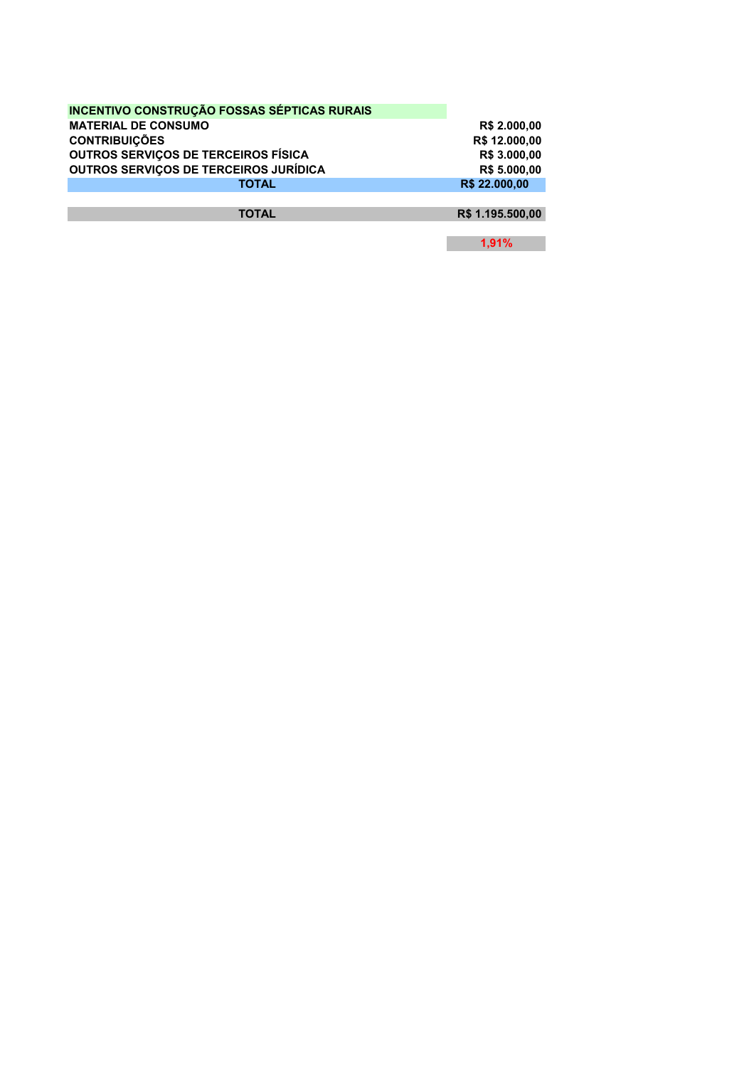| <b>INCENTIVO CONSTRUÇÃO FOSSAS SÉPTICAS RURAIS</b> |               |
|----------------------------------------------------|---------------|
| <b>MATERIAL DE CONSUMO</b>                         | R\$ 2.000.00  |
| <b>CONTRIBUIÇÕES</b>                               | R\$ 12.000,00 |
| <b>OUTROS SERVICOS DE TERCEIROS FÍSICA</b>         | R\$ 3.000,00  |
| OUTROS SERVIÇOS DE TERCEIROS JURÍDICA              | R\$ 5.000,00  |
| <b>TOTAL</b>                                       | R\$ 22,000.00 |
|                                                    |               |

**TOTAL R\$ 1.195.500,00** 

**1,91%**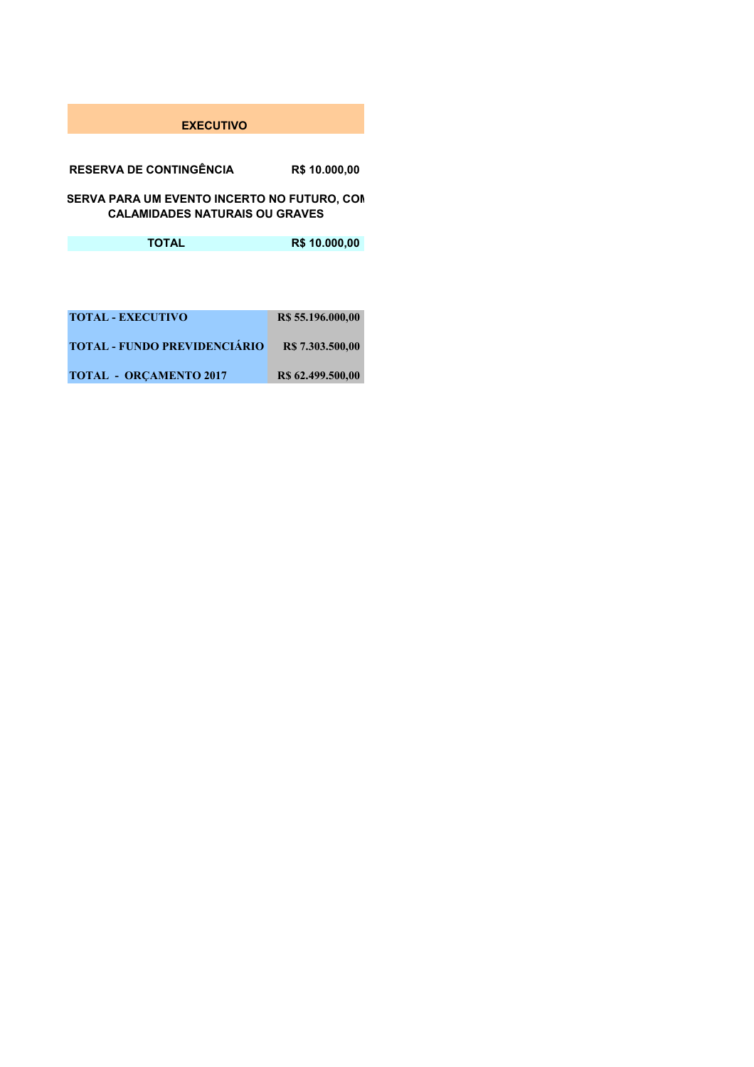## **EXECUTIVO**

**RESERVA DE CONTINGÊNCIA R\$ 10.000,00** 

SERVA PARA UM EVENTO INCERTO NO FUTURO, CON **CALAMIDADES NATURAIS OU GRAVES**

**TOTAL R\$ 10.000,00** 

| <b>TOTAL - EXECUTIVO</b>            | R\$ 55.196.000,00 |
|-------------------------------------|-------------------|
| <b>TOTAL - FUNDO PREVIDENCIÁRIO</b> | R\$ 7.303.500,00  |
| <b>TOTAL - ORCAMENTO 2017</b>       | R\$ 62.499.500,00 |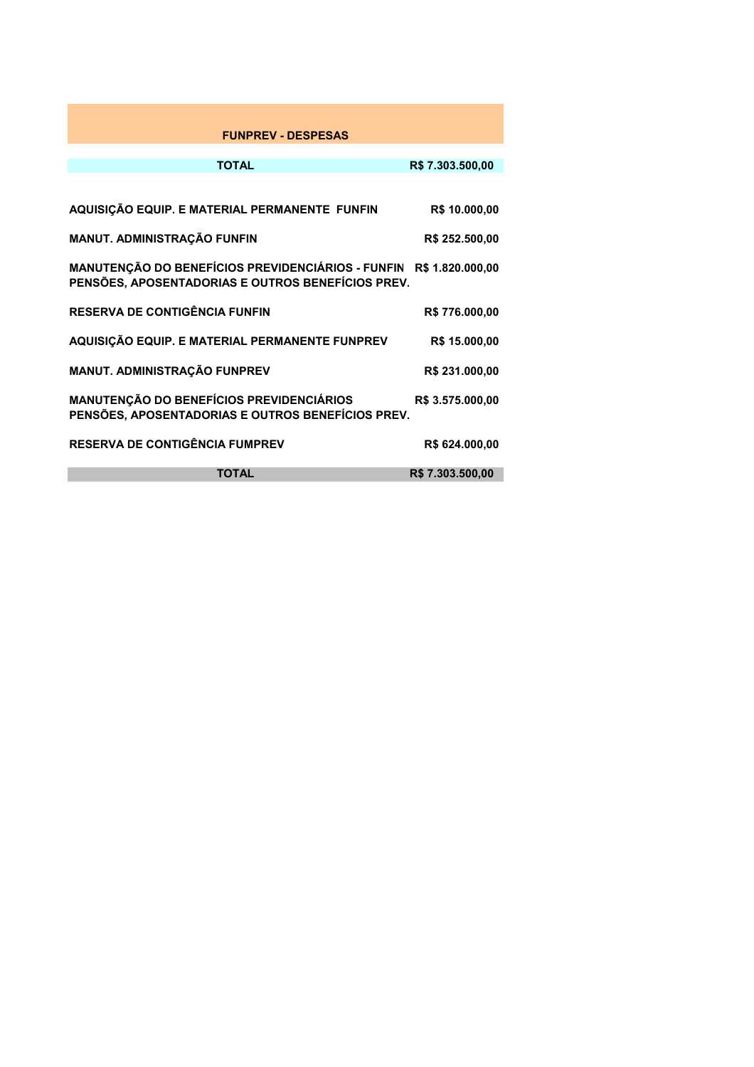| <b>FUNPREV - DESPESAS</b>                                                                              |                  |
|--------------------------------------------------------------------------------------------------------|------------------|
| <b>TOTAL</b>                                                                                           | R\$ 7.303.500,00 |
| AQUISIÇÃO EQUIP. E MATERIAL PERMANENTE FUNFIN                                                          | R\$ 10.000,00    |
| MANUT. ADMINISTRAÇÃO FUNFIN                                                                            | R\$ 252.500,00   |
| MANUTENÇÃO DO BENEFÍCIOS PREVIDENCIÁRIOS - FUNFIN<br>PENSÕES, APOSENTADORIAS E OUTROS BENEFÍCIOS PREV. | R\$ 1.820.000,00 |
| <b>RESERVA DE CONTIGÊNCIA FUNFIN</b>                                                                   | R\$776.000,00    |
| AQUISIÇÃO EQUIP. E MATERIAL PERMANENTE FUNPREV                                                         | R\$ 15.000,00    |
| MANUT. ADMINISTRAÇÃO FUNPREV                                                                           | R\$ 231.000,00   |
| <b>MANUTENÇÃO DO BENEFÍCIOS PREVIDENCIÁRIOS</b><br>PENSÕES, APOSENTADORIAS E OUTROS BENEFÍCIOS PREV.   | R\$ 3.575.000,00 |
| <b>RESERVA DE CONTIGÊNCIA FUMPREV</b>                                                                  | R\$ 624.000,00   |
| <b>TOTAL</b>                                                                                           | R\$ 7.303.500,00 |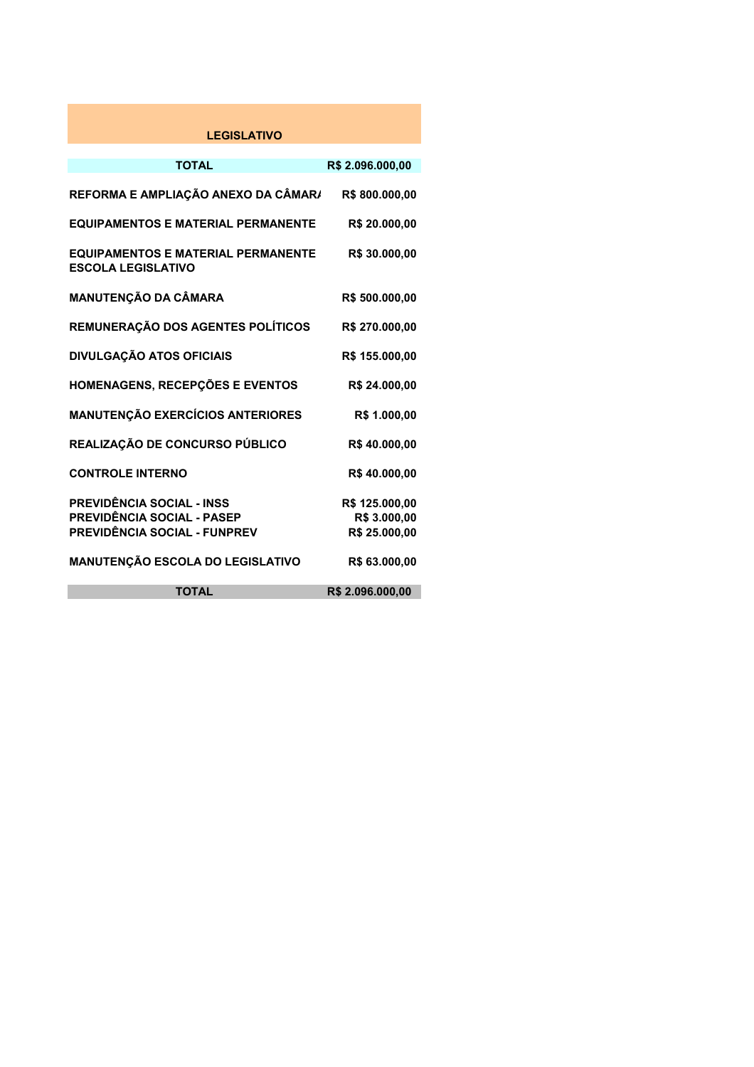| <b>LEGISLATIVO</b>                                                     |                  |
|------------------------------------------------------------------------|------------------|
|                                                                        |                  |
| <b>TOTAL</b>                                                           | R\$ 2.096.000,00 |
| REFORMA E AMPLIAÇÃO ANEXO DA CÂMAR/                                    | R\$800.000,00    |
| <b>EQUIPAMENTOS E MATERIAL PERMANENTE</b>                              | R\$ 20.000,00    |
| <b>EQUIPAMENTOS E MATERIAL PERMANENTE</b><br><b>ESCOLA LEGISLATIVO</b> | R\$ 30.000,00    |
| MANUTENÇÃO DA CÂMARA                                                   | R\$ 500.000,00   |
| REMUNERAÇÃO DOS AGENTES POLÍTICOS                                      | R\$ 270.000,00   |
| <b>DIVULGAÇÃO ATOS OFICIAIS</b>                                        | R\$ 155.000,00   |
| <b>HOMENAGENS, RECEPÇÕES E EVENTOS</b>                                 | R\$ 24.000,00    |
| <b>MANUTENÇÃO EXERCÍCIOS ANTERIORES</b>                                | R\$ 1.000,00     |
| REALIZAÇÃO DE CONCURSO PÚBLICO                                         | R\$40.000,00     |
| <b>CONTROLE INTERNO</b>                                                | R\$40.000,00     |
| PREVIDÊNCIA SOCIAL - INSS                                              | R\$ 125.000,00   |
| PREVIDÊNCIA SOCIAL - PASEP                                             | R\$ 3.000,00     |
| PREVIDÊNCIA SOCIAL - FUNPREV                                           | R\$ 25.000,00    |
| <b>MANUTENÇÃO ESCOLA DO LEGISLATIVO</b>                                | R\$ 63.000,00    |
| <b>TOTAL</b>                                                           | R\$ 2.096.000,00 |